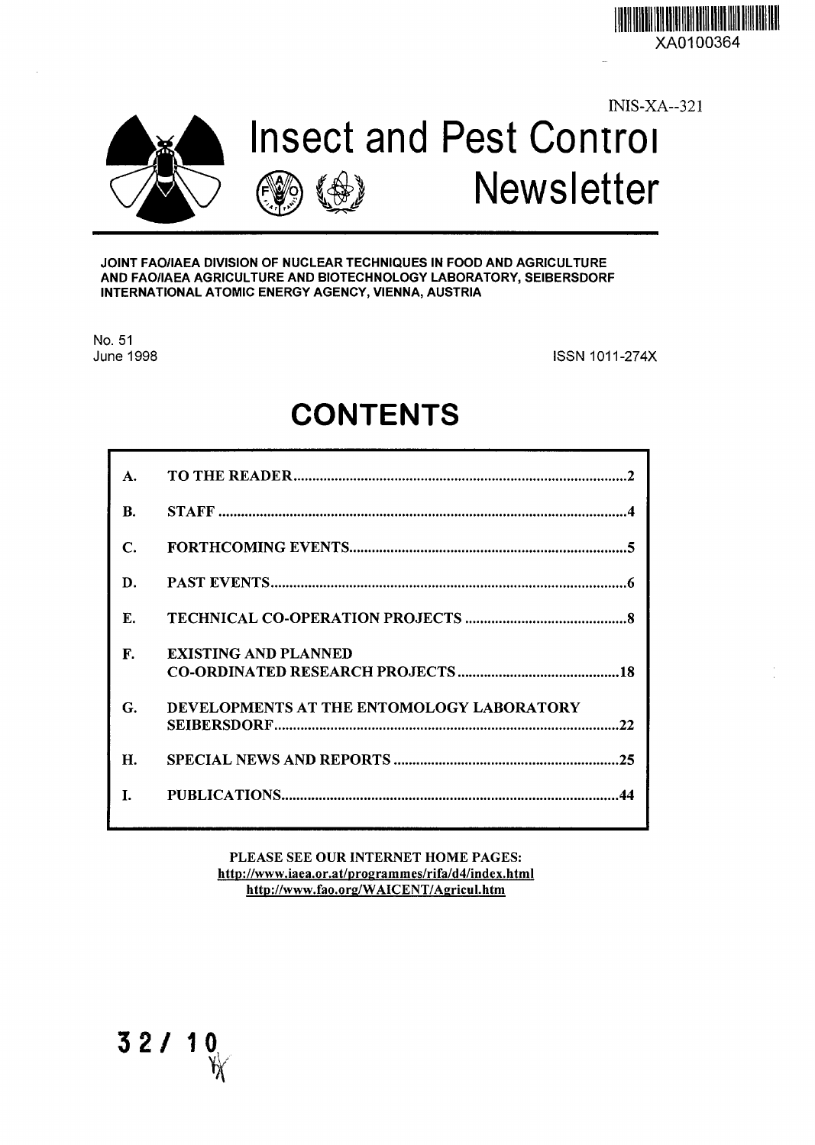XA0100364

INIS-XA-321





#### **JOINT FAO/IAEA DIVISION OF NUCLEAR TECHNIQUES IN FOOD AND AGRICULTURE AND FAO/IAEA AGRICULTURE AND BIOTECHNOLOGY LABORATORY, SEIBERSDORF INTERNATIONAL ATOMIC ENERGY AGENCY, VIENNA, AUSTRIA**

**No. 51**

**June 1998** ISSN1011-274X

**Newsletter**

# **CONTENTS**

| $\mathbf{A}$ |                                                 |
|--------------|-------------------------------------------------|
| B.           |                                                 |
| C.           |                                                 |
| D.           |                                                 |
| E.           |                                                 |
| F.           | <b>EXISTING AND PLANNED</b>                     |
| G.           | DEVELOPMENTS AT THE ENTOMOLOGY LABORATORY<br>22 |
| Н.           |                                                 |
|              |                                                 |

PLEASE SEE OUR INTERNET HOME PAGES: http://www.iaea.or.at/programmes/rifa/d4/index.html http://www.fao.org/WAICENT/Agricul.htm

**3 2 / 10** 1/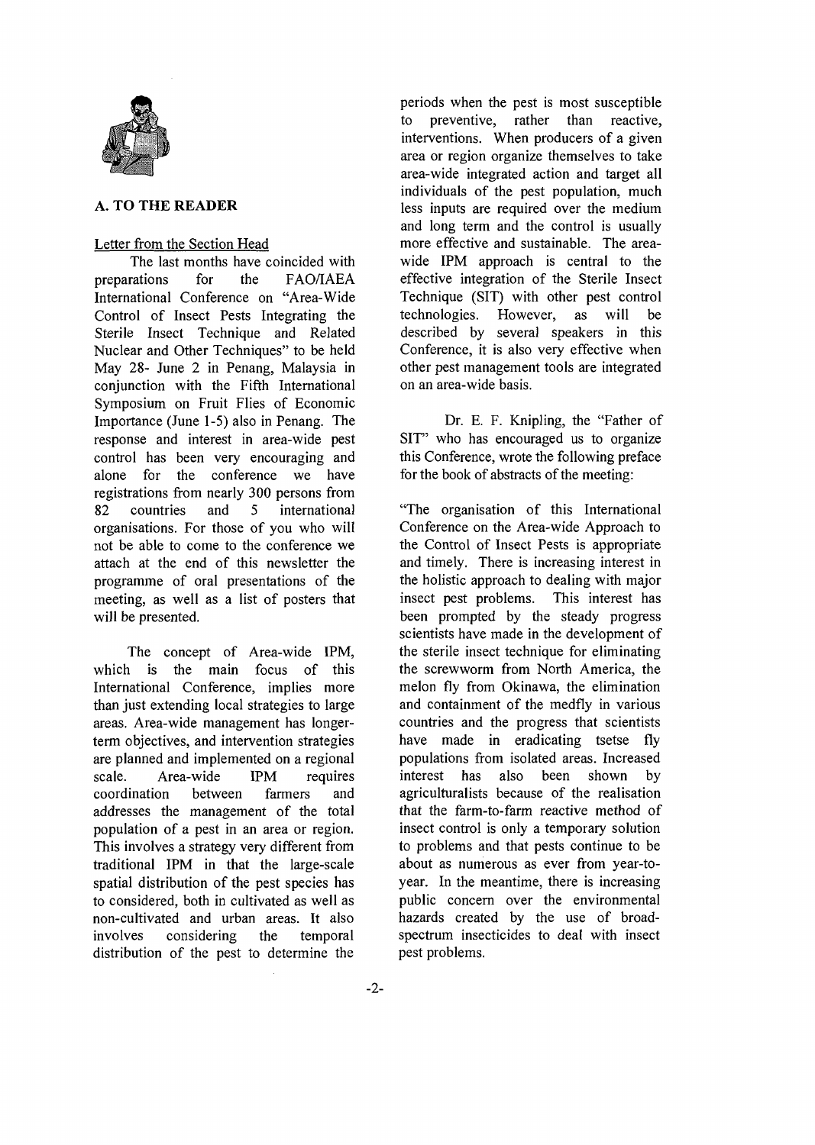

# **A. TO THE READER**

## Letter from the Section Head

The last months have coincided with preparations for the FAO/IAEA International Conference on "Area-Wide Control of Insect Pests Integrating the Sterile Insect Technique and Related Nuclear and Other Techniques" to be held May 28- June 2 in Penang, Malaysia in conjunction with the Fifth International Symposium on Fruit Flies of Economic Importance (June 1-5) also in Penang. The response and interest in area-wide pest control has been very encouraging and alone for the conference we have registrations from nearly 300 persons from 82 countries and 5 international organisations. For those of you who will not be able to come to the conference we attach at the end of this newsletter the programme of oral presentations of the meeting, as well as a list of posters that will be presented.

The concept of Area-wide IPM, which is the main focus of this International Conference, implies more than just extending local strategies to large areas. Area-wide management has longerterm objectives, and intervention strategies are planned and implemented on a regional scale. Area-wide IPM requires coordination between farmers and addresses the management of the total population of a pest in an area or region. This involves a strategy very different from traditional IPM in that the large-scale spatial distribution of the pest species has to considered, both in cultivated as well as non-cultivated and urban areas. It also involves considering the temporal distribution of the pest to determine the periods when the pest is most susceptible to preventive, rather than reactive, interventions. When producers of a given area or region organize themselves to take area-wide integrated action and target all individuals of the pest population, much less inputs are required over the medium and long term and the control is usually more effective and sustainable. The areawide IPM approach is central to the effective integration of the Sterile Insect Technique (SIT) with other pest control technologies. However, as will be described by several speakers in this Conference, it is also very effective when other pest management tools are integrated on an area-wide basis.

Dr. E. F. Knipling, the "Father of SIT" who has encouraged us to organize this Conference, wrote the following preface for the book of abstracts of the meeting:

"The organisation of this International Conference on the Area-wide Approach to the Control of Insect Pests is appropriate and timely. There is increasing interest in the holistic approach to dealing with major insect pest problems. This interest has been prompted by the steady progress scientists have made in the development of the sterile insect technique for eliminating the screwworm from North America, the melon fly from Okinawa, the elimination and containment of the medfly in various countries and the progress that scientists have made in eradicating tsetse fly populations from isolated areas. Increased interest has also been shown by agriculturalists because of the realisation that the farm-to-farm reactive method of insect control is only a temporary solution to problems and that pests continue to be about as numerous as ever from year-toyear. In the meantime, there is increasing public concern over the environmental hazards created by the use of broadspectrum insecticides to deal with insect pest problems.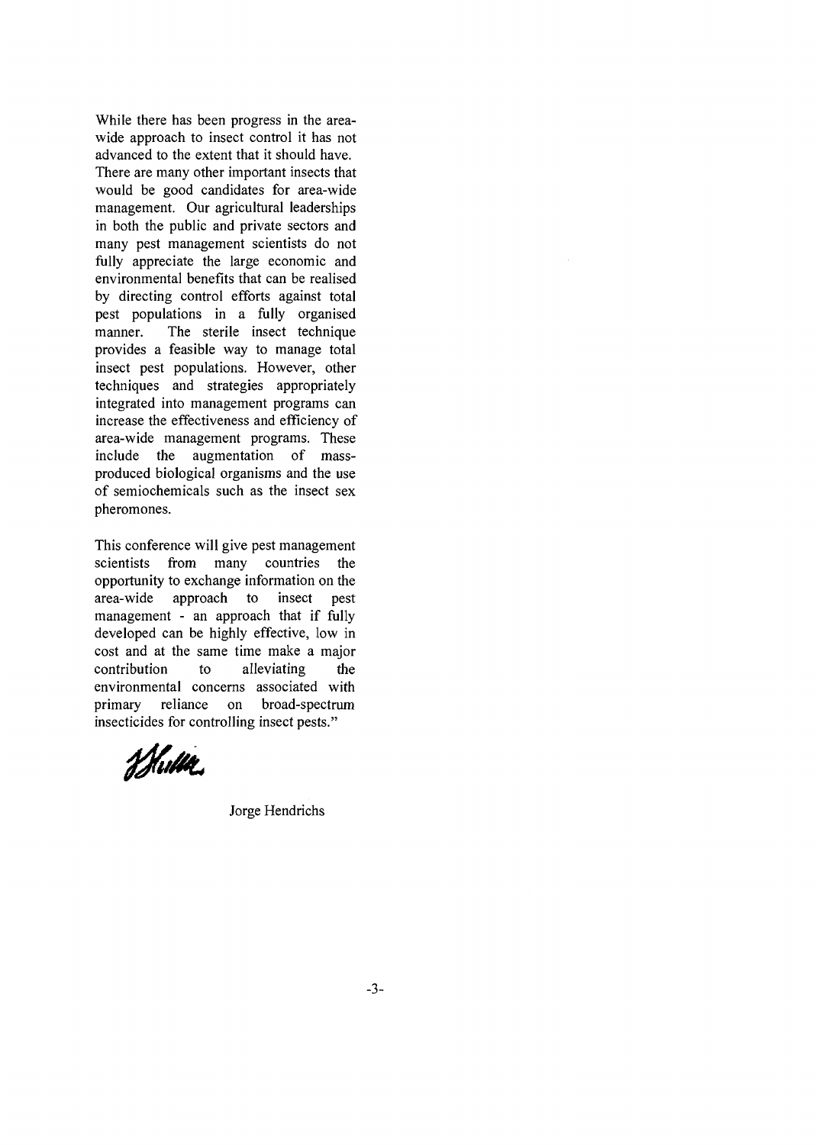While there has been progress in the areawide approach to insect control it has not advanced to the extent that it should have. There are many other important insects that would be good candidates for area-wide management. Our agricultural leaderships in both the public and private sectors and many pest management scientists do not fully appreciate the large economic and environmental benefits that can be realised by directing control efforts against total pest populations in a fully organised manner. The sterile insect technique provides a feasible way to manage total insect pest populations. However, other techniques and strategies appropriately integrated into management programs can increase the effectiveness and efficiency of area-wide management programs. These include the augmentation of massproduced biological organisms and the use of semiochemicals such as the insect sex pheromones.

This conference will give pest management scientists from many countries the opportunity to exchange information on the area-wide approach to insect pest management - an approach that if fully developed can be highly effective, low in cost and at the same time make a major contribution to alleviating the environmental concerns associated with primary reliance on broad-spectrum insecticides for controlling insect pests."

Whithe

Jorge Hendrichs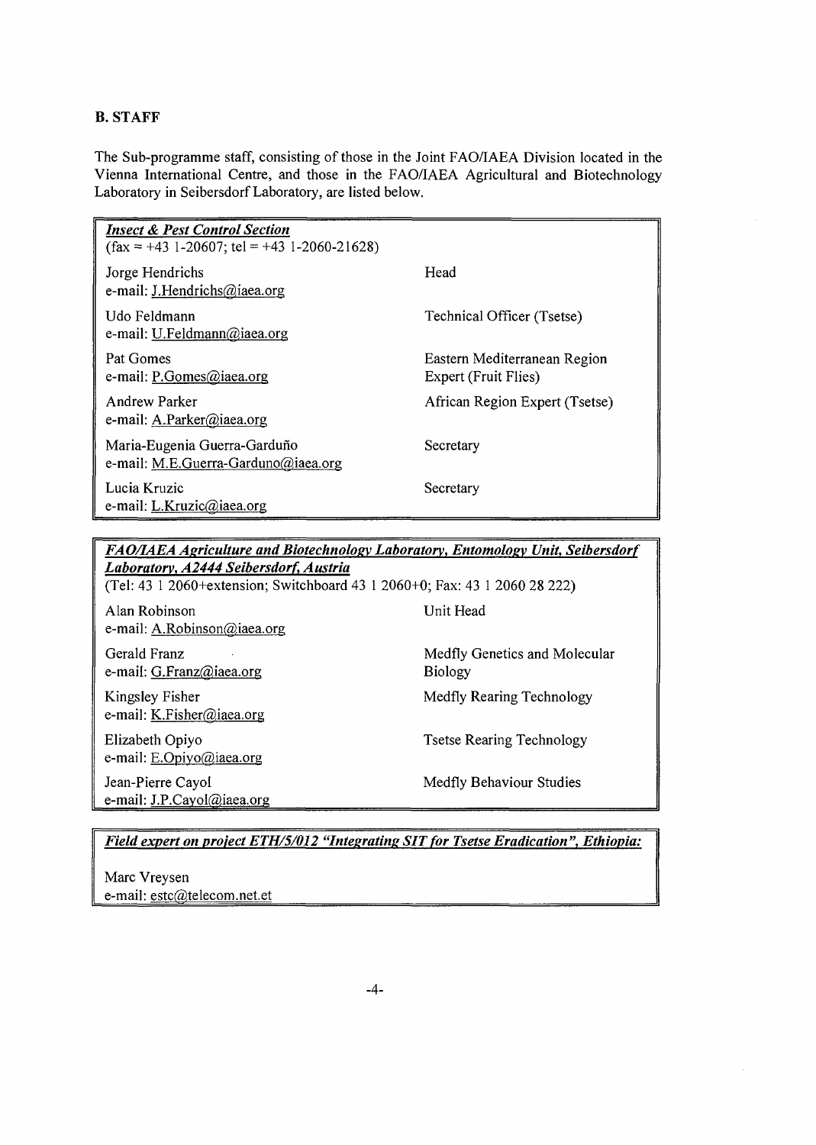# **B. STAFF**

The Sub-programme staff, consisting of those in the Joint FAO/IAEA Division located in the Vienna International Centre, and those in the FAO/IAEA Agricultural and Biotechnology Laboratory in Seibersdorf Laboratory, are listed below.

| <b>Insect &amp; Pest Control Section</b><br>$(fax = +43 \ 1-20607; \text{tel} = +43 \ 1-2060-21628)$ |                                                      |
|------------------------------------------------------------------------------------------------------|------------------------------------------------------|
| Jorge Hendrichs<br>e-mail: J.Hendrichs@iaea.org                                                      | Head                                                 |
| Udo Feldmann<br>e-mail: U.Feldmann@iaea.org                                                          | Technical Officer (Tsetse)                           |
| Pat Gomes<br>e-mail: P.Gomes@iaea.org                                                                | Eastern Mediterranean Region<br>Expert (Fruit Flies) |
| Andrew Parker<br>e-mail: A.Parker@iaea.org                                                           | African Region Expert (Tsetse)                       |
| Maria-Eugenia Guerra-Garduño<br>e-mail: M.E.Guerra-Garduno@iaea.org                                  | Secretary                                            |
| Lucia Kruzic<br>e-mail: L.Kruzic@iaea.org                                                            | Secretary                                            |

*FAO/IAEA Agriculture and Biotechnology Laboratorv, Entomologv Unit, Seibersdorf Laboratorv, A2444 Seibersdorf, Austria*

(Tel: 43 1 2060+extension; Switchboard 43 1 2060+0; Fax: 43 1 2060 28 222)

Alan Robinson e-mail: A.Robinson@iaea.org

Gerald Franz e-mail: G.Franz@iaea.org

Kingsley Fisher e-mail: K.Fisher@iaea.org

Elizabeth Opiyo e-mail: E.Opiyo@iaea.org Jean-Pierre Cayol

e-mail: J.P.Cayol@iaea.org

Unit Head

Medfly Genetics and Molecular Biology

Medfly Rearing Technology

Tsetse Rearing Technology

Medfly Behaviour Studies

*Field expert on project ETH/5/012 "Integrating SIT for Tsetse Eradication ", Ethiopia:*

Marc Vreysen e-mail: estc@telecom.net.et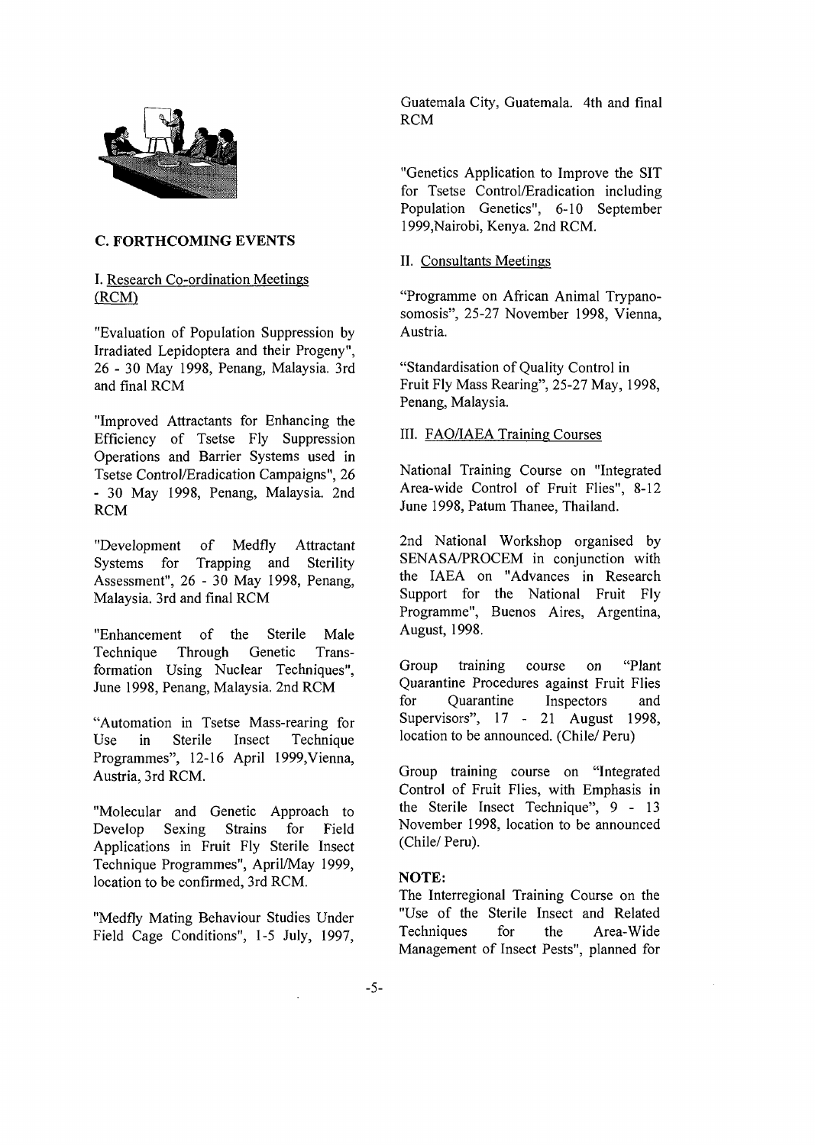

#### **C. FORTHCOMING EVENTS**

# I. Research Co-ordination Meetings (RCM)

"Evaluation of Population Suppression by Irradiated Lepidoptera and their Progeny", 26-3 0 May 1998, Penang, Malaysia. 3rd and final RCM

"Improved Attractants for Enhancing the Efficiency of Tsetse Fly Suppression Operations and Barrier Systems used in Tsetse Control/Eradication Campaigns", 26 - 30 May 1998, Penang, Malaysia. 2nd RCM

"Development of Medfly Attractant Systems for Trapping and Sterility Assessment", 26 - 30 May 1998, Penang, Malaysia. 3rd and final RCM

"Enhancement of the Sterile Male Technique Through Genetic Transformation Using Nuclear Techniques", June 1998, Penang, Malaysia. 2nd RCM

"Automation in Tsetse Mass-rearing for Use in Sterile Insect Technique Programmes", 12-16 April 1999,Vienna, Austria, 3rd RCM.

"Molecular and Genetic Approach to Develop Sexing Strains for Field Applications in Fruit Fly Sterile Insect Technique Programmes", April/May 1999, location to be confirmed, 3rd RCM.

"Medfly Mating Behaviour Studies Under Field Cage Conditions", 1-5 July, 1997,

Guatemala City, Guatemala. 4th and final RCM

"Genetics Application to Improve the SIT for Tsetse Control/Eradication including Population Genetics", 6-10 September 1999,Nairobi, Kenya. 2nd RCM.

# II. Consultants Meetings

"Programme on African Animal Trypanosomosis", 25-27 November 1998, Vienna, Austria.

"Standardisation of Quality Control in Fruit Fly Mass Rearing", 25-27 May, 1998, Penang, Malaysia.

#### III. FAQ/IAEA Training Courses

National Training Course on "Integrated Area-wide Control of Fruit Flies", 8-12 June 1998, Patum Thanee, Thailand.

2nd National Workshop organised by SENASA/PROCEM in conjunction with the IAEA on "Advances in Research Support for the National Fruit Fly Programme", Buenos Aires, Argentina, August, 1998.

Group training course on "Plant Quarantine Procedures against Fruit Flies for Quarantine Inspectors and Supervisors", 17 - 21 August 1998, location to be announced. (Chile/ Peru)

Group training course on "Integrated Control of Fruit Flies, with Emphasis in the Sterile Insect Technique", 9 - 13 November 1998, location to be announced (Chile/ Peru).

## NOTE:

The Interregional Training Course on the "Use of the Sterile Insect and Related Techniques for the Area-Wide Management of Insect Pests", planned for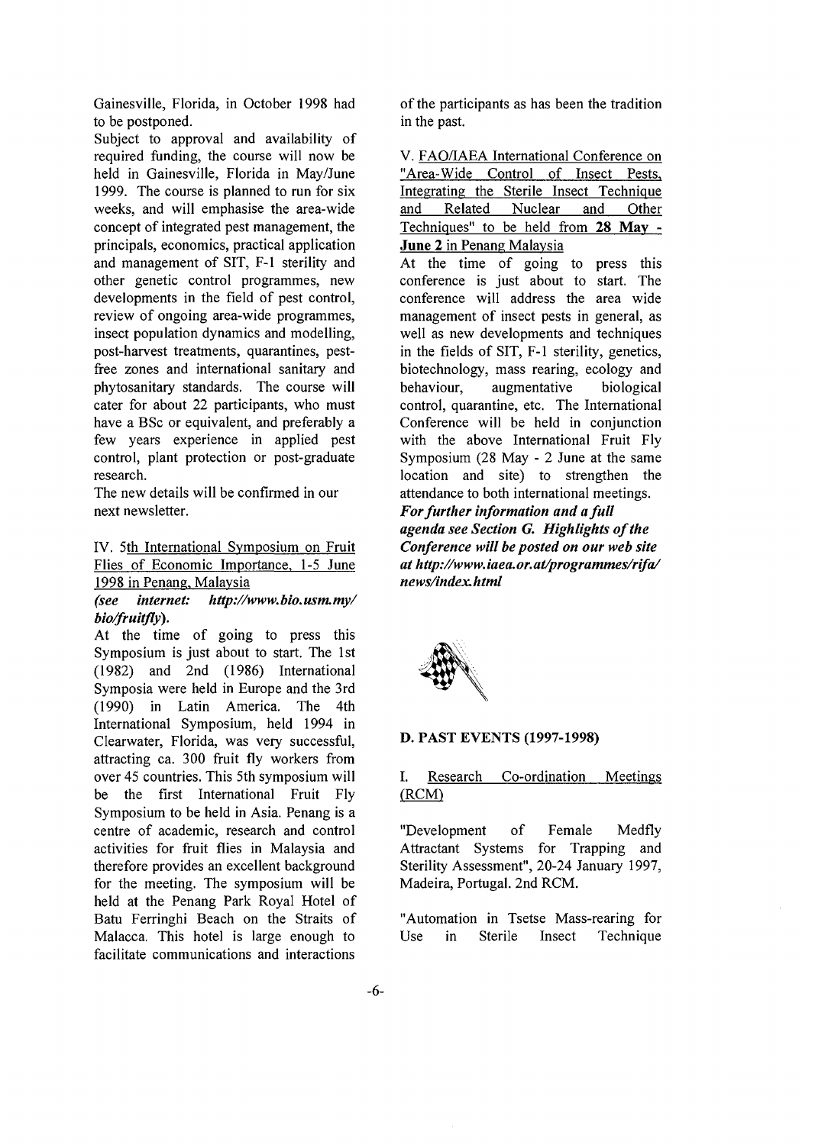Gainesville, Florida, in October 1998 had to be postponed.

Subject to approval and availability of required funding, the course will now be held in Gainesville, Florida in May/June 1999. The course is planned to run for six weeks, and will emphasise the area-wide concept of integrated pest management, the principals, economics, practical application and management of SIT, F-l sterility and other genetic control programmes, new developments in the field of pest control, review of ongoing area-wide programmes, insect population dynamics and modelling, post-harvest treatments, quarantines, pestfree zones and international sanitary and phytosanitary standards. The course will cater for about 22 participants, who must have a BSc or equivalent, and preferably a few years experience in applied pest control, plant protection or post-graduate research.

The new details will be confirmed in our next newsletter.

IV. 5th International Symposium on Fruit Flies of Economic Importance, 1-5 June 1998 in Penang, Malaysia

*(see internet: http://www.bio.usm.my/ bio/fruitfly).*

At the time of going to press this Symposium is just about to start. The 1st (1982) and 2nd (1986) International Symposia were held in Europe and the 3rd (1990) in Latin America. The 4th International Symposium, held 1994 in Clearwater, Florida, was very successful, attracting ca. 300 fruit fly workers from over 45 countries. This 5th symposium will be the first International Fruit Fly Symposium to be held in Asia. Penang is a centre of academic, research and control activities for fruit flies in Malaysia and therefore provides an excellent background for the meeting. The symposium will be held at the Penang Park Royal Hotel of Batu Ferringhi Beach on the Straits of Malacca. This hotel is large enough to facilitate communications and interactions

of the participants as has been the tradition in the past.

V. FAQ/IAEA International Conference on "Area-Wide Control of Insect Pests, Integrating the Sterile Insect Technique and Related Nuclear and Other Techniques" to be held from **28 May** - **June 2** in Penang Malaysia

At the time of going to press this conference is just about to start. The conference will address the area wide management of insect pests in general, as well as new developments and techniques in the fields of SIT, F-l sterility, genetics, biotechnology, mass rearing, ecology and behaviour, augmentative biological control, quarantine, etc. The International Conference will be held in conjunction with the above International Fruit Fly Symposium (28 May - 2 June at the same location and site) to strengthen the attendance to both international meetings. *For further information and a full agenda see Section G. Highlights of the Conference will be posted on our web site at http://www. iaea. or. at/programmes/rifa/ news/index.html*



#### **D. PAST** EVENTS **(1997-1998)**

# **I.** Research Co-ordination Meetings (RCM)

"Development of Female Medfly Attractant Systems for Trapping and Sterility Assessment", 20-24 January 1997, Madeira, Portugal. 2nd RCM.

"Automation in Tsetse Mass-rearing for Use in Sterile Insect Technique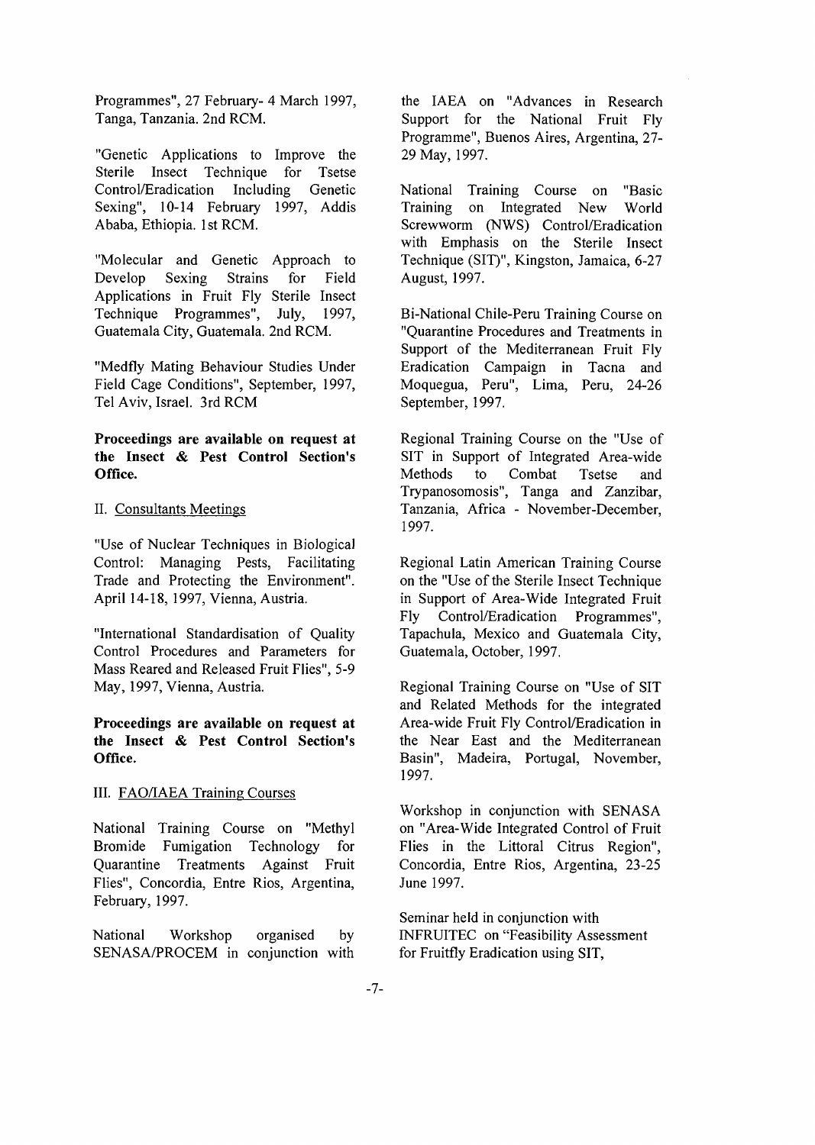Programmes", 27 February- 4 March 1997, Tanga, Tanzania. 2nd RCM.

"Genetic Applications to Improve the Sterile Insect Technique for Tsetse Control/Eradication Including Genetic Sexing", 10-14 February 1997, Addis Ababa, Ethiopia. 1st RCM.

"Molecular and Genetic Approach to Develop Sexing Strains for Field Applications in Fruit Fly Sterile Insect Technique Programmes", July, 1997, Guatemala City, Guatemala. 2nd RCM.

"Medfly Mating Behaviour Studies Under Field Cage Conditions", September, 1997, Tel Aviv, Israel. 3rd RCM

# **Proceedings are available on request at the Insect & Pest Control Section's Office.**

#### II. Consultants Meetings

"Use of Nuclear Techniques in Biological Control: Managing Pests, Facilitating Trade and Protecting the Environment". April 14-18, 1997, Vienna, Austria.

"International Standardisation of Quality Control Procedures and Parameters for Mass Reared and Released Fruit Flies", 5-9 May, 1997, Vienna, Austria.

# **Proceedings are available on request at the Insect & Pest Control Section's Office.**

# III. FAQ/IAEA Training Courses

National Training Course on "Methyl Bromide Fumigation Technology for Quarantine Treatments Against Fruit Flies", Concordia, Entre Rios, Argentina, February, 1997.

National Workshop organised by SENASA/PROCEM in conjunction with the IAEA on "Advances in Research Support for the National Fruit Fly Programme", Buenos Aires, Argentina, 27- 29 May, 1997.

National Training Course on "Basic Training on Integrated New World Screwworm (NWS) Control/Eradication with Emphasis on the Sterile Insect Technique (SIT)", Kingston, Jamaica, 6-27 August, 1997.

Bi-National Chile-Peru Training Course on "Quarantine Procedures and Treatments in Support of the Mediterranean Fruit Fly Eradication Campaign in Tacna and Moquegua, Peru", Lima, Peru, 24-26 September, 1997.

Regional Training Course on the "Use of SIT in Support of Integrated Area-wide Methods to Combat Tsetse and Trypanosomosis", Tanga and Zanzibar, Tanzania, Africa - November-December, 1997.

Regional Latin American Training Course on the "Use of the Sterile Insect Technique in Support of Area-Wide Integrated Fruit Fly Control/Eradication Programmes", Tapachula, Mexico and Guatemala City, Guatemala, October, 1997.

Regional Training Course on "Use of SIT and Related Methods for the integrated Area-wide Fruit Fly Control/Eradication in the Near East and the Mediterranean Basin", Madeira, Portugal, November, 1997.

Workshop in conjunction with SENASA on "Area-Wide Integrated Control of Fruit Flies in the Littoral Citrus Region", Concordia, Entre Rios, Argentina, 23-25 June 1997.

Seminar held in conjunction with INFRUITEC on "Feasibility Assessment for Fruitfly Eradication using SIT,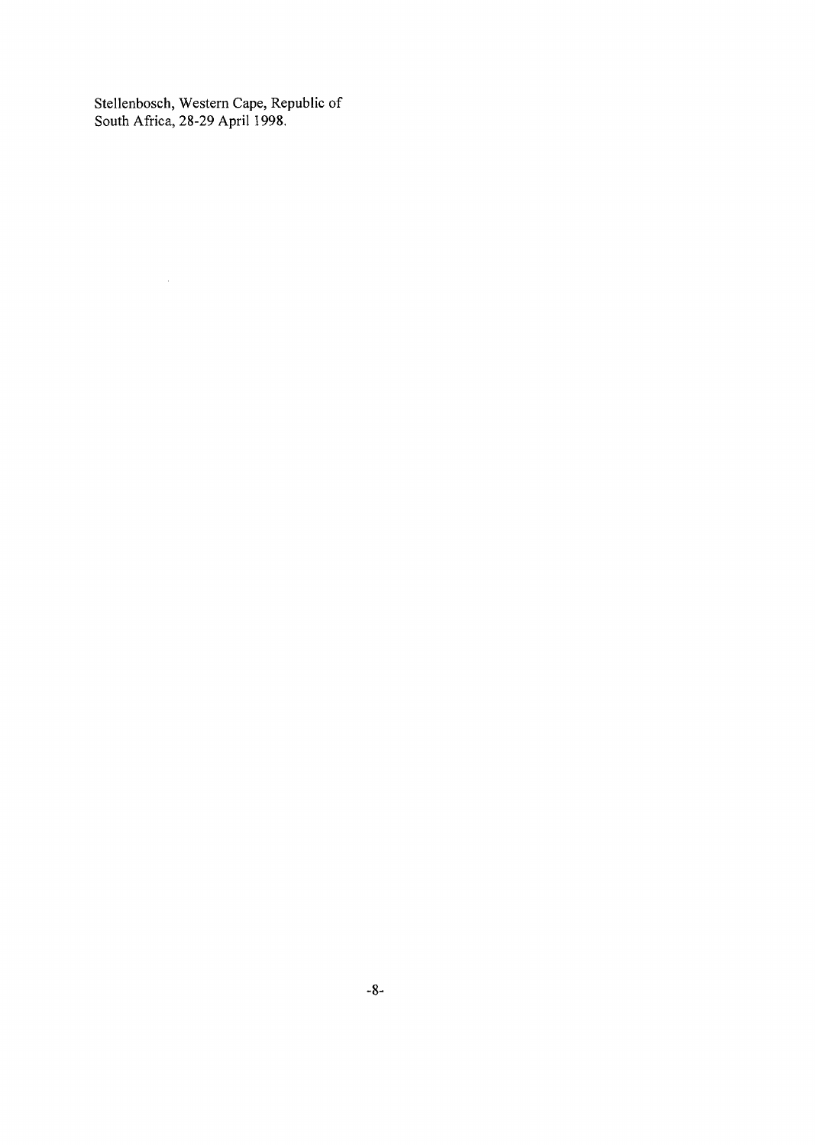Stellenbosch, Western Cape, Republic of South Africa, 28-29 April 1998.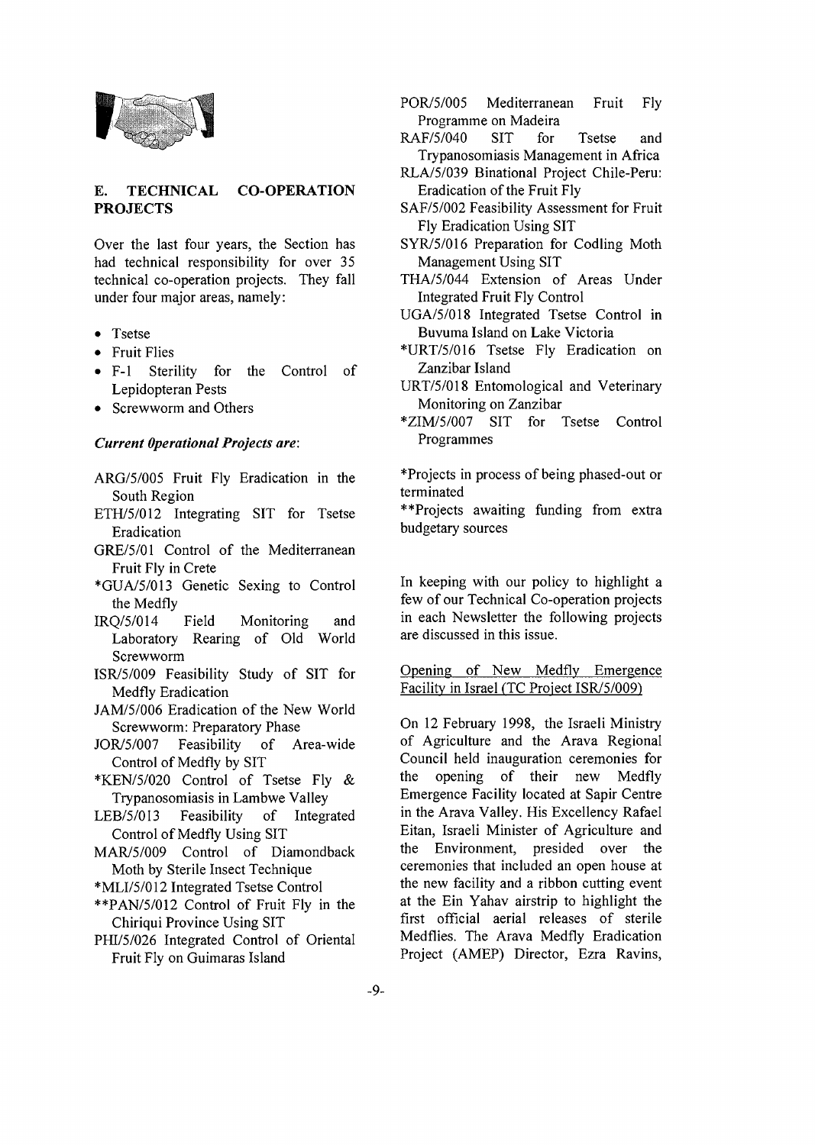

#### **E. TECHNICAL PROJECTS CO-OPERATION**

Over the last four years, the Section has had technical responsibility for over 35 technical co-operation projects. They fall under four major areas, namely:

- Tsetse
- Fruit Flies
- F-l Sterility for the Control of Lepidopteran Pests
- Screwworm and Others

#### *Current Operational Projects are:*

- ARG/5/OO5 Fruit Fly Eradication in the South Region
- ETH/5/012 Integrating SIT for Tsetse Eradication
- GRE/5/01 Control of the Mediterranean Fruit Fly in Crete
- \*GUA/5/O13 Genetic Sexing to Control the Medfly
- IRQ/5/014 Field Monitoring and Laboratory Rearing of Old World Screwworm
- ISR/5/009 Feasibility Study of SIT for Medfly Eradication
- JAM/5/006 Eradication of the New World Screwworm: Preparatory Phase
- JOR/5/007 Feasibility of Area-wide Control of Medfly by SIT
- \*KEN/5/020 Control of Tsetse Fly & Trypanosomiasis in Lambwe Valley
- LEB/5/013 Feasibility of Integrated Control of Medfly Using SIT
- MAR/5/009 Control of Diamondback Moth by Sterile Insect Technique

\*MLI/5/012 Integrated Tsetse Control

- \*\*PAN/5/012 Control of Fruit Fly in the Chiriqui Province Using SIT
- PHI/5/026 Integrated Control of Oriental Fruit Fly on Guimaras Island
- POR/5/005 Mediterranean Fruit Fly Programme on Madeira
- RAF/5/040 SIT for Tsetse and Trypanosomiasis Management in Africa
- RLA/5/039 Binational Project Chile-Peru: Eradication of the Fruit Fly
- SAF/5/002 Feasibility Assessment for Fruit Fly Eradication Using SIT
- SYR/5/016 Preparation for Codling Moth Management Using SIT
- THA/5/044 Extension of Areas Under Integrated Fruit Fly Control
- UGA/5/018 Integrated Tsetse Control in Buvuma Island on Lake Victoria
- \*URT/5/016 Tsetse Fly Eradication on Zanzibar Island
- URT/5/018 Entomological and Veterinary Monitoring on Zanzibar
- \*ZIM/5/007 SIT for Tsetse Control Programmes

\*Projects in process of being phased-out or terminated

\*\*Projects awaiting funding from extra budgetary sources

In keeping with our policy to highlight a few of our Technical Co-operation projects in each Newsletter the following projects are discussed in this issue.

#### Opening of New Medfly Emergence Facility in Israel (TC Project ISR/5/009)

On 12 February 1998, the Israeli Ministry of Agriculture and the Arava Regional Council held inauguration ceremonies for the opening of their new Medfly Emergence Facility located at Sapir Centre in the Arava Valley. His Excellency Rafael Eitan, Israeli Minister of Agriculture and the Environment, presided over the ceremonies that included an open house at the new facility and a ribbon cutting event at the Ein Yahav airstrip to highlight the first official aerial releases of sterile Medflies. The Arava Medfly Eradication Project (AMEP) Director, Ezra Ravins,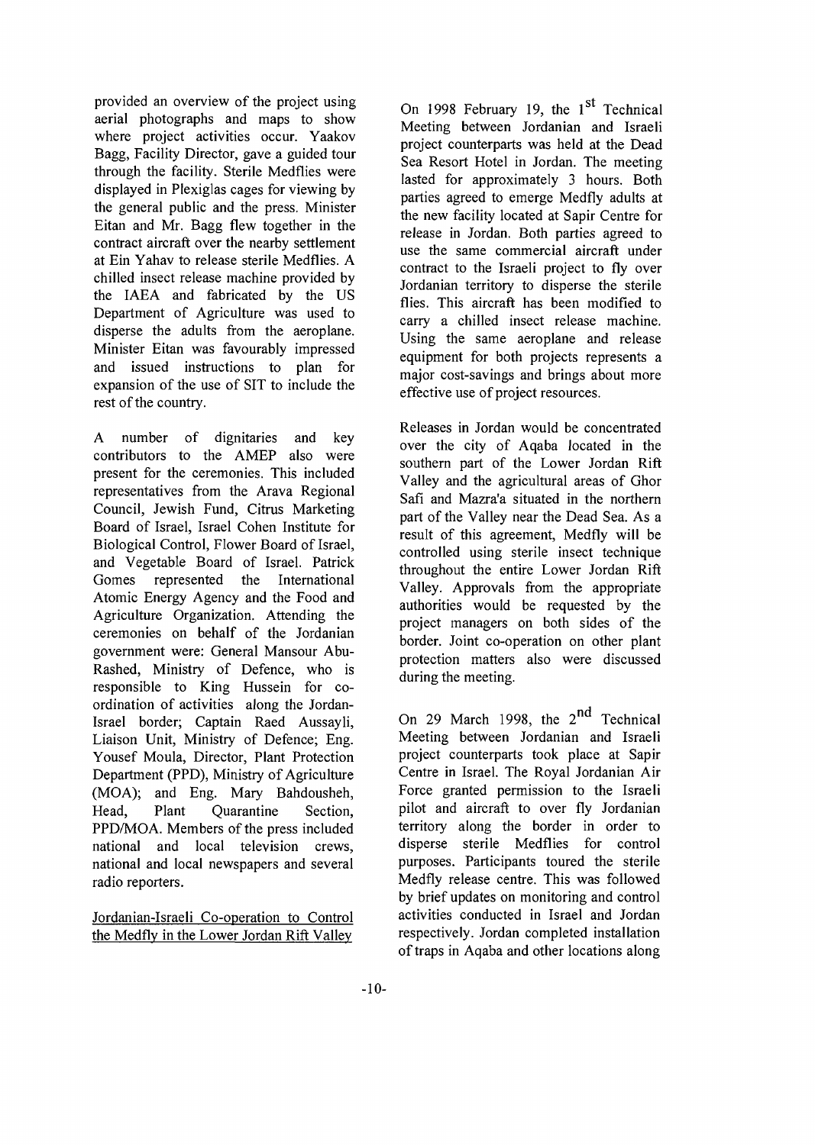provided an overview of the project using aerial photographs and maps to show where project activities occur. Yaakov Bagg, Facility Director, gave a guided tour through the facility. Sterile Medflies were displayed in Plexiglas cages for viewing by the general public and the press. Minister Eitan and Mr. Bagg flew together in the contract aircraft over the nearby settlement at Ein Yahav to release sterile Medflies. A chilled insect release machine provided by the IAEA and fabricated by the US Department of Agriculture was used to disperse the adults from the aeroplane. Minister Eitan was favourably impressed and issued instructions to plan for expansion of the use of SIT to include the rest of the country.

A number of dignitaries and key contributors to the AMEP also were present for the ceremonies. This included representatives from the Arava Regional Council, Jewish Fund, Citrus Marketing Board of Israel, Israel Cohen Institute for Biological Control, Flower Board of Israel, and Vegetable Board of Israel. Patrick Gomes represented the International Atomic Energy Agency and the Food and Agriculture Organization. Attending the ceremonies on behalf of the Jordanian government were: General Mansour Abu-Rashed, Ministry of Defence, who is responsible to King Hussein for coordination of activities along the Jordan-Israel border; Captain Raed Aussayli, Liaison Unit, Ministry of Defence; Eng. Yousef Moula, Director, Plant Protection Department (PPD), Ministry of Agriculture (MOA); and Eng. Mary Bahdousheh, Head, Plant Quarantine Section, PPD/MOA. Members of the press included national and local television crews, national and local newspapers and several radio reporters.

Jordanian-Israeli Co-operation to Control the Medfly in the Lower Jordan Rift Valley

On 1998 February 19, the 1<sup>st</sup> Technical Meeting between Jordanian and Israeli project counterparts was held at the Dead Sea Resort Hotel in Jordan. The meeting lasted for approximately 3 hours. Both parties agreed to emerge Medfly adults at the new facility located at Sapir Centre for release in Jordan. Both parties agreed to use the same commercial aircraft under contract to the Israeli project to fly over Jordanian territory to disperse the sterile flies. This aircraft has been modified to carry a chilled insect release machine. Using the same aeroplane and release equipment for both projects represents a major cost-savings and brings about more effective use of project resources.

Releases in Jordan would be concentrated over the city of Aqaba located in the southern part of the Lower Jordan Rift Valley and the agricultural areas of Ghor Safi and Mazra'a situated in the northern part of the Valley near the Dead Sea. As a result of this agreement, Medfly will be controlled using sterile insect technique throughout the entire Lower Jordan Rift Valley. Approvals from the appropriate authorities would be requested by the project managers on both sides of the border. Joint co-operation on other plant protection matters also were discussed during the meeting.

On 29 March 1998, the 2<sup>nd</sup> Technical Meeting between Jordanian and Israeli project counterparts took place at Sapir Centre in Israel. The Royal Jordanian Air Force granted permission to the Israeli pilot and aircraft to over fly Jordanian territory along the border in order to disperse sterile Medflies for control purposes. Participants toured the sterile Medfly release centre. This was followed by brief updates on monitoring and control activities conducted in Israel and Jordan respectively. Jordan completed installation of traps in Aqaba and other locations along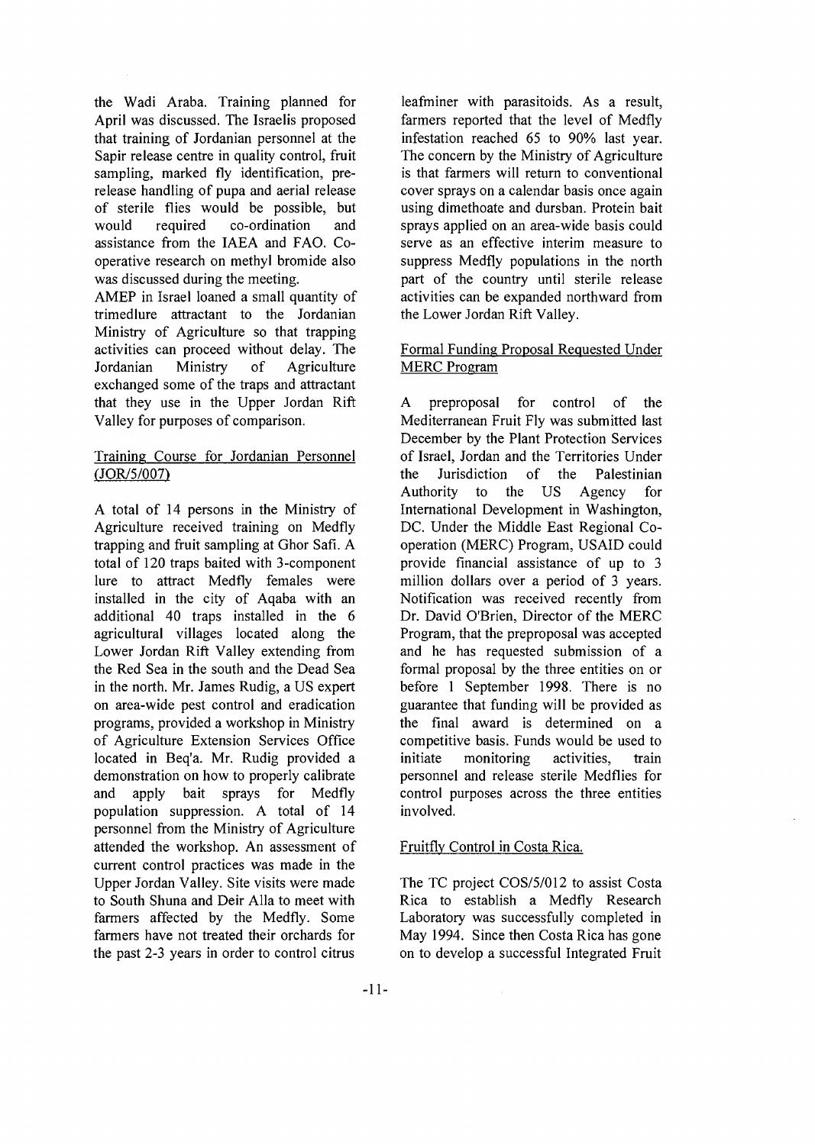the Wadi Araba. Training planned for April was discussed. The Israelis proposed that training of Jordanian personnel at the Sapir release centre in quality control, fruit sampling, marked fly identification, prerelease handling of pupa and aerial release of sterile flies would be possible, but would required co-ordination and assistance from the IAEA and FAO. Cooperative research on methyl bromide also was discussed during the meeting.

AMEP in Israel loaned a small quantity of trimedlure attractant to the Jordanian Ministry of Agriculture so that trapping activities can proceed without delay. The Jordanian Ministry of Agriculture exchanged some of the traps and attractant that they use in the Upper Jordan Rift Valley for purposes of comparison.

# Training Course for Jordanian Personnel (JOR/5/007)

A total of 14 persons in the Ministry of Agriculture received training on Medfly trapping and fruit sampling at Ghor Safi. A total of 120 traps baited with 3-component lure to attract Medfly females were installed in the city of Aqaba with an additional 40 traps installed in the 6 agricultural villages located along the Lower Jordan Rift Valley extending from the Red Sea in the south and the Dead Sea in the north. Mr. James Rudig, a US expert on area-wide pest control and eradication programs, provided a workshop in Ministry of Agriculture Extension Services Office located in Beq'a. Mr. Rudig provided a demonstration on how to properly calibrate and apply bait sprays for Medfly population suppression. A total of 14 personnel from the Ministry of Agriculture attended the workshop. An assessment of current control practices was made in the Upper Jordan Valley. Site visits were made to South Shuna and Deir Alia to meet with farmers affected by the Medfly. Some farmers have not treated their orchards for the past 2-3 years in order to control citrus

leafminer with parasitoids. As a result, farmers reported that the level of Medfly infestation reached 65 to 90% last year. The concern by the Ministry of Agriculture is that farmers will return to conventional cover sprays on a calendar basis once again using dimethoate and dursban. Protein bait sprays applied on an area-wide basis could serve as an effective interim measure to suppress Medfly populations in the north part of the country until sterile release activities can be expanded northward from the Lower Jordan Rift Valley.

# Formal Funding Proposal Requested Under MERC Program

A preproposal for control of the Mediterranean Fruit Fly was submitted last December by the Plant Protection Services of Israel, Jordan and the Territories Under the Jurisdiction of the Palestinian Authority to the US Agency for International Development in Washington, DC. Under the Middle East Regional Cooperation (MERC) Program, USAID could provide financial assistance of up to 3 million dollars over a period of 3 years. Notification was received recently from Dr. David O'Brien, Director of the MERC Program, that the preproposal was accepted and he has requested submission of a formal proposal by the three entities on or before 1 September 1998. There is no guarantee that funding will be provided as the final award is determined on a competitive basis. Funds would be used to initiate monitoring activities, train personnel and release sterile Medflies for control purposes across the three entities involved.

# Fruitfly Control in Costa Rica.

The TC project COS/5/012 to assist Costa Rica to establish a Medfly Research Laboratory was successfully completed in May 1994. Since then Costa Rica has gone on to develop a successful Integrated Fruit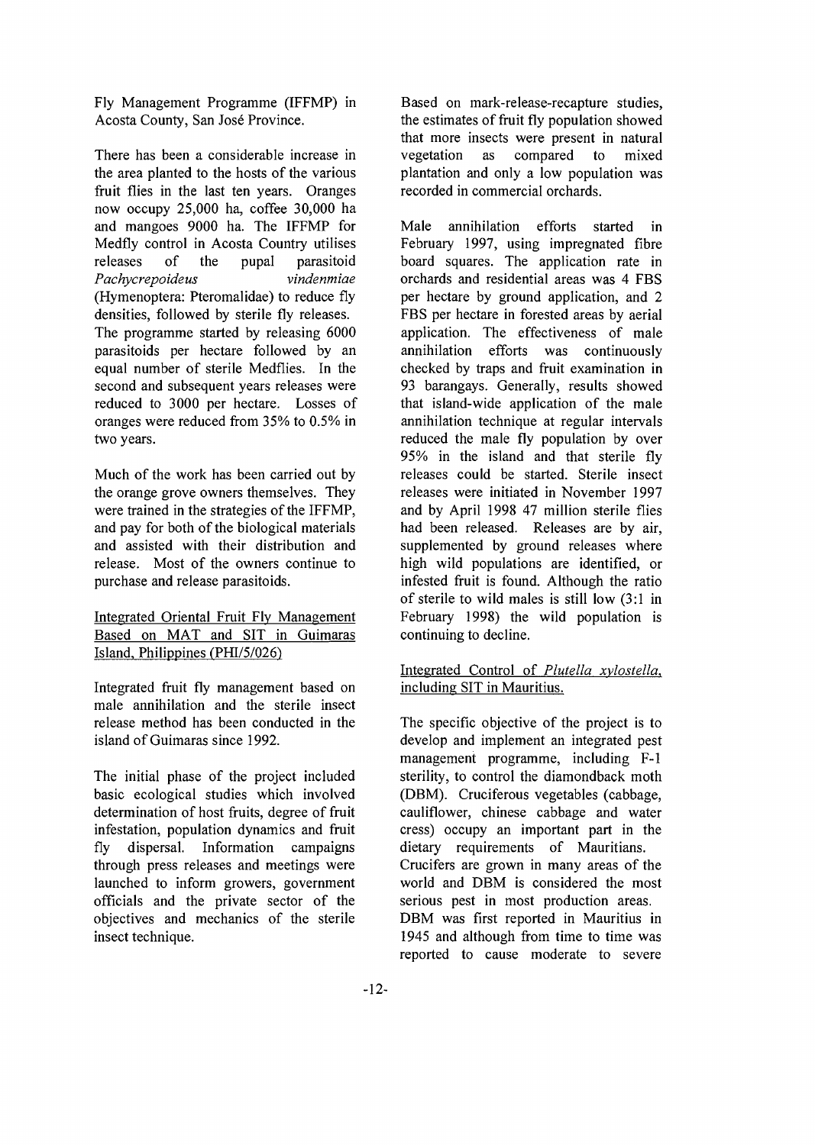Fly Management Programme (IFFMP) in Acosta County, San Jose Province.

There has been a considerable increase in the area planted to the hosts of the various fruit flies in the last ten years. Oranges now occupy 25,000 ha, coffee 30,000 ha and mangoes 9000 ha. The IFFMP for Medfly control in Acosta Country utilises releases of the pupal parasitoid *Pachycrepoideus vindenmiae* (Hymenoptera: Pteromalidae) to reduce fly densities, followed by sterile fly releases. The programme started by releasing 6000 parasitoids per hectare followed by an equal number of sterile Medflies. In the second and subsequent years releases were reduced to 3000 per hectare. Losses of oranges were reduced from 35% to 0.5% in two years.

Much of the work has been carried out by the orange grove owners themselves. They were trained in the strategies of the IFFMP, and pay for both of the biological materials and assisted with their distribution and release. Most of the owners continue to purchase and release parasitoids.

# Integrated Oriental Fruit Fly Management Based on MAT and SIT in Guimaras Island. Philippines (PHI/5/026)

Integrated fruit fly management based on male annihilation and the sterile insect release method has been conducted in the island of Guimaras since 1992.

The initial phase of the project included basic ecological studies which involved determination of host fruits, degree of fruit infestation, population dynamics and fruit fly dispersal. Information campaigns through press releases and meetings were launched to inform growers, government officials and the private sector of the objectives and mechanics of the sterile insect technique.

Based on mark-release-recapture studies, the estimates of fruit fly population showed that more insects were present in natural vegetation as compared to mixed plantation and only a low population was recorded in commercial orchards.

Male annihilation efforts started in February 1997, using impregnated fibre board squares. The application rate in orchards and residential areas was 4 FBS per hectare by ground application, and 2 FBS per hectare in forested areas by aerial application. The effectiveness of male annihilation efforts was continuously checked by traps and fruit examination in 93 barangays. Generally, results showed that island-wide application of the male annihilation technique at regular intervals reduced the male fly population by over 95% in the island and that sterile fly releases could be started. Sterile insect releases were initiated in November 1997 and by April 1998 47 million sterile flies had been released. Releases are by air, supplemented by ground releases where high wild populations are identified, or infested fruit is found. Although the ratio of sterile to wild males is still low (3:1 in February 1998) the wild population is continuing to decline.

# Integrated Control of *Plutella xylostella,* including SIT in Mauritius.

The specific objective of the project is to develop and implement an integrated pest management programme, including F-l sterility, to control the diamondback moth (DBM). Cruciferous vegetables (cabbage, cauliflower, Chinese cabbage and water cress) occupy an important part in the dietary requirements of Mauritians. Crucifers are grown in many areas of the world and DBM is considered the most serious pest in most production areas. DBM was first reported in Mauritius in 1945 and although from time to time was reported to cause moderate to severe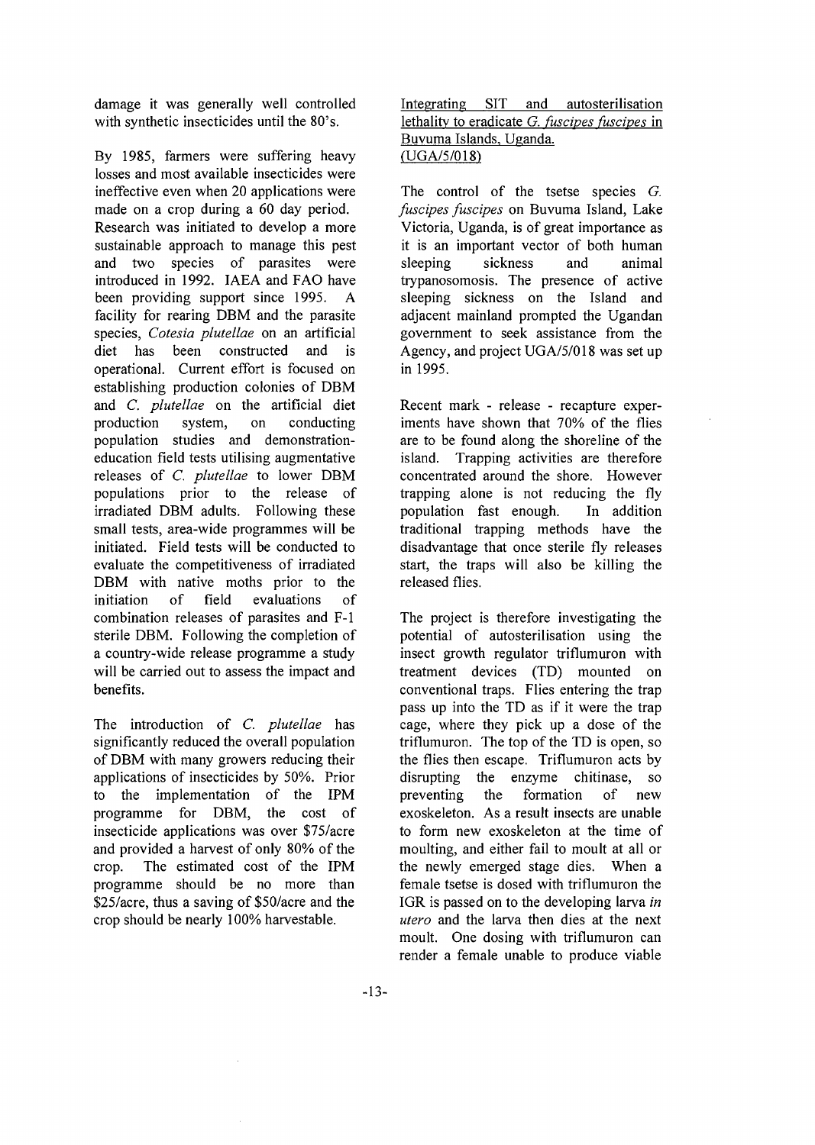damage it was generally well controlled with synthetic insecticides until the 80's.

By 1985, farmers were suffering heavy losses and most available insecticides were ineffective even when 20 applications were made on a crop during a 60 day period. Research was initiated to develop a more sustainable approach to manage this pest and two species of parasites were introduced in 1992. IAEA and FAO have been providing support since 1995. A facility for rearing DBM and the parasite species, *Cotesia plutellae* on an artificial diet has been constructed and is operational. Current effort is focused on establishing production colonies of DBM and *C. plutellae* on the artificial diet production system, on conducting population studies and demonstrationeducation field tests utilising augmentative releases of *C. plutellae* to lower DBM populations prior to the release of irradiated DBM adults. Following these small tests, area-wide programmes will be initiated. Field tests will be conducted to evaluate the competitiveness of irradiated DBM with native moths prior to the initiation of field evaluations of combination releases of parasites and F-l sterile DBM. Following the completion of a country-wide release programme a study will be carried out to assess the impact and benefits.

The introduction of *C. plutellae* has significantly reduced the overall population of DBM with many growers reducing their applications of insecticides by 50%. Prior to the implementation of the IPM programme for DBM, the cost of insecticide applications was over \$75/acre and provided a harvest of only 80% of the crop. The estimated cost of the IPM programme should be no more than \$25/acre, thus a saving of \$50/acre and the crop should be nearly 100% harvestable.

Integrating SIT and autosterilisation lethality to eradicate *G. fuscipes fuscipes* in Buvuma Islands, Uganda. (UGA/5/018)

The control of the tsetse species *G. fuscipes fuscipes* on Buvuma Island, Lake Victoria, Uganda, is of great importance as it is an important vector of both human sleeping sickness and animal trypanosomosis. The presence of active sleeping sickness on the Island and adjacent mainland prompted the Ugandan government to seek assistance from the Agency, and project UGA/5/018 was set up in 1995.

Recent mark - release - recapture experiments have shown that 70% of the flies are to be found along the shoreline of the island. Trapping activities are therefore concentrated around the shore. However trapping alone is not reducing the fly population fast enough. In addition traditional trapping methods have the disadvantage that once sterile fly releases start, the traps will also be killing the released flies.

The project is therefore investigating the potential of autosterilisation using the insect growth regulator triflumuron with treatment devices (TD) mounted on conventional traps. Flies entering the trap pass up into the TD as if it were the trap cage, where they pick up a dose of the triflumuron. The top of the TD is open, so the flies then escape. Triflumuron acts by disrupting the enzyme chitinase, so preventing the formation of new exoskeleton. As a result insects are unable to form new exoskeleton at the time of moulting, and either fail to moult at all or the newly emerged stage dies. When a female tsetse is dosed with triflumuron the IGR is passed on to the developing larva *in utero* and the larva then dies at the next moult. One dosing with triflumuron can render a female unable to produce viable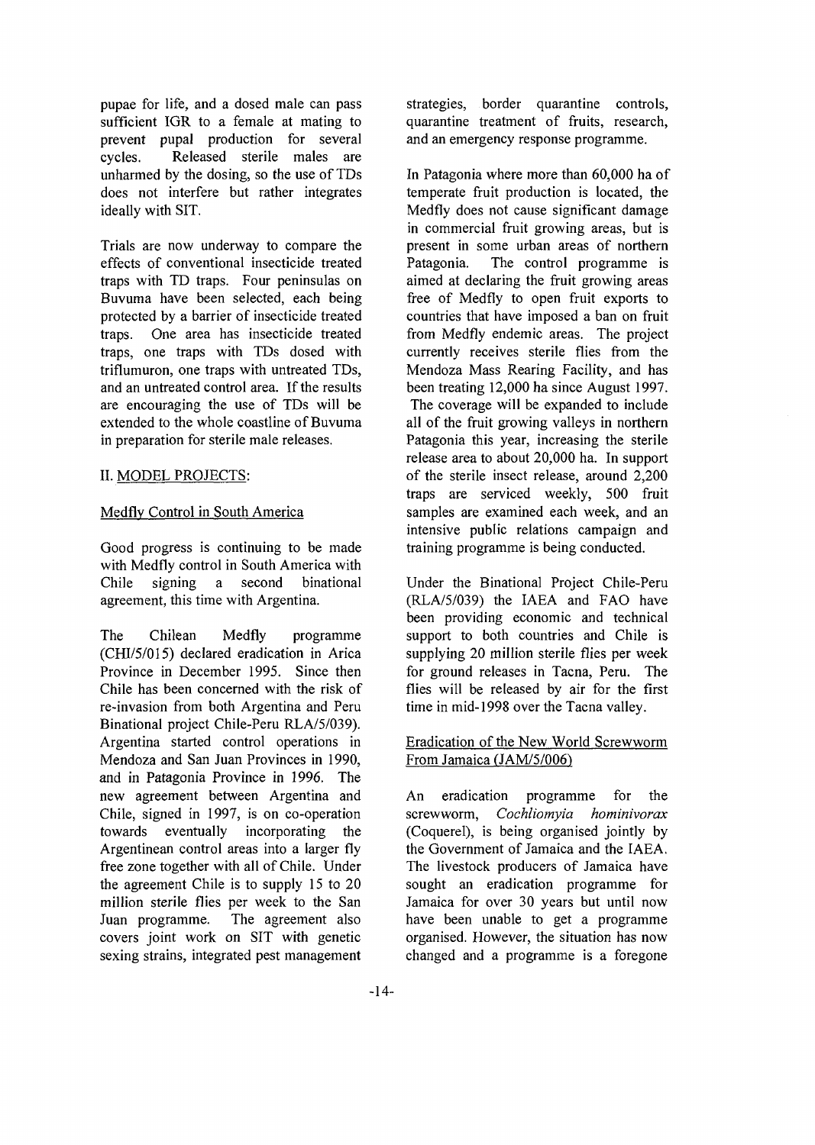pupae for life, and a dosed male can pass sufficient IGR to a female at mating to prevent pupal production for several cycles. Released sterile males are unharmed by the dosing, so the use of TDs does not interfere but rather integrates ideally with SIT.

Trials are now underway to compare the effects of conventional insecticide treated traps with TD traps. Four peninsulas on Buvuma have been selected, each being protected by a barrier of insecticide treated traps. One area has insecticide treated traps, one traps with TDs dosed with triflumuron, one traps with untreated TDs, and an untreated control area. If the results are encouraging the use of TDs will be extended to the whole coastline of Buvuma in preparation for sterile male releases.

## II. MODEL PROJECTS:

## Medfly Control in South America

Good progress is continuing to be made with Medfly control in South America with Chile signing a second binational agreement, this time with Argentina.

The Chilean Medfly programme (CHI/5/015) declared eradication in Arica Province in December 1995. Since then Chile has been concerned with the risk of re-invasion from both Argentina and Peru Binational project Chile-Peru RLA/5/039). Argentina started control operations in Mendoza and San Juan Provinces in 1990, and in Patagonia Province in 1996. The new agreement between Argentina and Chile, signed in 1997, is on co-operation towards eventually incorporating the Argentinean control areas into a larger fly free zone together with all of Chile. Under the agreement Chile is to supply 15 to 20 million sterile flies per week to the San Juan programme. The agreement also covers joint work on SIT with genetic sexing strains, integrated pest management

strategies, border quarantine controls, quarantine treatment of fruits, research, and an emergency response programme.

In Patagonia where more than 60,000 ha of temperate fruit production is located, the Medfly does not cause significant damage in commercial fruit growing areas, but is present in some urban areas of northern Patagonia. The control programme is aimed at declaring the fruit growing areas free of Medfly to open fruit exports to countries that have imposed a ban on fruit from Medfly endemic areas. The project currently receives sterile flies from the Mendoza Mass Rearing Facility, and has been treating 12,000 ha since August 1997. The coverage will be expanded to include all of the fruit growing valleys in northern Patagonia this year, increasing the sterile release area to about 20,000 ha. In support of the sterile insect release, around 2,200 traps are serviced weekly, 500 fruit samples are examined each week, and an intensive public relations campaign and training programme is being conducted.

Under the Binational Project Chile-Peru (RLA/5/039) the IAEA and FAO have been providing economic and technical support to both countries and Chile is supplying 20 million sterile flies per week for ground releases in Tacna, Peru. The flies will be released by air for the first time in mid-1998 over the Tacna valley.

## Eradication of the New World Screwworm From Jamaica (JAM/5/006)

An eradication programme for the screwworm, *Cochliomyia hominivorax* (Coquerel), is being organised jointly by the Government of Jamaica and the IAEA. The livestock producers of Jamaica have sought an eradication programme for Jamaica for over 30 years but until now have been unable to get a programme organised. However, the situation has now changed and a programme is a foregone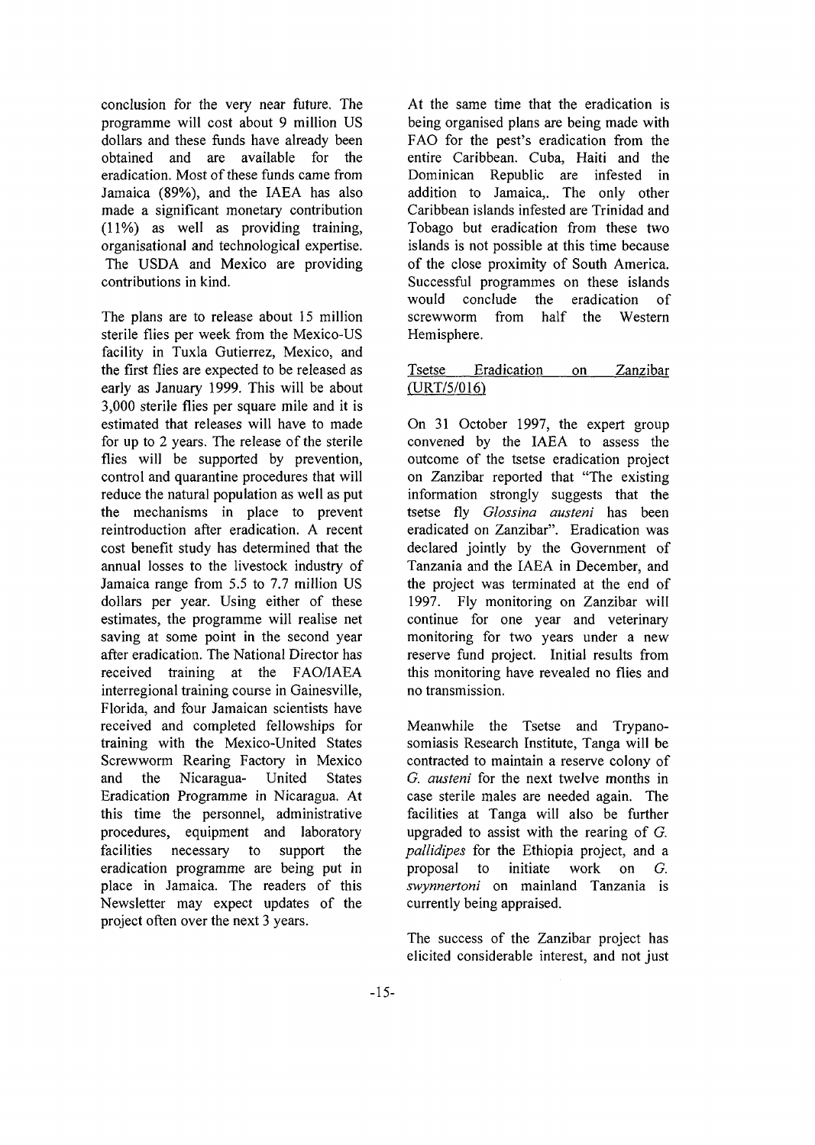conclusion for the very near future. The programme will cost about 9 million US dollars and these funds have already been obtained and are available for the eradication. Most of these funds came from Jamaica (89%), and the IAEA has also made a significant monetary contribution (11%) as well as providing training, organisational and technological expertise. The USDA and Mexico are providing contributions in kind.

The plans are to release about 15 million sterile flies per week from the Mexico-US facility in Tuxla Gutierrez, Mexico, and the first flies are expected to be released as early as January 1999. This will be about 3,000 sterile flies per square mile and it is estimated that releases will have to made for up to 2 years. The release of the sterile flies will be supported by prevention, control and quarantine procedures that will reduce the natural population as well as put the mechanisms in place to prevent reintroduction after eradication. A recent cost benefit study has determined that the annual losses to the livestock industry of Jamaica range from 5.5 to 7.7 million US dollars per year. Using either of these estimates, the programme will realise net saving at some point in the second year after eradication. The National Director has received training at the FAO/IAEA interregional training course in Gainesville, Florida, and four Jamaican scientists have received and completed fellowships for training with the Mexico-United States Screwworm Rearing Factory in Mexico and the Nicaragua- United States Eradication Programme in Nicaragua. At this time the personnel, administrative procedures, equipment and laboratory facilities necessary to support the eradication programme are being put in place in Jamaica. The readers of this Newsletter may expect updates of the project often over the next 3 years.

At the same time that the eradication is being organised plans are being made with FAO for the pest's eradication from the entire Caribbean. Cuba, Haiti and the Dominican Republic are infested in addition to Jamaica,. The only other Caribbean islands infested are Trinidad and Tobago but eradication from these two islands is not possible at this time because of the close proximity of South America. Successful programmes on these islands would conclude the eradication of screwworm from half the Western Hemisphere.

# Tsetse Eradication on Zanzibar (URT/5/016)

On 31 October 1997, the expert group convened by the IAEA to assess the outcome of the tsetse eradication project on Zanzibar reported that "The existing information strongly suggests that the tsetse fly *Glossina austeni* has been eradicated on Zanzibar". Eradication was declared jointly by the Government of Tanzania and the IAEA in December, and the project was terminated at the end of 1997. Fly monitoring on Zanzibar will continue for one year and veterinary monitoring for two years under a new reserve fund project. Initial results from this monitoring have revealed no flies and no transmission.

Meanwhile the Tsetse and Trypanosomiasis Research Institute, Tanga will be contracted to maintain a reserve colony of *G. austeni* for the next twelve months in case sterile males are needed again. The facilities at Tanga will also be further upgraded to assist with the rearing of *G. pallidipes* for the Ethiopia project, and a proposal to initiate work on *G. swynnertoni* on mainland Tanzania is currently being appraised.

The success of the Zanzibar project has elicited considerable interest, and not just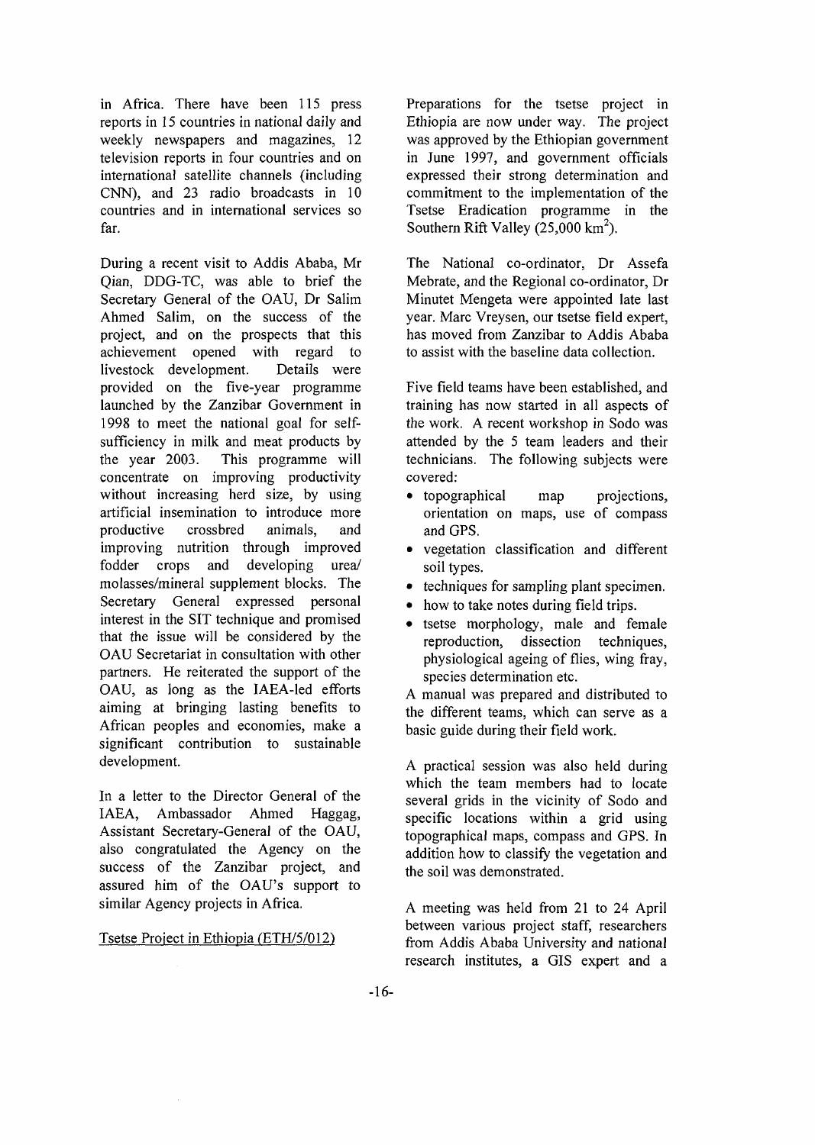in Africa. There have been 115 press reports in 15 countries in national daily and weekly newspapers and magazines, 12 television reports in four countries and on international satellite channels (including CNN), and 23 radio broadcasts in 10 countries and in international services so far.

During a recent visit to Addis Ababa, Mr Qian, DDG-TC, was able to brief the Secretary General of the OAU, Dr Salim Ahmed Salim, on the success of the project, and on the prospects that this achievement opened with regard to livestock development. Details were provided on the five-year programme launched by the Zanzibar Government in 1998 to meet the national goal for selfsufficiency in milk and meat products by the year 2003. This programme will concentrate on improving productivity without increasing herd size, by using artificial insemination to introduce more productive crossbred animals, and improving nutrition through improved fodder crops and developing urea/ molasses/mineral supplement blocks. The Secretary General expressed personal interest in the SIT technique and promised that the issue will be considered by the OAU Secretariat in consultation with other partners. He reiterated the support of the OAU, as long as the IAEA-led efforts aiming at bringing lasting benefits to African peoples and economies, make a significant contribution to sustainable development.

In a letter to the Director General of the IAEA, Ambassador Ahmed Haggag, Assistant Secretary-General of the OAU, also congratulated the Agency on the success of the Zanzibar project, and assured him of the OAU's support to similar Agency projects in Africa.

#### Tsetse Project in Ethiopia (ETH/5/012)

Preparations for the tsetse project in Ethiopia are now under way. The project was approved by the Ethiopian government in June 1997, and government officials expressed their strong determination and commitment to the implementation of the Tsetse Eradication programme in the Southern Rift Valley (25,000 km<sup>2</sup>).

The National co-ordinator, Dr Assefa Mebrate, and the Regional co-ordinator, Dr Minutet Mengeta were appointed late last year. Marc Vreysen, our tsetse field expert, has moved from Zanzibar to Addis Ababa to assist with the baseline data collection.

Five field teams have been established, and training has now started in all aspects of the work. A recent workshop in Sodo was attended by the 5 team leaders and their technicians. The following subjects were covered:

- topographical map projections, orientation on maps, use of compass and GPS.
- vegetation classification and different soil types.
- techniques for sampling plant specimen.
- how to take notes during field trips.
- tsetse morphology, male and female reproduction, dissection techniques, physiological ageing of flies, wing fray, species determination etc.

A manual was prepared and distributed to the different teams, which can serve as a basic guide during their field work.

A practical session was also held during which the team members had to locate several grids in the vicinity of Sodo and specific locations within a grid using topographical maps, compass and GPS. In addition how to classify the vegetation and the soil was demonstrated.

A meeting was held from 21 to 24 April between various project staff, researchers from Addis Ababa University and national research institutes, a GIS expert and a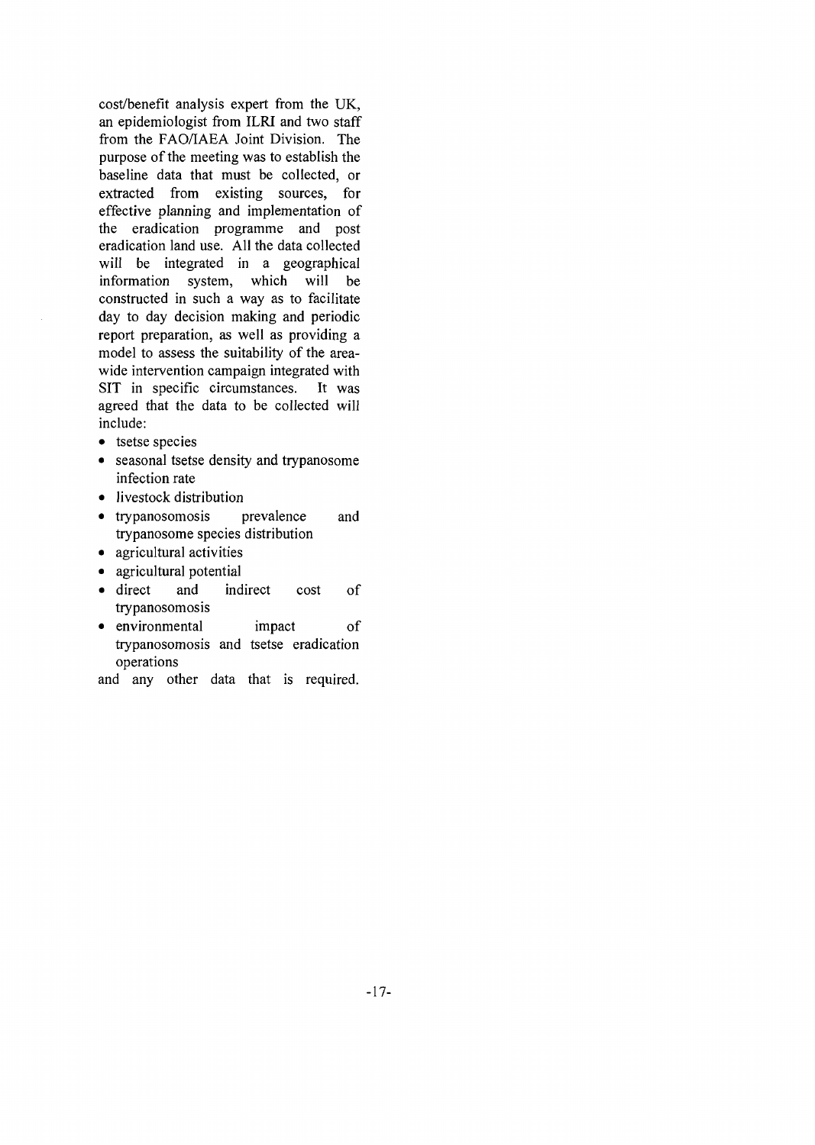cost/benefit analysis expert from the UK, an epidemiologist from ILRI and two staff from the FAO/IAEA Joint Division. The purpose of the meeting was to establish the baseline data that must be collected, or extracted from existing sources, for effective planning and implementation of the eradication programme and post eradication land use. All the data collected will be integrated in a geographical information system, which will be constructed in such a way as to facilitate day to day decision making and periodic report preparation, as well as providing a model to assess the suitability of the areawide intervention campaign integrated with SIT in specific circumstances. It was agreed that the data to be collected will include:

- tsetse species
- seasonal tsetse density and trypanosome infection rate
- livestock distribution
- trypanosomosis prevalence and trypanosome species distribution
- agricultural activities
- agricultural potential
- direct and indirect cost of trypanosomosis
- environmental impact of trypanosomosis and tsetse eradication operations

and any other data that is required.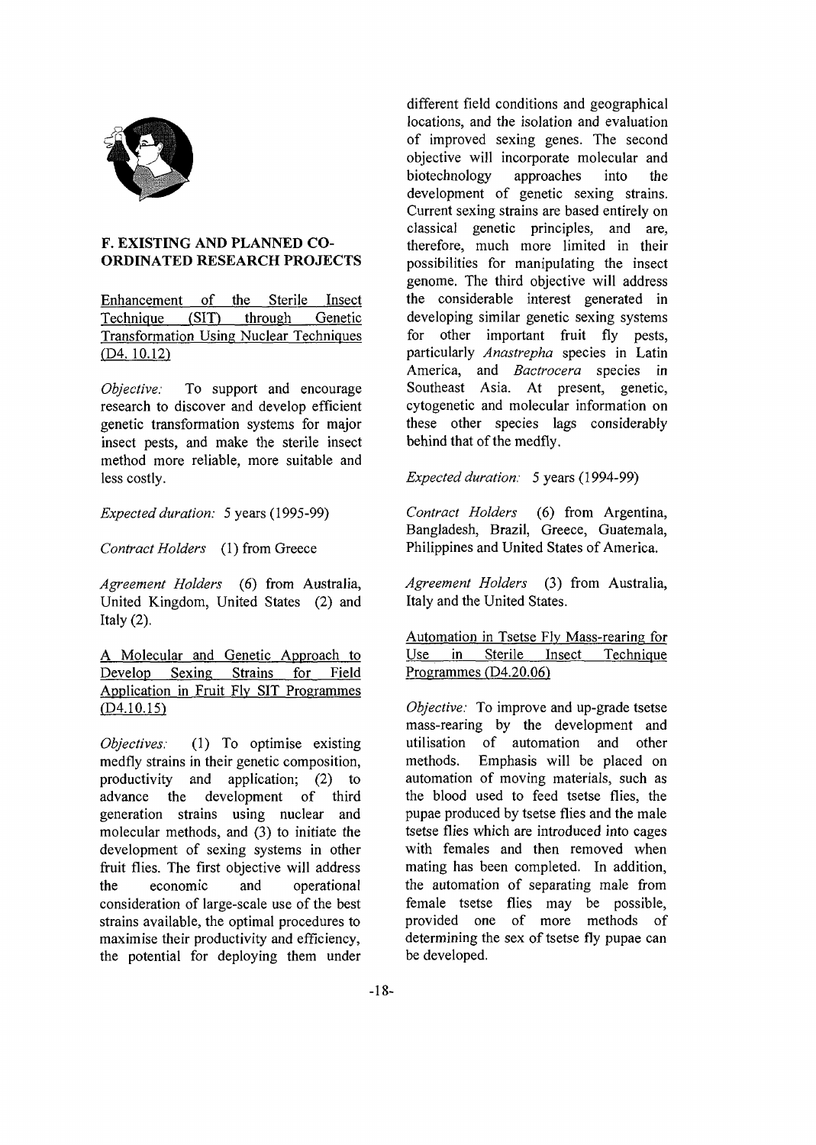

# **F. EXISTING AND PLANNED CO-ORDINATED RESEARCH PROJECTS**

Enhancement of the Sterile Insect Technique (SIT) through Genetic Transformation Using Nuclear Techniques (D4. 10.12)

*Objective:* To support and encourage research to discover and develop efficient genetic transformation systems for major insect pests, and make the sterile insect method more reliable, more suitable and less costly.

*Expected duration:* 5 years (1995-99)

*Contract Holders* (1) from Greece

*Agreement Holders* (6) from Australia, United Kingdom, United States (2) and Italy  $(2)$ .

A Molecular and Genetic Approach to Develop Sexing Strains for Field Application in Fruit Flv SIT Programmes (D4.10.15)

*Objectives:* (1) To optimise existing medfly strains in their genetic composition, productivity and application; (2) to advance the development of third generation strains using nuclear and molecular methods, and (3) to initiate the development of sexing systems in other fruit flies. The first objective will address the economic and operational consideration of large-scale use of the best strains available, the optimal procedures to maximise their productivity and efficiency, the potential for deploying them under

different field conditions and geographical locations, and the isolation and evaluation of improved sexing genes. The second objective will incorporate molecular and biotechnology approaches into the development of genetic sexing strains. Current sexing strains are based entirely on classical genetic principles, and are, therefore, much more limited in their possibilities for manipulating the insect genome. The third objective will address the considerable interest generated in developing similar genetic sexing systems for other important fruit fly pests, particularly *Anastrepha* species in Latin America, and *Bactrocera* species in Southeast Asia. At present, genetic, cytogenetic and molecular information on these other species lags considerably behind that of the medfly.

*Expected duration:* 5 years (1994-99)

*Contract Holders* (6) from Argentina, Bangladesh, Brazil, Greece, Guatemala, Philippines and United States of America.

*Agreement Holders* (3) from Australia, Italy and the United States.

Automation in Tsetse Flv Mass-rearing for Use in Sterile Insect Technique Programmes (D4.20.06)

*Objective:* To improve and up-grade tsetse mass-rearing by the development and utilisation of automation and other methods. Emphasis will be placed on automation of moving materials, such as the blood used to feed tsetse flies, the pupae produced by tsetse flies and the male tsetse flies which are introduced into cages with females and then removed when mating has been completed. In addition, the automation of separating male from female tsetse flies may be possible, provided one of more methods of determining the sex of tsetse fly pupae can be developed.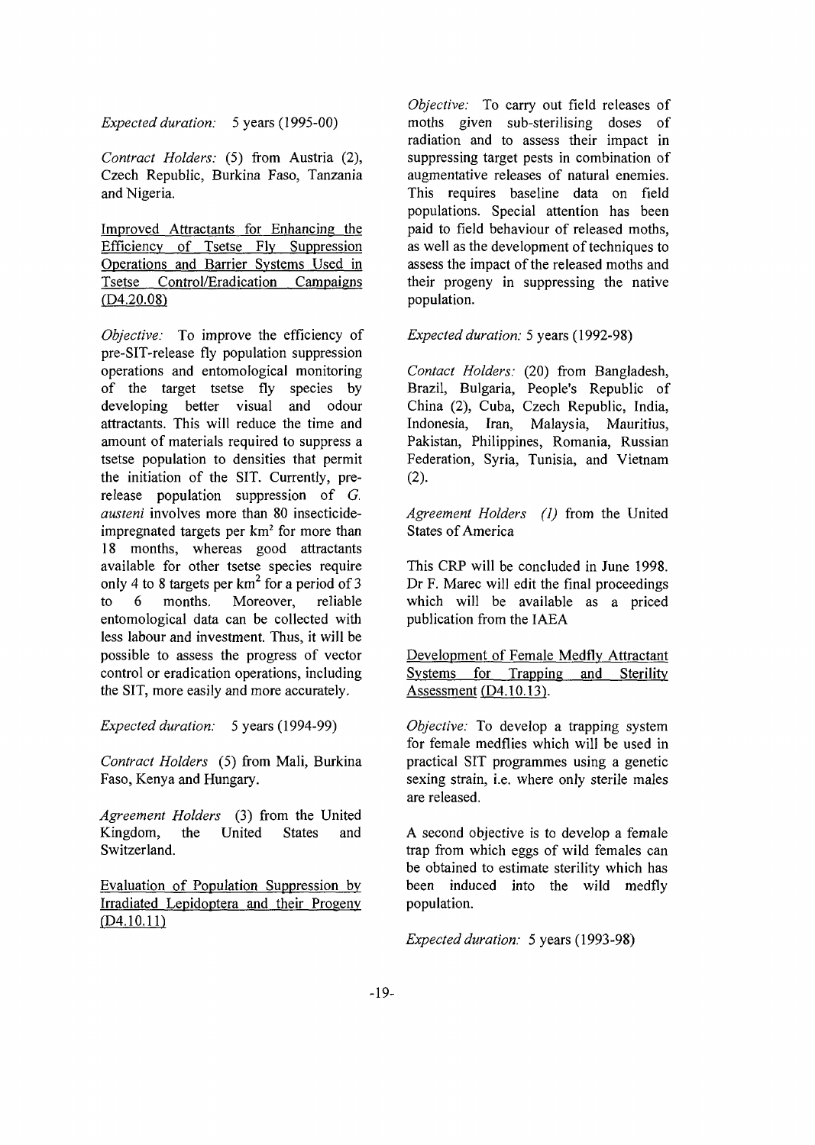*Expected duration:* 5 years (1995-00)

*Contract Holders:* (5) from Austria (2), Czech Republic, Burkina Faso, Tanzania and Nigeria.

Improved Attractants for Enhancing the Efficiency of Tsetse Fly Suppression Operations and Barrier Systems Used in Tsetse Control/Eradication Campaigns  $(D4.20.08)$ 

*Objective:* To improve the efficiency of pre-SIT-release fly population suppression operations and entomological monitoring of the target tsetse fly species by developing better visual and odour attractants. This will reduce the time and amount of materials required to suppress a tsetse population to densities that permit the initiation of the SIT. Currently, prerelease population suppression of *G. austeni* involves more than 80 insecticideimpregnated targets per km<sup>2</sup> for more than 18 months, whereas good attractants available for other tsetse species require only 4 to 8 targets per  $km^2$  for a period of 3 to 6 months. Moreover, reliable entomological data can be collected with less labour and investment. Thus, it will be possible to assess the progress of vector control or eradication operations, including the SIT, more easily and more accurately.

*Expected duration:* 5 years (1994-99)

*Contract Holders* (5) from Mali, Burkina Faso, Kenya and Hungary.

*Agreement Holders* (3) from the United Kingdom, the United States and Switzerland.

Evaluation of Population Suppression by Irradiated Lepidoptera and their Progeny  $(D4.10.11)$ 

*Objective:* To carry out field releases of moths given sub-sterilising doses of radiation and to assess their impact in suppressing target pests in combination of augmentative releases of natural enemies. This requires baseline data on field populations. Special attention has been paid to field behaviour of released moths, as well as the development of techniques to assess the impact of the released moths and their progeny in suppressing the native population.

*Expected duration:* 5 years (1992-98)

*Contact Holders:* (20) from Bangladesh, Brazil, Bulgaria, People's Republic of China (2), Cuba, Czech Republic, India, Indonesia, Iran, Malaysia, Mauritius, Pakistan, Philippines, Romania, Russian Federation, Syria, Tunisia, and Vietnam (2).

*Agreement Holders (1)* from the United States of America

This CRP will be concluded in June 1998. Dr F. Marec will edit the final proceedings which will be available as a priced publication from the IAEA

Development of Female Medfly Attractant Systems for Trapping and Sterility Assessment  $(D4.10.13)$ .

*Objective:* To develop a trapping system for female medflies which will be used in practical SIT programmes using a genetic sexing strain, i.e. where only sterile males are released.

A second objective is to develop a female trap from which eggs of wild females can be obtained to estimate sterility which has been induced into the wild medfly population.

*Expected duration:* 5 years (1993-98)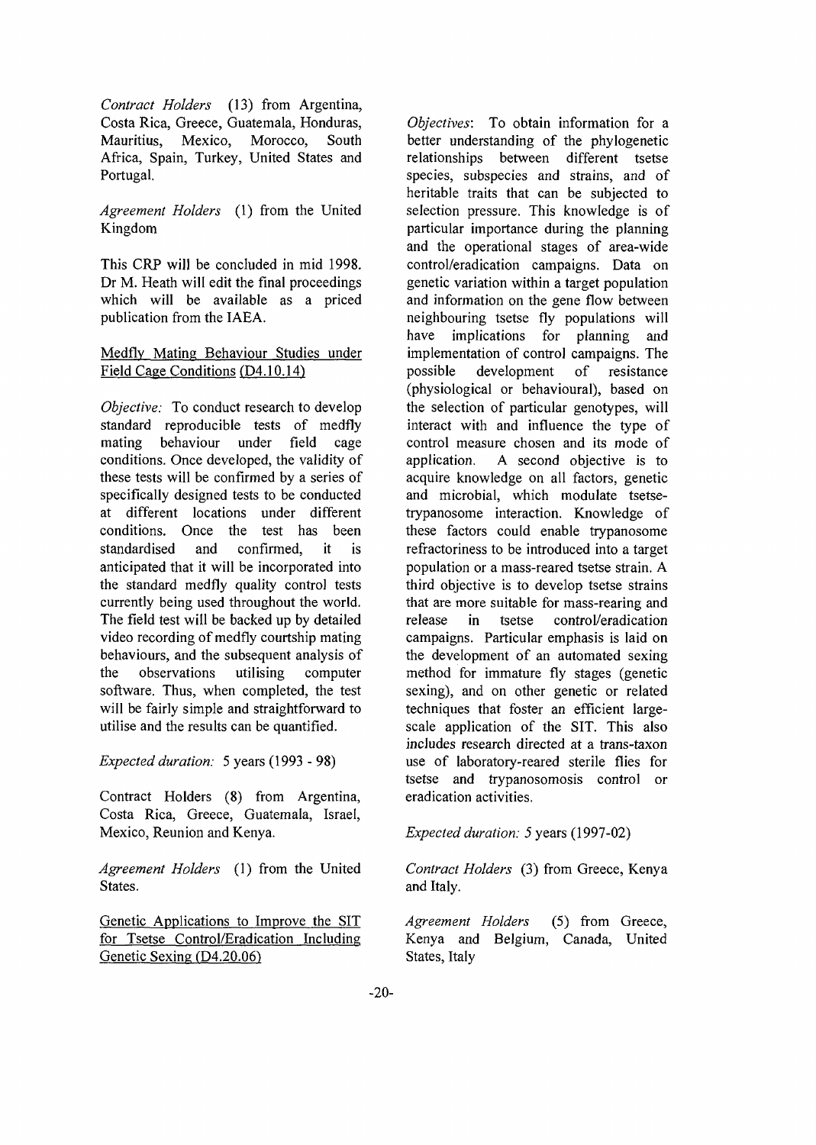*Contract Holders* (13) from Argentina, Costa Rica, Greece, Guatemala, Honduras, Mexico, Morocco, South Africa, Spain, Turkey, United States and Portugal.

*Agreement Holders* (1) from the United Kingdom

This CRP will be concluded in mid 1998. Dr M. Heath will edit the final proceedings which will be available as a priced publication from the IAEA.

# Medfly Mating Behaviour Studies under Field Cage Conditions (D4.10.14)

*Objective:* To conduct research to develop standard reproducible tests of medfly mating behaviour under field cage conditions. Once developed, the validity of these tests will be confirmed by a series of specifically designed tests to be conducted at different locations under different conditions. Once the test has been standardised and confirmed, it is anticipated that it will be incorporated into the standard medfly quality control tests currently being used throughout the world. The field test will be backed up by detailed video recording of medfly courtship mating behaviours, and the subsequent analysis of the observations utilising computer software. Thus, when completed, the test will be fairly simple and straightforward to utilise and the results can be quantified.

*Expected duration:* 5 years (1993 - 98)

Contract Holders (8) from Argentina, Costa Rica, Greece, Guatemala, Israel, Mexico, Reunion and Kenya.

*Agreement Holders* (1) from the United States.

Genetic Applications to Improve the SIT for Tsetse Control/Eradication Including Genetic Sexing (D4.20.06)

*Objectives:* To obtain information for a better understanding of the phylogenetic relationships between different tsetse species, subspecies and strains, and of heritable traits that can be subjected to selection pressure. This knowledge is of particular importance during the planning and the operational stages of area-wide control/eradication campaigns. Data on genetic variation within a target population and information on the gene flow between neighbouring tsetse fly populations will have implications for planning and implementation of control campaigns. The possible development of resistance (physiological or behavioural), based on the selection of particular genotypes, will interact with and influence the type of control measure chosen and its mode of application. A second objective is to acquire knowledge on all factors, genetic and microbial, which modulate tsetsetrypanosome interaction. Knowledge of these factors could enable trypanosome refractoriness to be introduced into a target population or a mass-reared tsetse strain. A third objective is to develop tsetse strains that are more suitable for more noning and release in tector control/eradication release in tsetse control/eradication<br>campaigns. Particular emphasis is laid on the development of an automated sexing method for immature fly stages (genetic sexing), and on other genetic or related scaling), and on other generic of related reconfigures that foster an efficient fargescale application of the SIT. This also includes research directed at a trans-taxon use of laboratory-reared sterile flies for tsetse and trypanosomosis control or eradication activities.

*Expected duration: 5* years (1997-02)

*Contract Holders* (3) from Greece, Kenya and Italy.

*Agreement Holders* (5) from Greece, Kenya and Belgium, Canada, United States, Italy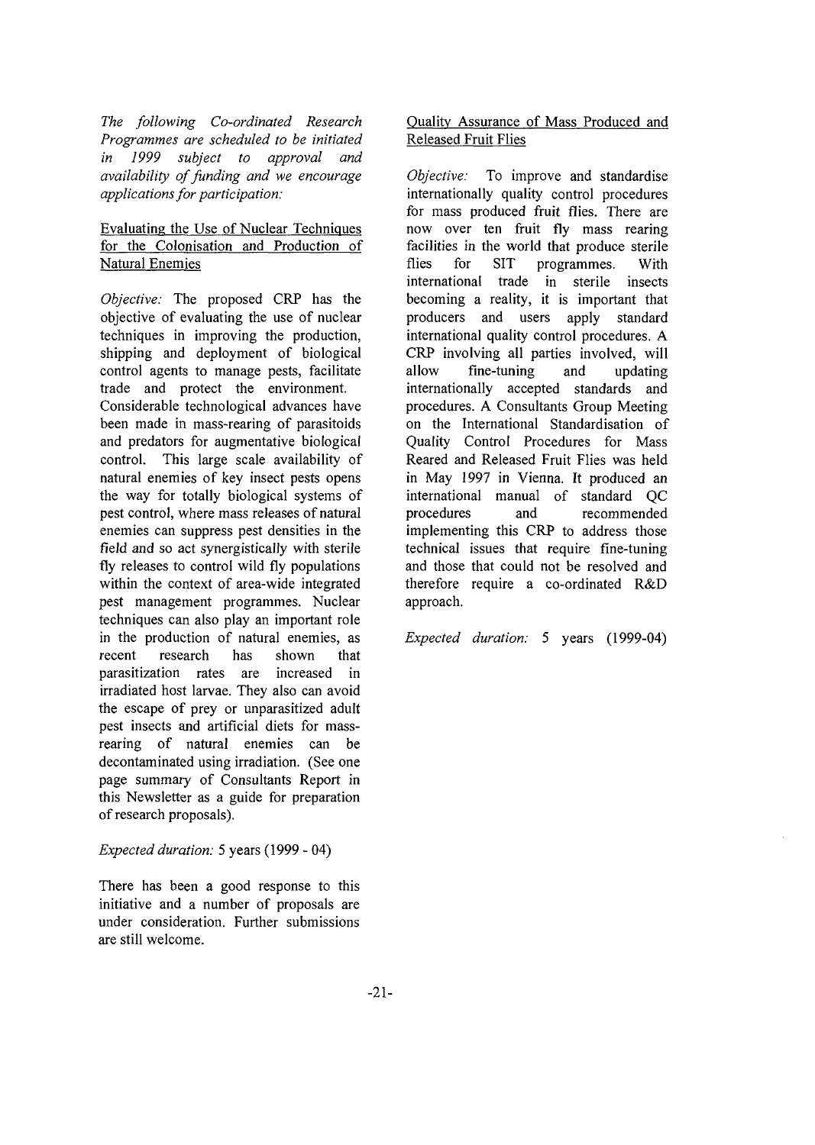*The following Co-ordinated Research Programmes are scheduled to be initiated in 1999 subject to approval and availability of funding and we encourage applications for participation:*

# Evaluating the Use of Nuclear Techniques for the Colonisation and Production of Natural Enemies

*Objective:* The proposed CRP has the objective of evaluating the use of nuclear techniques in improving the production, shipping and deployment of biological control agents to manage pests, facilitate trade and protect the environment. Considerable technological advances have been made in mass-rearing of parasitoids and predators for augmentative biological control. This large scale availability of natural enemies of key insect pests opens the way for totally biological systems of pest control, where mass releases of natural enemies can suppress pest densities in the field and so act synergistically with sterile fly releases to control wild fly populations within the context of area-wide integrated pest management programmes. Nuclear techniques can also play an important role in the production of natural enemies, as recent research has shown that parasitization rates are increased in irradiated host larvae. They also can avoid the escape of prey or unparasitized adult pest insects and artificial diets for massrearing of natural enemies can be decontaminated using irradiation. (See one page summary of Consultants Report in this Newsletter as a guide for preparation of research proposals).

# *Expected duration:* 5 years (1999 - 04)

There has been a good response to this initiative and a number of proposals are under consideration. Further submissions are still welcome.

# Quality Assurance of Mass Produced and Released Fruit Flies

*Objective:* To improve and standardise internationally quality control procedures for mass produced fruit flies. There are now over ten fruit fly mass rearing facilities in the world that produce sterile flies for SIT programmes. With international trade in sterile insects becoming a reality, it is important that producers and users apply standard international quality control procedures. A CRP involving all parties involved, will allow fine-tuning and updating internationally accepted standards and procedures. A Consultants Group Meeting on the International Standardisation of Quality Control Procedures for Mass Reared and Released Fruit Flies was held in May 1997 in Vienna. It produced an international manual of standard QC procedures and recommended implementing this CRP to address those technical issues that require fine-tuning and those that could not be resolved and therefore require a co-ordinated R&D approach.

*Expected duration:* 5 years (1999-04)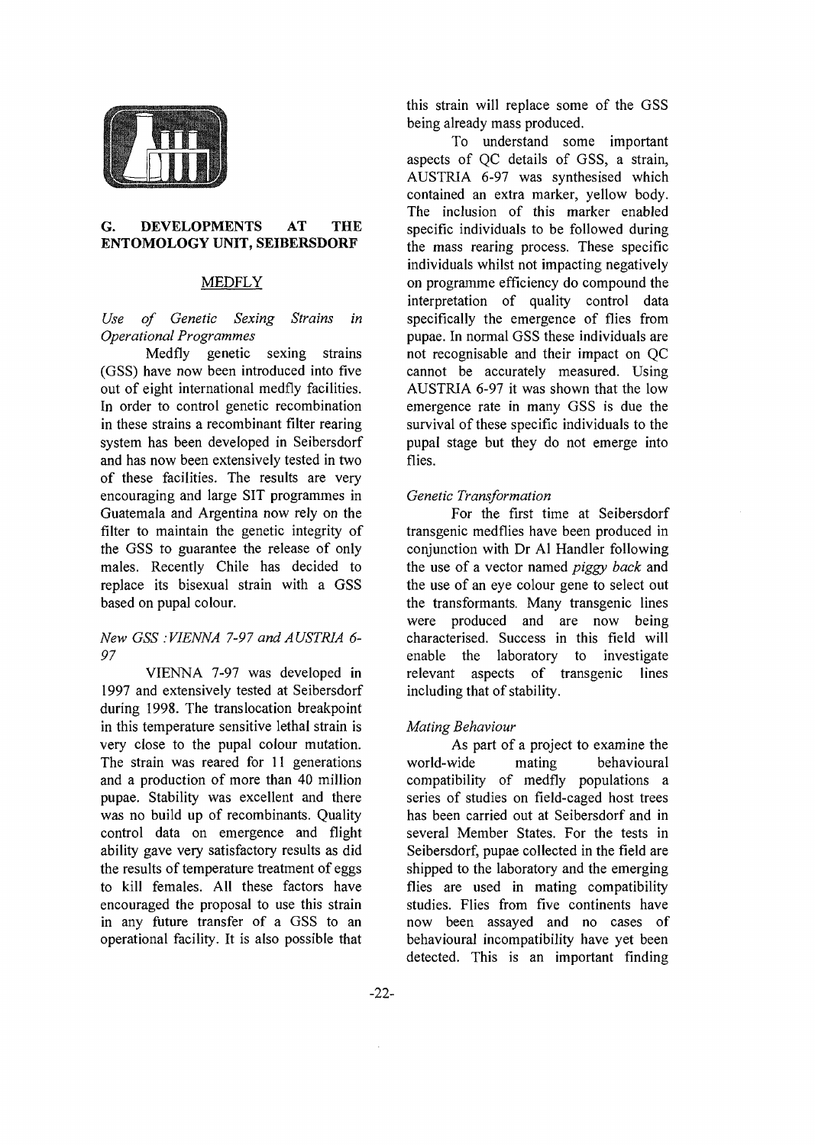

#### **G. DEVELOPMENTS AT THE ENTOMOLOGY UNIT, SEIBERSDORF**

## MEDFLY

#### *Use of Genetic Sexing Strains in Operational Programmes*

Medfly genetic sexing strains (GSS) have now been introduced into five out of eight international medfly facilities. In order to control genetic recombination in these strains a recombinant filter rearing system has been developed in Seibersdorf and has now been extensively tested in two of these facilities. The results are very encouraging and large SIT programmes in Guatemala and Argentina now rely on the filter to maintain the genetic integrity of the GSS to guarantee the release of only males. Recently Chile has decided to replace its bisexual strain with a GSS based on pupal colour.

#### *New GSS : VIENNA 7-97 and AUSTRIA 6- 97*

VIENNA 7-97 was developed in 1997 and extensively tested at Seibersdorf during 1998. The translocation breakpoint in this temperature sensitive lethal strain is very close to the pupal colour mutation. The strain was reared for 11 generations and a production of more than 40 million pupae. Stability was excellent and there was no build up of recombinants. Quality control data on emergence and flight ability gave very satisfactory results as did the results of temperature treatment of eggs to kill females. All these factors have encouraged the proposal to use this strain in any future transfer of a GSS to an operational facility. It is also possible that this strain will replace some of the GSS being already mass produced.

To understand some important aspects of QC details of GSS, a strain, AUSTRIA 6-97 was synthesised which contained an extra marker, yellow body. The inclusion of this marker enabled specific individuals to be followed during the mass rearing process. These specific individuals whilst not impacting negatively on programme efficiency do compound the interpretation of quality control data specifically the emergence of flies from pupae. In normal GSS these individuals are not recognisable and their impact on QC cannot be accurately measured. Using AUSTRIA 6-97 it was shown that the low emergence rate in many GSS is due the survival of these specific individuals to the pupal stage but they do not emerge into flies.

#### *Genetic Transformation*

For the first time at Seibersdorf transgenic medflies have been produced in conjunction with Dr Al Handler following the use of a vector named *piggy back* and the use of an eye colour gene to select out the transformants. Many transgenic lines were produced and are now being characterised. Success in this field will enable the laboratory to investigate relevant aspects of transgenic lines including that of stability.

## *Mating Behaviour*

As part of a project to examine the world-wide mating behavioural compatibility of medfly populations a series of studies on field-caged host trees has been carried out at Seibersdorf and in several Member States. For the tests in Seibersdorf, pupae collected in the field are shipped to the laboratory and the emerging flies are used in mating compatibility studies. Flies from five continents have now been assayed and no cases of behavioural incompatibility have yet been detected. This is an important finding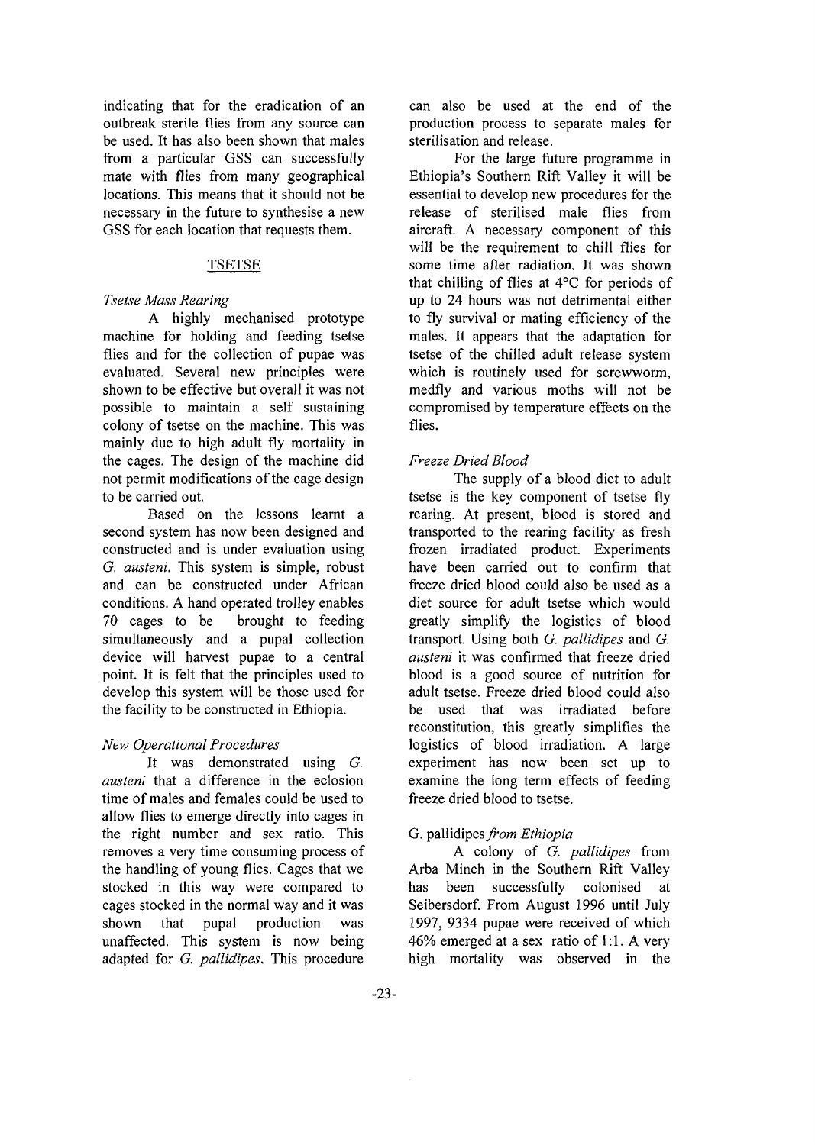indicating that for the eradication of an outbreak sterile flies from any source can be used. It has also been shown that males from a particular GSS can successfully mate with flies from many geographical locations. This means that it should not be necessary in the future to synthesise a new GSS for each location that requests them.

#### TSETSE

## *Tsetse Mass Rearing*

A highly mechanised prototype machine for holding and feeding tsetse flies and for the collection of pupae was evaluated. Several new principles were shown to be effective but overall it was not possible to maintain a self sustaining colony of tsetse on the machine. This was mainly due to high adult fly mortality in the cages. The design of the machine did not permit modifications of the cage design to be carried out.

Based on the lessons learnt a second system has now been designed and constructed and is under evaluation using *G. austeni.* This system is simple, robust and can be constructed under African conditions. A hand operated trolley enables 70 cages to be brought to feeding simultaneously and a pupal collection device will harvest pupae to a central point. It is felt that the principles used to develop this system will be those used for the facility to be constructed in Ethiopia.

## *New Operational Procedures*

It was demonstrated using *G. austeni* that a difference in the eclosion time of males and females could be used to allow flies to emerge directly into cages in the right number and sex ratio. This removes a very time consuming process of the handling of young flies. Cages that we stocked in this way were compared to cages stocked in the normal way and it was shown that pupal production was unaffected. This system is now being adapted for *G. pallidipes.* This procedure

can also be used at the end of the production process to separate males for sterilisation and release.

For the large future programme in Ethiopia's Southern Rift Valley it will be essential to develop new procedures for the release of sterilised male flies from aircraft. A necessary component of this will be the requirement to chill flies for some time after radiation. It was shown that chilling of flies at 4°C for periods of up to 24 hours was not detrimental either to fly survival or mating efficiency of the males. It appears that the adaptation for tsetse of the chilled adult release system which is routinely used for screwworm, medfly and various moths will not be compromised by temperature effects on the flies.

## *Freeze Dried Blood*

The supply of a blood diet to adult tsetse is the key component of tsetse fly rearing. At present, blood is stored and transported to the rearing facility as fresh frozen irradiated product. Experiments have been carried out to confirm that freeze dried blood could also be used as a diet source for adult tsetse which would greatly simplify the logistics of blood transport. Using both *G. pallidipes* and *G. austeni* it was confirmed that freeze dried blood is a good source of nutrition for adult tsetse. Freeze dried blood could also be used that was irradiated before reconstitution, this greatly simplifies the logistics of blood irradiation. A large experiment has now been set up to examine the long term effects of feeding freeze dried blood to tsetse.

## G. pallidipes^/rom *Ethiopia*

A colony of *G. pallidipes* from Arba Minch in the Southern Rift Valley has been successfully colonised at Seibersdorf. From August 1996 until July 1997, 9334 pupae were received of which 46% emerged at a sex ratio of 1:1. A very high mortality was observed in the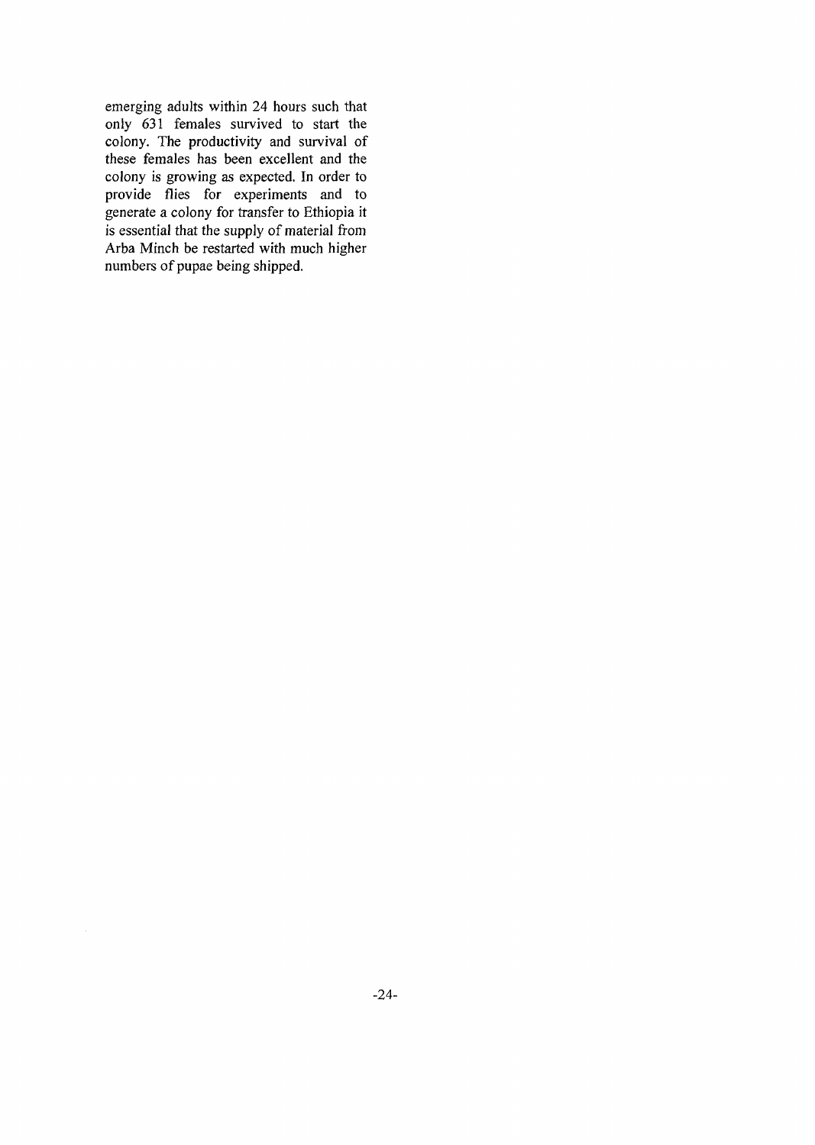emerging adults within 24 hours such that only 631 females survived to start the colony. The productivity and survival of these females has been excellent and the colony is growing as expected. In order to provide flies for experiments and to generate a colony for transfer to Ethiopia it is essential that the supply of material from Arba Minch be restarted with much higher numbers of pupae being shipped.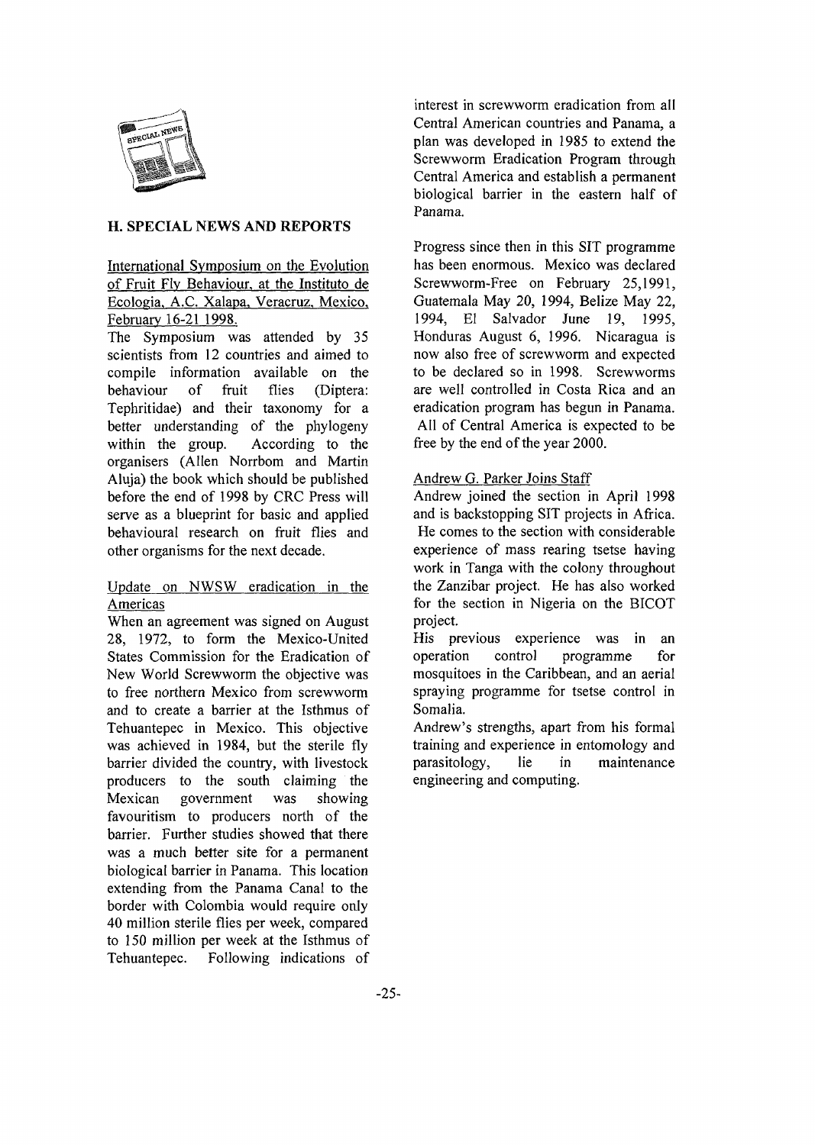

## **H. SPECIAL NEWS AND REPORTS**

# International Symposium on the Evolution of Fruit Fly Behaviour, at the Instituto de Ecologia. A.C. Xalapa, Veracruz, Mexico, February 16-21 1998.

The Symposium was attended by 35 scientists from 12 countries and aimed to compile information available on the behaviour of fruit flies (Diptera: Tephritidae) and their taxonomy for a better understanding of the phylogeny within the group. According to the organisers (Allen Norrbom and Martin Aluja) the book which should be published before the end of 1998 by CRC Press will serve as a blueprint for basic and applied behavioural research on fruit flies and other organisms for the next decade.

# Update on NWSW eradication in the Americas

When an agreement was signed on August 28, 1972, to form the Mexico-United States Commission for the Eradication of New World Screwworm the objective was to free northern Mexico from screwworm and to create a barrier at the Isthmus of Tehuantepec in Mexico. This objective was achieved in 1984, but the sterile fly barrier divided the country, with livestock producers to the south claiming the Mexican government was showing favouritism to producers north of the barrier. Further studies showed that there was a much better site for a permanent biological barrier in Panama. This location extending from the Panama Canal to the border with Colombia would require only 40 million sterile flies per week, compared to 150 million per week at the Isthmus of Tehuantepec. Following indications of

interest in screwworm eradication from all Central American countries and Panama, a plan was developed in 1985 to extend the Screwworm Eradication Program through Central America and establish a permanent biological barrier in the eastern half of Panama.

Progress since then in this SIT programme has been enormous. Mexico was declared Screwworm-Free on February 25,1991, Guatemala May 20, 1994, Belize May 22, 1994, El Salvador June 19, 1995, Honduras August 6, 1996. Nicaragua is now also free of screwworm and expected to be declared so in 1998. Screwworms are well controlled in Costa Rica and an eradication program has begun in Panama. All of Central America is expected to be free by the end of the year 2000.

## Andrew G. Parker Joins Staff

Andrew joined the section in April 1998 and is backstopping SIT projects in Africa. He comes to the section with considerable experience of mass rearing tsetse having work in Tanga with the colony throughout the Zanzibar project. He has also worked for the section in Nigeria on the BICOT project.

His previous experience was in an operation control programme for mosquitoes in the Caribbean, and an aerial spraying programme for tsetse control in Somalia.

Andrew's strengths, apart from his formal training and experience in entomology and paras itology, lie in maintenance engineering and computing.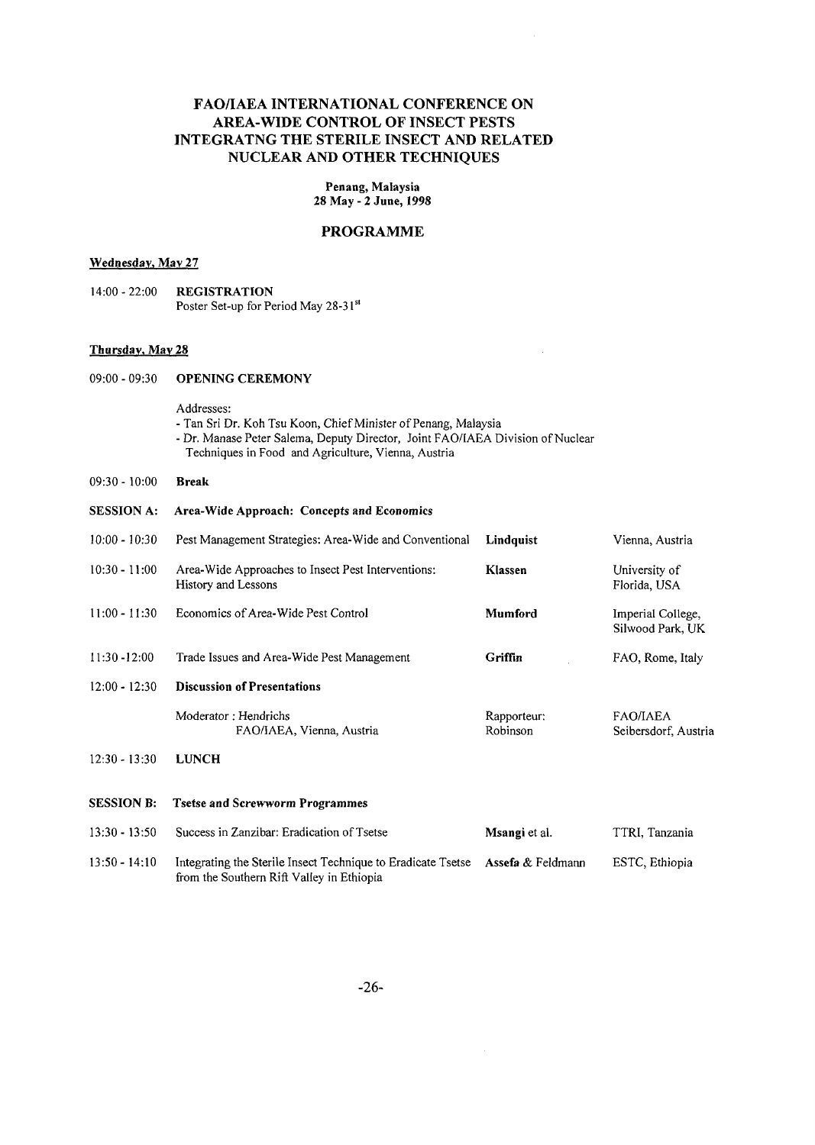# FAO/IAEA INTERNATIONAL CONFERENCE ON AREA-WIDE CONTROL OF INSECT PESTS INTEGRATNG THE STERILE INSECT AND RELATED NUCLEAR AND OTHER TECHNIQUES

**Penang, Malaysia 28 May - 2 June, 1998**

#### PROGRAMME

#### **Wednesday, May 27**

14:00-22:00 **REGISTRATION** Poster Set-up for Period May 28-3 **I<sup>s</sup> '**

#### **Thursday, May 28**

09:00 - 09:30 **OPENING CEREMONY**

Addresses:

- Tan Sri Dr. Koh Tsu Koon, Chief Minister of Penang, Malaysia
- Dr. Manase Peter Salema, Deputy Director, Joint FAO/IAEA Division of Nuclear Techniques in Food and Agriculture, Vienna, Austria
- 09:30 10:00 **Break**

#### **SESSION A: Area-Wide Approach: Concepts and Economics**

| $10:00 - 10:30$   | Pest Management Strategies: Area-Wide and Conventional                    | Lindquist               | Vienna, Austria                         |
|-------------------|---------------------------------------------------------------------------|-------------------------|-----------------------------------------|
| $10:30 - 11:00$   | Area-Wide Approaches to Insect Pest Interventions:<br>History and Lessons | Klassen                 | University of<br>Florida, USA           |
| $11:00 - 11:30$   | Economics of Area-Wide Pest Control                                       | <b>Mumford</b>          | Imperial College,<br>Silwood Park, UK   |
| $11:30 - 12:00$   | Trade Issues and Area-Wide Pest Management                                | Griffin                 | FAO, Rome, Italy                        |
| $12:00 - 12:30$   | <b>Discussion of Presentations</b>                                        |                         |                                         |
|                   | Moderator: Hendrichs<br>FAO/IAEA, Vienna, Austria                         | Rapporteur:<br>Robinson | <b>FAO/IAEA</b><br>Seibersdorf, Austria |
| $12:30 - 13:30$   | <b>LUNCH</b>                                                              |                         |                                         |
| <b>SESSION B:</b> | <b>Tsetse and Screwworm Programmes</b>                                    |                         |                                         |
| $13:30 - 13:50$   | Success in Zanzibar: Eradication of Tsetse                                | Msangi et al.           | TTRI, Tanzania                          |
|                   |                                                                           |                         |                                         |

13:50 - 14:10 Integrating the Sterile Insect Technique to Eradicate Tsetse **Assefa** & Feldmann from the Southern Rift Valley in Ethiopia ESTC, Ethiopia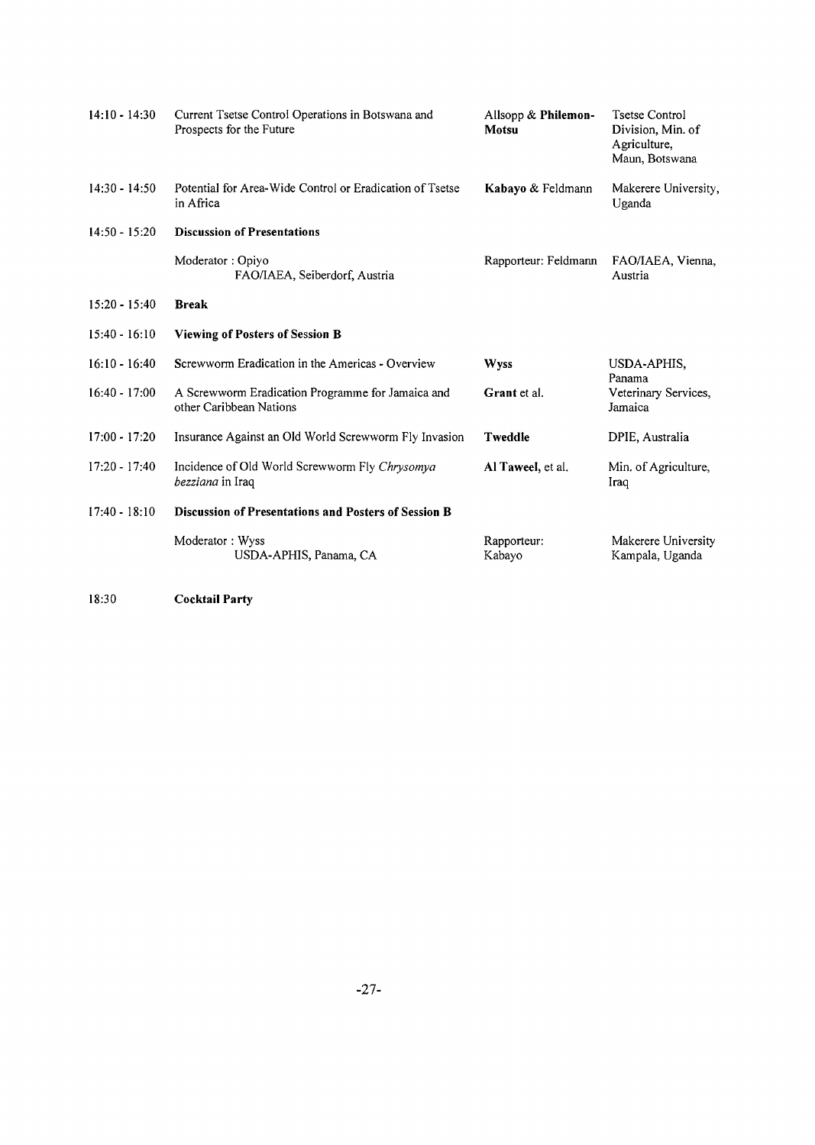| $14:10 - 14:30$ | Current Tsetse Control Operations in Botswana and<br>Prospects for the Future | Allsopp & Philemon-<br>Motsu | <b>Tsetse Control</b><br>Division, Min. of<br>Agriculture,<br>Maun, Botswana |
|-----------------|-------------------------------------------------------------------------------|------------------------------|------------------------------------------------------------------------------|
| $14:30 - 14:50$ | Potential for Area-Wide Control or Eradication of Tsetse<br>in Africa         | Kabayo & Feldmann            | Makerere University,<br>Uganda                                               |
| $14:50 - 15:20$ | <b>Discussion of Presentations</b>                                            |                              |                                                                              |
|                 | Moderator: Opiyo<br>FAO/IAEA, Seiberdorf, Austria                             | Rapporteur: Feldmann         | FAO/IAEA, Vienna,<br>Austria                                                 |
| $15:20 - 15:40$ | <b>Break</b>                                                                  |                              |                                                                              |
| $15:40 - 16:10$ | <b>Viewing of Posters of Session B</b>                                        |                              |                                                                              |
| $16:10 - 16:40$ | Screwworm Eradication in the Americas - Overview                              | Wyss                         | USDA-APHIS,<br>Panama                                                        |
| $16:40 - 17:00$ | A Screwworm Eradication Programme for Jamaica and<br>other Caribbean Nations  | Grant et al.                 | Veterinary Services,<br>Jamaica                                              |
| $17:00 - 17:20$ | Insurance Against an Old World Screwworm Fly Invasion                         | Tweddle                      | DPIE, Australia                                                              |
| $17:20 - 17:40$ | Incidence of Old World Screwworm Fly Chrysomya<br>bezziana in Iraq            | Al Taweel, et al.            | Min. of Agriculture,<br>Iraq                                                 |
| $17:40 - 18:10$ | Discussion of Presentations and Posters of Session B                          |                              |                                                                              |
|                 | Moderator: Wyss<br>USDA-APHIS, Panama, CA                                     | Rapporteur:<br>Kabayo        | Makerere University<br>Kampala, Uganda                                       |

18:30 **Cocktail Party**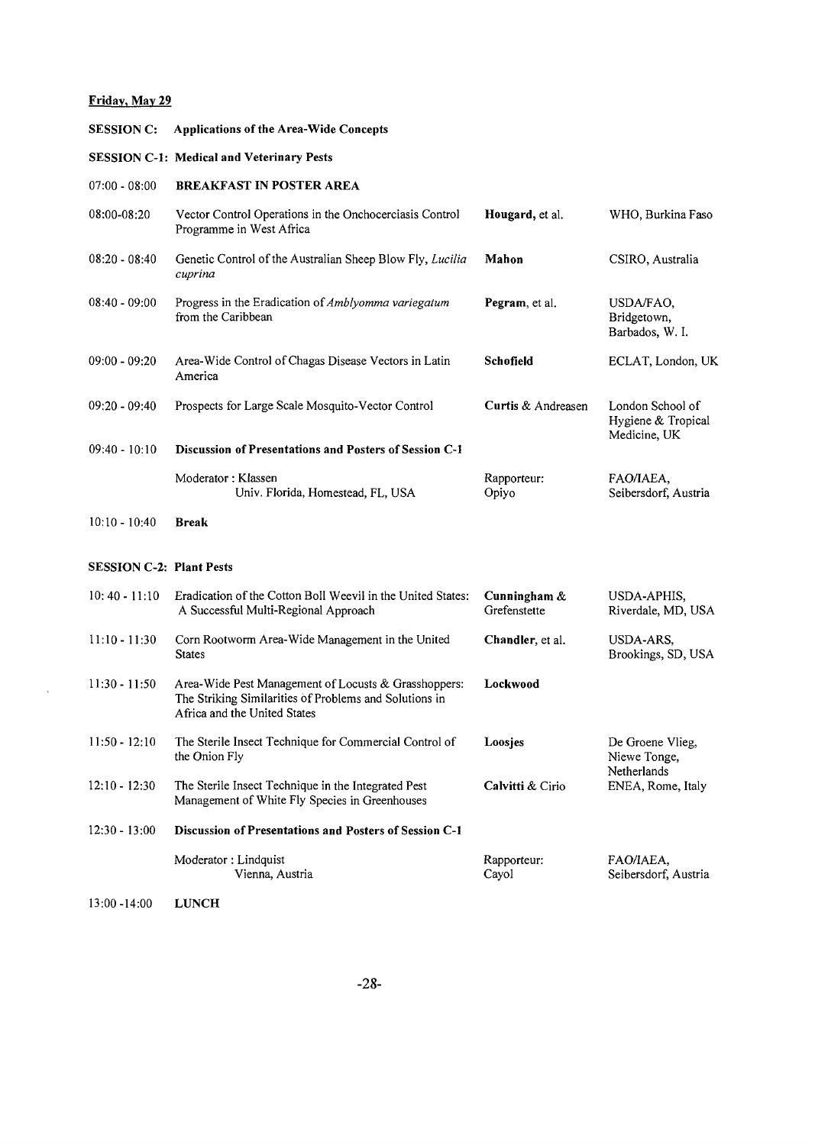# **Friday. May 29**

 $\sim 10^{-11}$ 

| <b>SESSION C:</b>               | <b>Applications of the Area-Wide Concepts</b>                                                                                                  |                                 |                                                        |
|---------------------------------|------------------------------------------------------------------------------------------------------------------------------------------------|---------------------------------|--------------------------------------------------------|
|                                 | <b>SESSION C-1: Medical and Veterinary Pests</b>                                                                                               |                                 |                                                        |
| $07:00 - 08:00$                 | <b>BREAKFAST IN POSTER AREA</b>                                                                                                                |                                 |                                                        |
| 08:00-08:20                     | Vector Control Operations in the Onchocerciasis Control<br>Programme in West Africa                                                            | Hougard, et al.                 | WHO, Burkina Faso                                      |
| $08:20 - 08:40$                 | Genetic Control of the Australian Sheep Blow Fly, Lucilia<br>cuprina                                                                           | Mahon                           | CSIRO, Australia                                       |
| $08:40 - 09:00$                 | Progress in the Eradication of Amblyomma variegatum<br>from the Caribbean                                                                      | Pegram, et al.                  | USDA/FAO,<br>Bridgetown,<br>Barbados, W. I.            |
| $09:00 - 09:20$                 | Area-Wide Control of Chagas Disease Vectors in Latin<br>America                                                                                | Schofield                       | ECLAT, London, UK                                      |
| $09:20 - 09:40$                 | Prospects for Large Scale Mosquito-Vector Control                                                                                              | Curtis & Andreasen              | London School of<br>Hygiene & Tropical<br>Medicine, UK |
| $09:40 - 10:10$                 | Discussion of Presentations and Posters of Session C-1                                                                                         |                                 |                                                        |
|                                 | Moderator: Klassen<br>Univ. Florida, Homestead, FL, USA                                                                                        | Rapporteur:<br>Opiyo            | FAO/IAEA,<br>Seibersdorf, Austria                      |
| $10:10 - 10:40$                 | <b>Break</b>                                                                                                                                   |                                 |                                                        |
| <b>SESSION C-2: Plant Pests</b> |                                                                                                                                                |                                 |                                                        |
| $10:40 - 11:10$                 | Eradication of the Cotton Boll Weevil in the United States:<br>A Successful Multi-Regional Approach                                            | Cunningham $\&$<br>Grefenstette | USDA-APHIS,<br>Riverdale, MD, USA                      |
| $11:10 - 11:30$                 | Corn Rootworm Area-Wide Management in the United<br><b>States</b>                                                                              | Chandler, et al.                | USDA-ARS,<br>Brookings, SD, USA                        |
| $11:30 - 11:50$                 | Area-Wide Pest Management of Locusts & Grasshoppers:<br>The Striking Similarities of Problems and Solutions in<br>Africa and the United States | Lockwood                        |                                                        |
| $11:50 - 12:10$                 | The Sterile Insect Technique for Commercial Control of<br>the Onion Fly                                                                        | Loosjes                         | De Groene Vlieg,<br>Niewe Tonge,<br>Netherlands        |
| $12:10 - 12:30$                 | The Sterile Insect Technique in the Integrated Pest<br>Management of White Fly Species in Greenhouses                                          | Calvitti & Cirio                | ENEA, Rome, Italy                                      |
| $12:30 - 13:00$                 | Discussion of Presentations and Posters of Session C-1                                                                                         |                                 |                                                        |
|                                 | Moderator: Lindquist<br>Vienna, Austria                                                                                                        | Rapporteur:<br>Cayol            | FAO/IAEA,<br>Seibersdorf, Austria                      |
| $13:00 - 14:00$                 | <b>LUNCH</b>                                                                                                                                   |                                 |                                                        |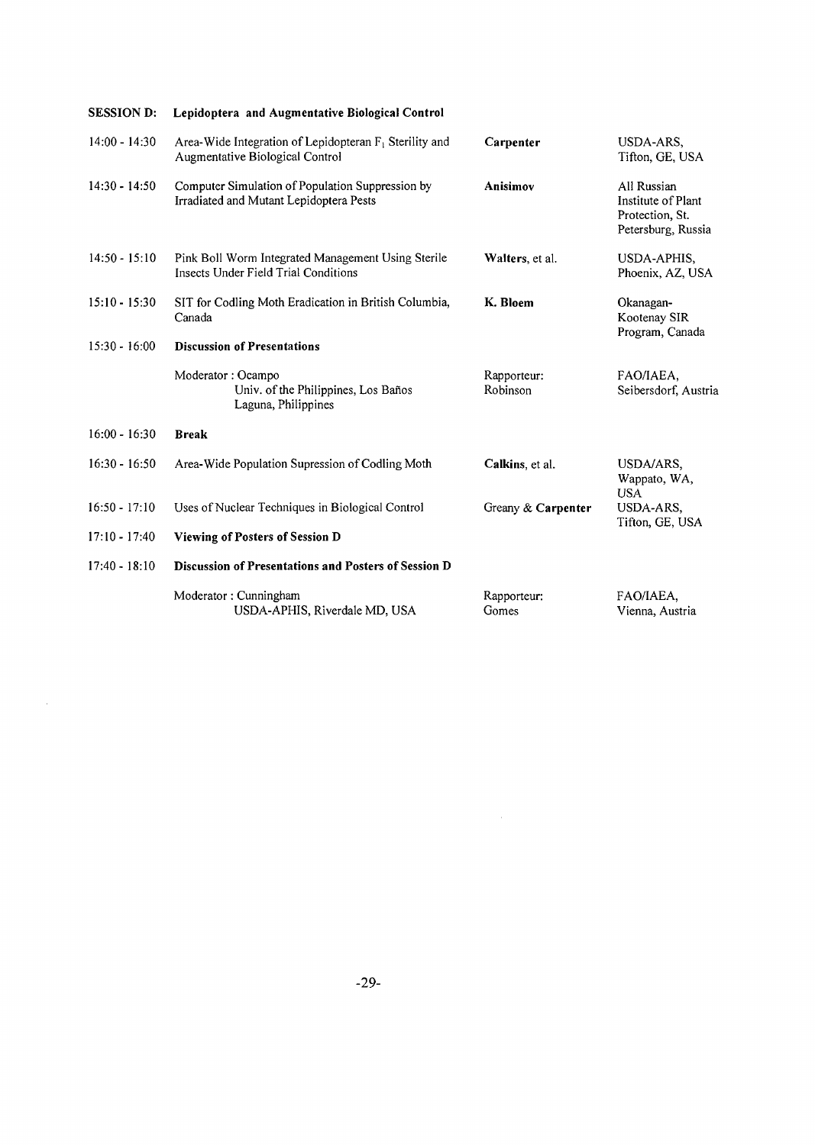| <b>SESSION D:</b> | Lepidoptera and Augmentative Biological Control                                              |                         |                                                                            |
|-------------------|----------------------------------------------------------------------------------------------|-------------------------|----------------------------------------------------------------------------|
| $14:00 - 14:30$   | Area-Wide Integration of Lepidopteran $F_1$ Sterility and<br>Augmentative Biological Control | Carpenter               | USDA-ARS,<br>Tifton, GE, USA                                               |
| $14:30 - 14:50$   | Computer Simulation of Population Suppression by<br>Irradiated and Mutant Lepidoptera Pests  | Anisimov                | All Russian<br>Institute of Plant<br>Protection, St.<br>Petersburg, Russia |
| $14:50 - 15:10$   | Pink Boll Worm Integrated Management Using Sterile<br>Insects Under Field Trial Conditions   | Walters, et al.         | USDA-APHIS,<br>Phoenix, AZ, USA                                            |
| $15:10 - 15:30$   | SIT for Codling Moth Eradication in British Columbia,<br>Canada                              | K. Bloem                | Okanagan-<br>Kootenay SIR<br>Program, Canada                               |
| $15:30 - 16:00$   | <b>Discussion of Presentations</b>                                                           |                         |                                                                            |
|                   | Moderator: Ocampo<br>Univ. of the Philippines, Los Baños<br>Laguna, Philippines              | Rapporteur:<br>Robinson | FAO/IAEA,<br>Seibersdorf, Austria                                          |
| $16:00 - 16:30$   | <b>Break</b>                                                                                 |                         |                                                                            |
| $16:30 - 16:50$   | Area-Wide Population Supression of Codling Moth                                              | Calkins, et al.         | USDA/ARS,<br>Wappato, WA,<br><b>USA</b>                                    |
| $16:50 - 17:10$   | Uses of Nuclear Techniques in Biological Control                                             | Greany & Carpenter      | USDA-ARS,<br>Tifton, GE, USA                                               |
| $17:10 - 17:40$   | <b>Viewing of Posters of Session D</b>                                                       |                         |                                                                            |
| $17:40 - 18:10$   | Discussion of Presentations and Posters of Session D                                         |                         |                                                                            |
|                   | Moderator: Cunningham<br>USDA-APHIS, Riverdale MD, USA                                       | Rapporteur:<br>Gomes    | FAO/IAEA,<br>Vienna, Austria                                               |

 $\sim 10^7$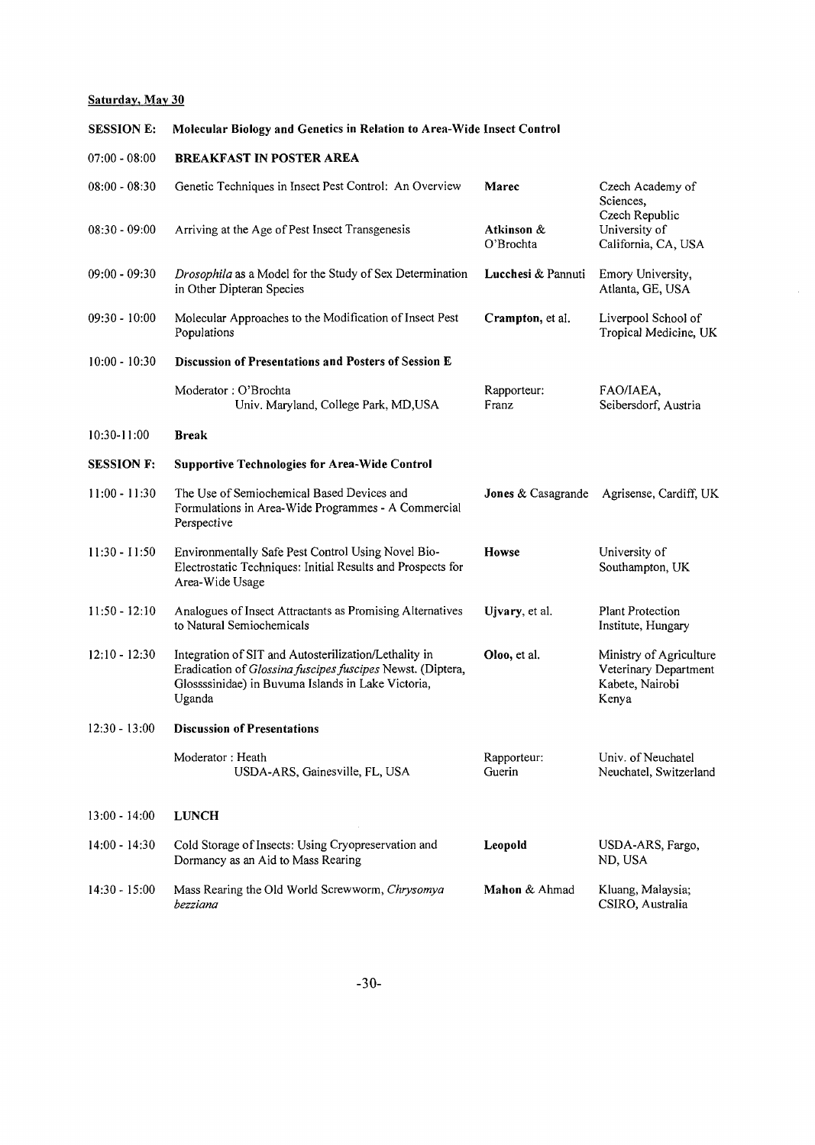#### **Saturday, May 30**

#### **SESSION E: Molecular Biology and Genetics in Relation to Area-Wide Insect Control**

| $07:00 - 08:00$ | <b>BREAKFAST IN POSTER AREA</b> |
|-----------------|---------------------------------|
|                 |                                 |

| $08:00 - 08:30$   | Genetic Techniques in Insect Pest Control: An Overview                                                                                                                              | Marec                   | Czech Academy of<br>Sciences,<br>Czech Republic                              |
|-------------------|-------------------------------------------------------------------------------------------------------------------------------------------------------------------------------------|-------------------------|------------------------------------------------------------------------------|
| $08:30 - 09:00$   | Arriving at the Age of Pest Insect Transgenesis                                                                                                                                     | Atkinson &<br>O'Brochta | University of<br>California, CA, USA                                         |
| $09:00 - 09:30$   | Drosophila as a Model for the Study of Sex Determination<br>in Other Dipteran Species                                                                                               | Lucchesi & Pannuti      | Emory University,<br>Atlanta, GE, USA                                        |
| $09:30 - 10:00$   | Molecular Approaches to the Modification of Insect Pest<br>Populations                                                                                                              | Crampton, et al.        | Liverpool School of<br>Tropical Medicine, UK                                 |
| $10:00 - 10:30$   | Discussion of Presentations and Posters of Session E                                                                                                                                |                         |                                                                              |
|                   | Moderator: O'Brochta<br>Univ. Maryland, College Park, MD, USA                                                                                                                       | Rapporteur:<br>Franz    | FAO/IAEA,<br>Seibersdorf, Austria                                            |
| $10:30 - 11:00$   | <b>Break</b>                                                                                                                                                                        |                         |                                                                              |
| <b>SESSION F:</b> | <b>Supportive Technologies for Area-Wide Control</b>                                                                                                                                |                         |                                                                              |
| $11:00 - 11:30$   | The Use of Semiochemical Based Devices and<br>Formulations in Area-Wide Programmes - A Commercial<br>Perspective                                                                    | Jones & Casagrande      | Agrisense, Cardiff, UK                                                       |
| $11:30 - 11:50$   | Environmentally Safe Pest Control Using Novel Bio-<br>Electrostatic Techniques: Initial Results and Prospects for<br>Area-Wide Usage                                                | <b>Howse</b>            | University of<br>Southampton, UK                                             |
| $11:50 - 12:10$   | Analogues of Insect Attractants as Promising Alternatives<br>to Natural Semiochemicals                                                                                              | Ujvary, et al.          | Plant Protection<br>Institute, Hungary                                       |
| $12:10 - 12:30$   | Integration of SIT and Autosterilization/Lethality in<br>Eradication of Glossina fuscipes fuscipes Newst. (Diptera,<br>Glossssinidae) in Buvuma Islands in Lake Victoria,<br>Uganda | Oloo, et al.            | Ministry of Agriculture<br>Veterinary Department<br>Kabete, Nairobi<br>Kenya |
| 12:30 - 13:00     | <b>Discussion of Presentations</b>                                                                                                                                                  |                         |                                                                              |
|                   | Moderator: Heath<br>USDA-ARS, Gainesville, FL, USA                                                                                                                                  | Rapporteur:<br>Guerin   | Univ. of Neuchatel<br>Neuchatel, Switzerland                                 |
| $13:00 - 14:00$   | <b>LUNCH</b>                                                                                                                                                                        |                         |                                                                              |
| $14:00 - 14:30$   | Cold Storage of Insects: Using Cryopreservation and<br>Dormancy as an Aid to Mass Rearing                                                                                           | Leopold                 | USDA-ARS, Fargo,<br>ND, USA                                                  |
| 14:30 - 15:00     | Mass Rearing the Old World Screwworm, Chrysomya<br>bezziana                                                                                                                         | Mahon & Ahmad           | Kluang, Malaysia;<br>CSIRO, Australia                                        |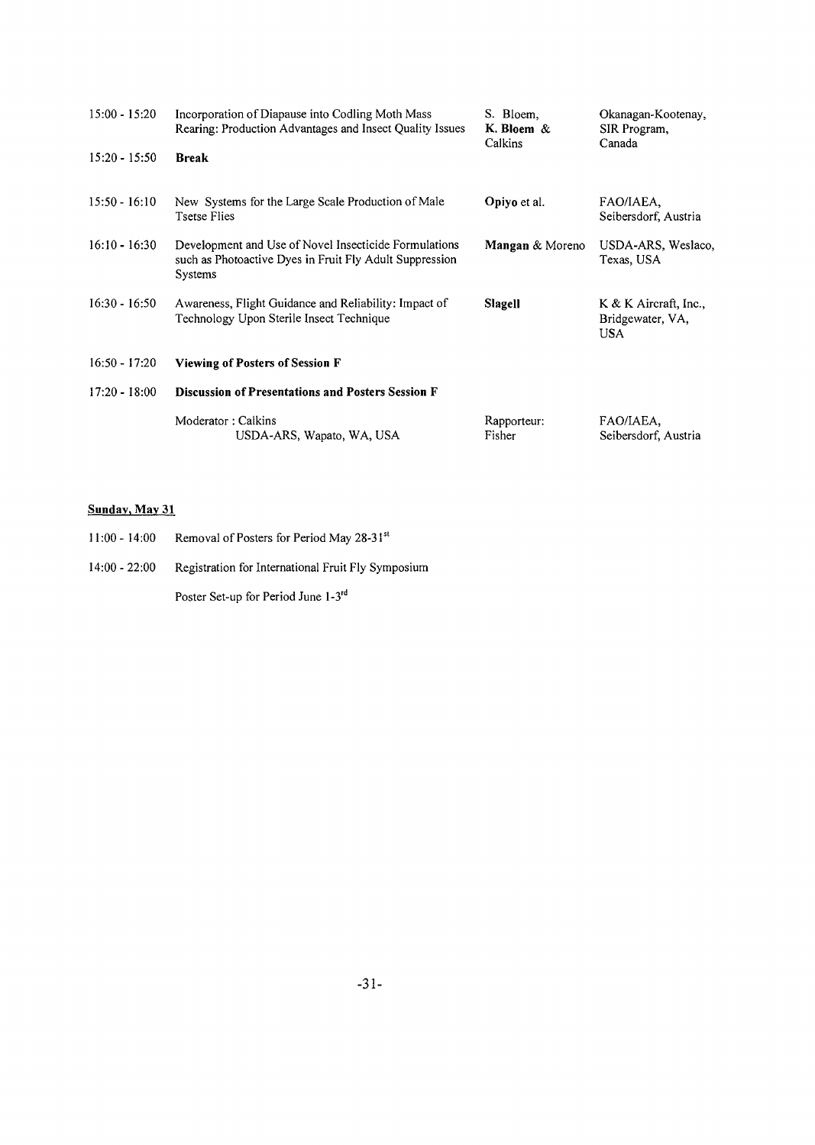| $15:00 - 15:20$ | Incorporation of Diapause into Codling Moth Mass<br>Rearing: Production Advantages and Insect Quality Issues                | S. Bloem,<br>K. Bloem $\&$<br>Calkins | Okanagan-Kootenay,<br>SIR Program,<br>Canada              |
|-----------------|-----------------------------------------------------------------------------------------------------------------------------|---------------------------------------|-----------------------------------------------------------|
| $15:20 - 15:50$ | <b>Break</b>                                                                                                                |                                       |                                                           |
| $15:50 - 16:10$ | New Systems for the Large Scale Production of Male<br><b>Tsetse Flies</b>                                                   | Opiyo et al.                          | FAO/IAEA.<br>Seibersdorf, Austria                         |
| $16:10 - 16:30$ | Development and Use of Novel Insecticide Formulations<br>such as Photoactive Dyes in Fruit Fly Adult Suppression<br>Systems | Mangan & Moreno                       | USDA-ARS, Weslaco,<br>Texas, USA                          |
| $I6:30 - 16:50$ | Awareness, Flight Guidance and Reliability: Impact of<br>Technology Upon Sterile Insect Technique                           | Slagell                               | $K & K$ Aircraft, Inc.,<br>Bridgewater, VA,<br><b>USA</b> |
| $16:50 - 17:20$ | <b>Viewing of Posters of Session F</b>                                                                                      |                                       |                                                           |
| $17:20 - 18:00$ | <b>Discussion of Presentations and Posters Session F</b>                                                                    |                                       |                                                           |
|                 | Moderator: Calkins<br>USDA-ARS, Wapato, WA, USA                                                                             | Rapporteur:<br>Fisher                 | FAO/IAEA,<br>Seibersdorf, Austria                         |

# **Sunday, May 31**

- 11:00 14:00 Removal of Posters for Period May 28-31<sup>st</sup>
- 14:00 22:00 Registration for International Fruit Fly Symposium

Poster Set-up for Period June l-3rd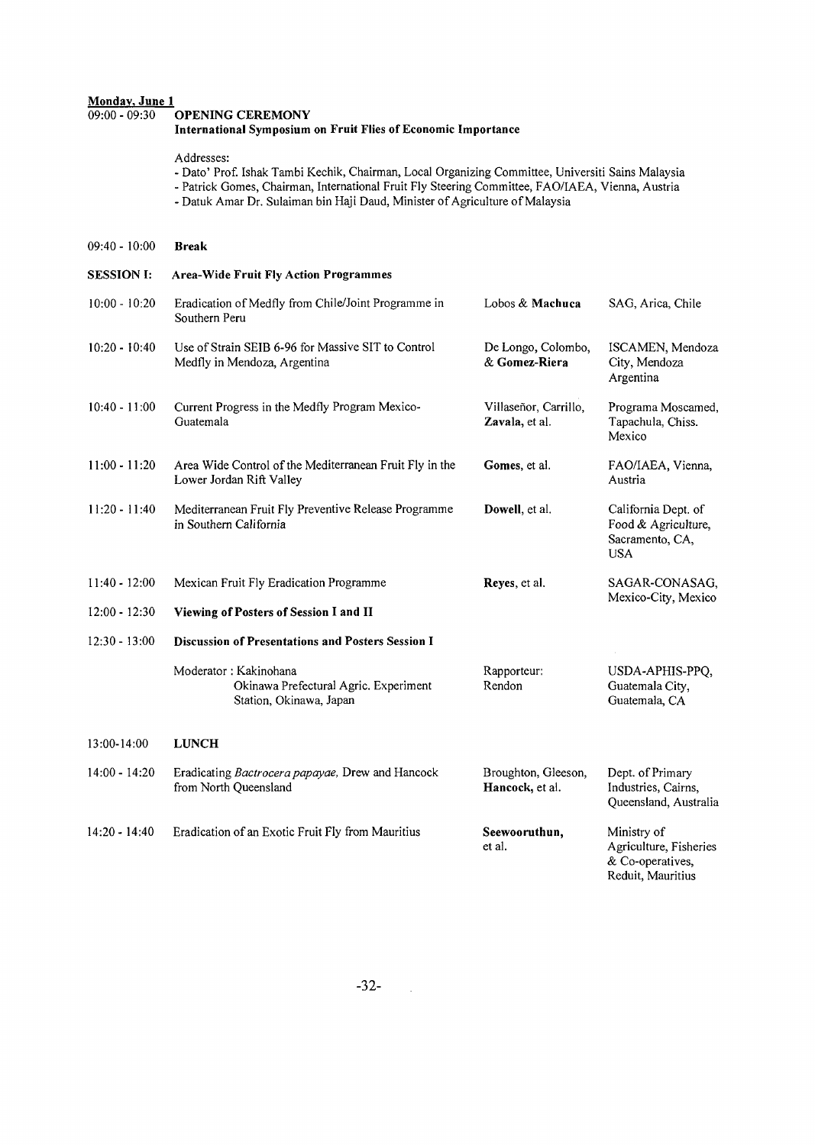#### **Monday, June 1**<br>09:00 - 09:30 09:00 - 09:30 **OPENING CEREMONY International Symposium on Fruit Flies of Economic Importance** Addresses: - Dato' Prof. Ishak Tambi Kechik, Chairman, Local Organizing Committee, Universiti Sains Malaysia - Patrick Gomes, Chairman, International Fruit Fly Steering Committee, FAO/IAEA, Vienna, Austria - Datuk Amar Dr. Sulaiman bin Haji Daud, Minister of Agriculture of Malaysia 09:40 - 10:00 **Break SESSION I: Area-Wide Fruit Fly Action Programmes** 10:00 - 10:20 Eradication of Medfly from Chile/Joint Programme in Southern Peru 10:20 - 10:40 Use of Strain SEIB 6-96 for Massive SIT to Control Medfly in Mendoza, Argentina 10:40 - 11:00 Current Progress in the Medfly Program Mexico-Guatemala 11:00 - 11:20 Area Wide Control of the Mediterranean Fruit Fly in the Lower Jordan Rift Valley 11:20 - 11:40 Mediterranean Fruit Fly Preventive Release Programme in Southern California 11:40- 12:00 Mexican Fruit Fly Eradication Programme 12:00 - 12:30 **Viewing of Posters of Session I and II** 12:30 - 13:00 **Discussion of Presentations and Posters Session I** Lobos & **Machuca** SAG, Arica, Chile De Longo, Colombo, ISCAMEN, Mendoza & **Gomez-Riera** City, Mendoza Argentina Villaseñor, Carrillo, Programa Moscamed,<br>Zavala, et al. Tapachula, Chiss. Tapachula, Chiss. Mexico **Gomes,** et al. **Dowell,** et al. **Reyes,** et al. FAO/IAEA, Vienna, Austria California Dept. of Food & Agriculture, Sacramento, CA, USA SAGAR-CONASAG, Mexico-City, Mexico Moderator: Kakinohana Okinawa Prefectural Agric. Experiment Station, Okinawa, Japan Rapporteur: Rendon USDA-APHIS-PPQ Guatemala City, Guatemala, CA 13:00-14:00 **LUNCH** 14:00 - 14:20 Eradicating *Bactrocera papayae,* Drew and Hancock from North Queensland 14:20 - 14:40 Eradication of an Exotic Fruit Fly from Mauritius Broughton, Gleeson, Dept. of Primary **Hancock,** et al. Industries, Cairns, Queensland, Australia **Seewooruthun,** etal. Ministry of Agriculture, Fisheries & Co-operatives,

Reduit, Mauritius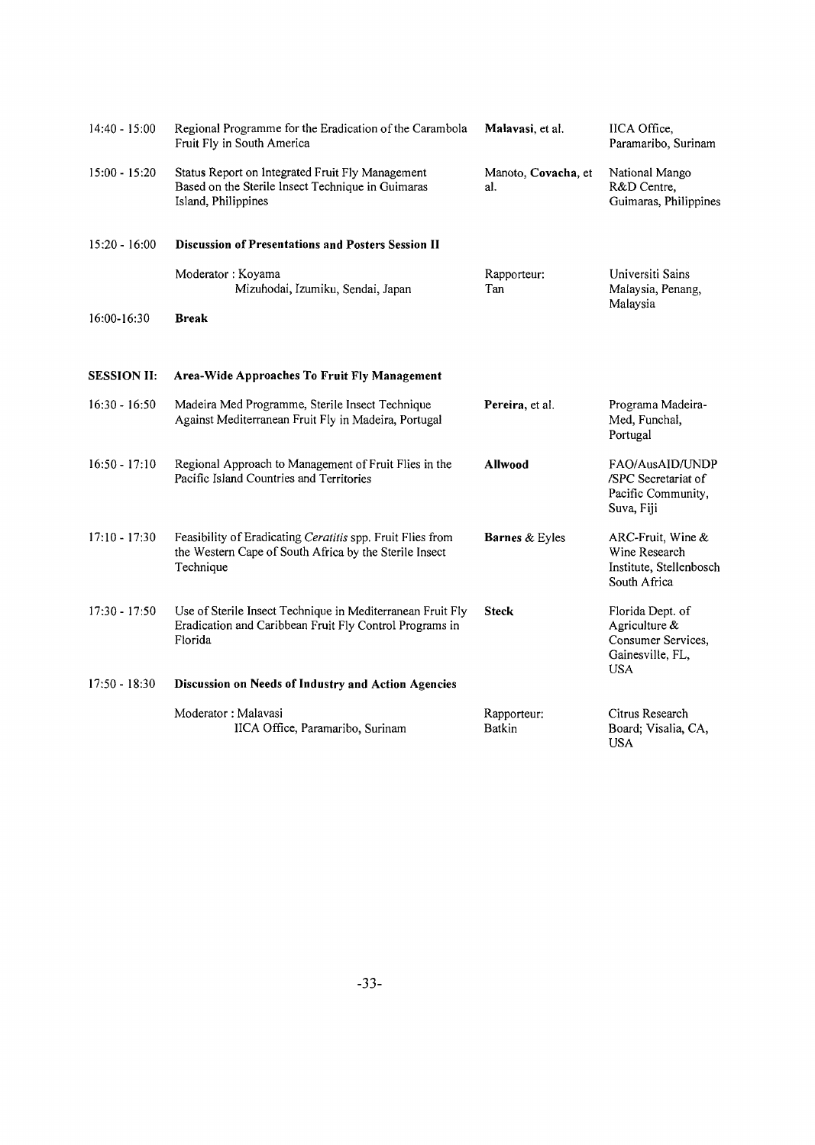| $14:40 - 15:00$    | Regional Programme for the Eradication of the Carambola<br>Fruit Fly in South America                                             | Malavasi, et al.             | IICA Office,<br>Paramaribo, Surinam                                                |
|--------------------|-----------------------------------------------------------------------------------------------------------------------------------|------------------------------|------------------------------------------------------------------------------------|
| $15:00 - 15:20$    | Status Report on Integrated Fruit Fly Management<br>Based on the Sterile Insect Technique in Guimaras<br>Island, Philippines      | Manoto, Covacha, et<br>al.   | National Mango<br>R&D Centre,<br>Guimaras, Philippines                             |
| $15:20 - 16:00$    | <b>Discussion of Presentations and Posters Session II</b>                                                                         |                              |                                                                                    |
|                    | Moderator: Koyama<br>Mizuhodai, Izumiku, Sendai, Japan                                                                            | Rapporteur:<br>Tan           | Universiti Sains<br>Malaysia, Penang,<br>Malaysia                                  |
| 16:00-16:30        | <b>Break</b>                                                                                                                      |                              |                                                                                    |
| <b>SESSION II:</b> | Area-Wide Approaches To Fruit Fly Management                                                                                      |                              |                                                                                    |
| $16:30 - 16:50$    | Madeira Med Programme, Sterile Insect Technique<br>Against Mediterranean Fruit Fly in Madeira, Portugal                           | Pereira, et al.              | Programa Madeira-<br>Med, Funchal,<br>Portugal                                     |
| $16:50 - 17:10$    | Regional Approach to Management of Fruit Flies in the<br>Pacific Island Countries and Territories                                 | <b>Allwood</b>               | FAO/AusAID/UNDP<br>/SPC Secretariat of<br>Pacific Community,<br>Suva, Fiji         |
| $17:10 - 17:30$    | Feasibility of Eradicating Ceratitis spp. Fruit Flies from<br>the Western Cape of South Africa by the Sterile Insect<br>Technique | <b>Barnes &amp; Eyles</b>    | ARC-Fruit, Wine &<br>Wine Research<br>Institute, Stellenbosch<br>South Africa      |
| $17:30 - 17:50$    | Use of Sterile Insect Technique in Mediterranean Fruit Fly<br>Eradication and Caribbean Fruit Fly Control Programs in<br>Florida  | <b>Steck</b>                 | Florida Dept. of<br>Agriculture &<br>Consumer Services,<br>Gainesville, FL,<br>USA |
| $17:50 - 18:30$    | Discussion on Needs of Industry and Action Agencies                                                                               |                              |                                                                                    |
|                    | Moderator: Malavasi<br>IICA Office, Paramaribo, Surinam                                                                           | Rapporteur:<br><b>Batkin</b> | Citrus Research<br>Board; Visalia, CA,<br><b>USA</b>                               |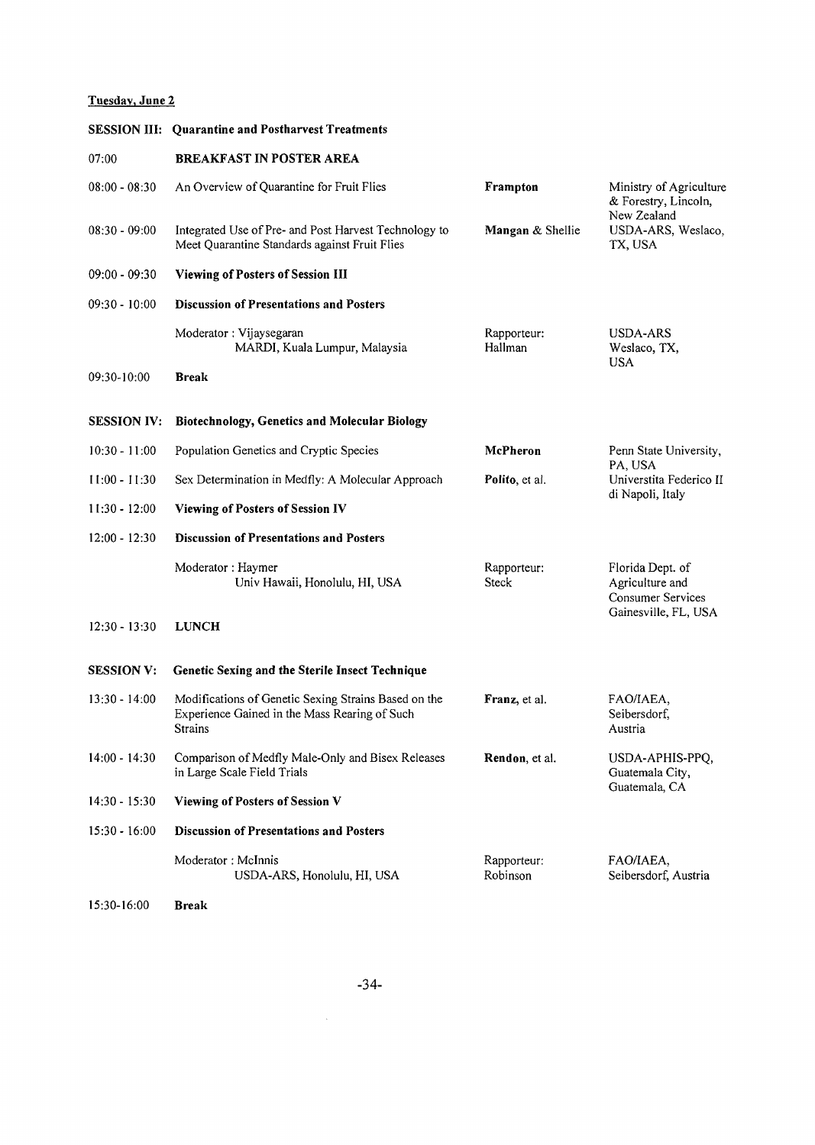# **Tuesday, June 2**

|                    | <b>SESSION III: Quarantine and Postharvest Treatments</b>                                                        |                             |                                                                 |
|--------------------|------------------------------------------------------------------------------------------------------------------|-----------------------------|-----------------------------------------------------------------|
| 07:00              | <b>BREAKFAST IN POSTER AREA</b>                                                                                  |                             |                                                                 |
| $08:00 - 08:30$    | An Overview of Quarantine for Fruit Flies                                                                        | Frampton                    | Ministry of Agriculture<br>& Forestry, Lincoln,<br>New Zealand  |
| $08:30 - 09:00$    | Integrated Use of Pre- and Post Harvest Technology to<br>Meet Quarantine Standards against Fruit Flies           | Mangan & Shellie            | USDA-ARS, Weslaco,<br>TX, USA                                   |
| $09:00 - 09:30$    | <b>Viewing of Posters of Session III</b>                                                                         |                             |                                                                 |
| $09:30 - 10:00$    | <b>Discussion of Presentations and Posters</b>                                                                   |                             |                                                                 |
|                    | Moderator: Vijaysegaran<br>MARDI, Kuala Lumpur, Malaysia                                                         | Rapporteur:<br>Hallman      | USDA-ARS<br>Weslaco, TX,<br><b>USA</b>                          |
| 09:30-10:00        | <b>Break</b>                                                                                                     |                             |                                                                 |
| <b>SESSION IV:</b> | <b>Biotechnology, Genetics and Molecular Biology</b>                                                             |                             |                                                                 |
| $10:30 - 11:00$    | Population Genetics and Cryptic Species                                                                          | McPheron                    | Penn State University,<br>PA, USA                               |
| $11:00 - 11:30$    | Sex Determination in Medfly: A Molecular Approach                                                                | Polito, et al.              | Universtita Federico II                                         |
| $11:30 - 12:00$    | <b>Viewing of Posters of Session IV</b>                                                                          |                             | di Napoli, Italy                                                |
| $12:00 - 12:30$    | <b>Discussion of Presentations and Posters</b>                                                                   |                             |                                                                 |
|                    | Moderator: Haymer<br>Univ Hawaii, Honolulu, HI, USA                                                              | Rapporteur:<br><b>Steck</b> | Florida Dept. of<br>Agriculture and<br><b>Consumer Services</b> |
| $12:30 - 13:30$    | <b>LUNCH</b>                                                                                                     |                             | Gainesville, FL, USA                                            |
| <b>SESSION V:</b>  | Genetic Sexing and the Sterile Insect Technique                                                                  |                             |                                                                 |
| $13:30 - 14:00$    | Modifications of Genetic Sexing Strains Based on the<br>Experience Gained in the Mass Rearing of Such<br>Strains | Franz, et al.               | FAO/IAEA,<br>Seibersdorf,<br>Austria                            |
| $14:00 - 14:30$    | Comparison of Medfly Male-Only and Bisex Releases<br>in Large Scale Field Trials                                 | Rendon, et al.              | USDA-APHIS-PPQ,<br>Guatemala City,                              |
| $14:30 - 15:30$    | Viewing of Posters of Session V                                                                                  |                             | Guatemala, CA                                                   |
| $15:30 - 16:00$    | <b>Discussion of Presentations and Posters</b>                                                                   |                             |                                                                 |
|                    | Moderator: McInnis<br>USDA-ARS, Honolulu, HI, USA                                                                | Rapporteur:<br>Robinson     | FAO/IAEA,<br>Seibersdorf, Austria                               |
| 15:30-16:00        | <b>Break</b>                                                                                                     |                             |                                                                 |

 $\sim 10^{-1}$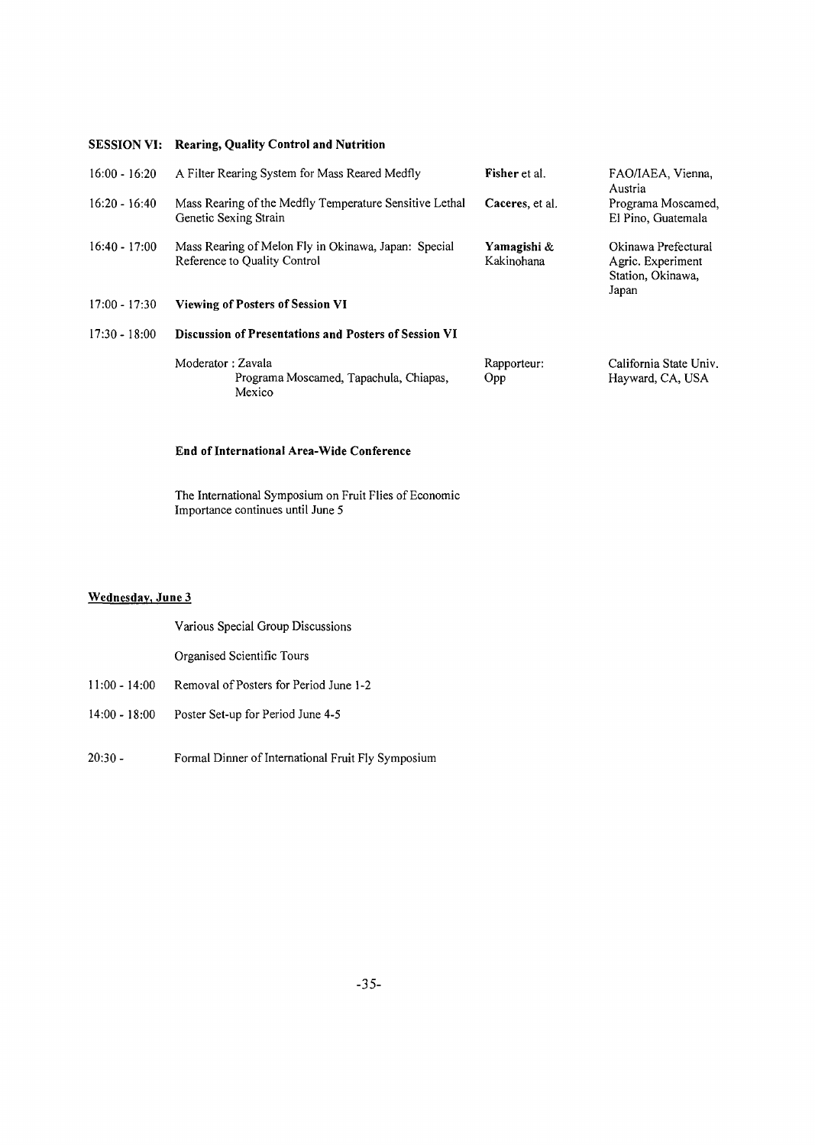#### **SESSION VI: Rearing, Quality Control and Nutrition**

| $16:00 - 16:20$ | A Filter Rearing System for Mass Reared Medfly                                       | Fisher et al.             | FAO/IAEA, Vienna,<br>Austria                                           |
|-----------------|--------------------------------------------------------------------------------------|---------------------------|------------------------------------------------------------------------|
| $16:20 - 16:40$ | Mass Rearing of the Medfly Temperature Sensitive Lethal<br>Genetic Sexing Strain     | Caceres, et al.           | Programa Moscamed,<br>El Pino, Guatemala                               |
| $16:40 - 17:00$ | Mass Rearing of Melon Fly in Okinawa, Japan: Special<br>Reference to Quality Control | Yamagishi &<br>Kakinohana | Okinawa Prefectural<br>Agric. Experiment<br>Station, Okinawa,<br>Japan |
| $17:00 - 17:30$ | <b>Viewing of Posters of Session VI</b>                                              |                           |                                                                        |
| $17:30 - 18:00$ | <b>Discussion of Presentations and Posters of Session VI</b>                         |                           |                                                                        |
|                 | Moderator: Zavala<br>Programa Moscamed, Tapachula, Chiapas,<br>Mexico                | Rapporteur:<br>Opp        | California State Univ.<br>Hayward, CA, USA                             |

#### **End of International Area-Wide Conference**

The International Symposium on Fruit Flies of Economic Importance continues until June 5

#### **Wednesday, June 3**

Various Special Group Discussions

Organised Scientific Tours

- 11:00 -14:00 Removal of Posters for Period June 1-2
- 14:00 18:00 Poster Set-up for Period June 4-5
- 20:30- Formal Dinner of International Fruit Fly Symposium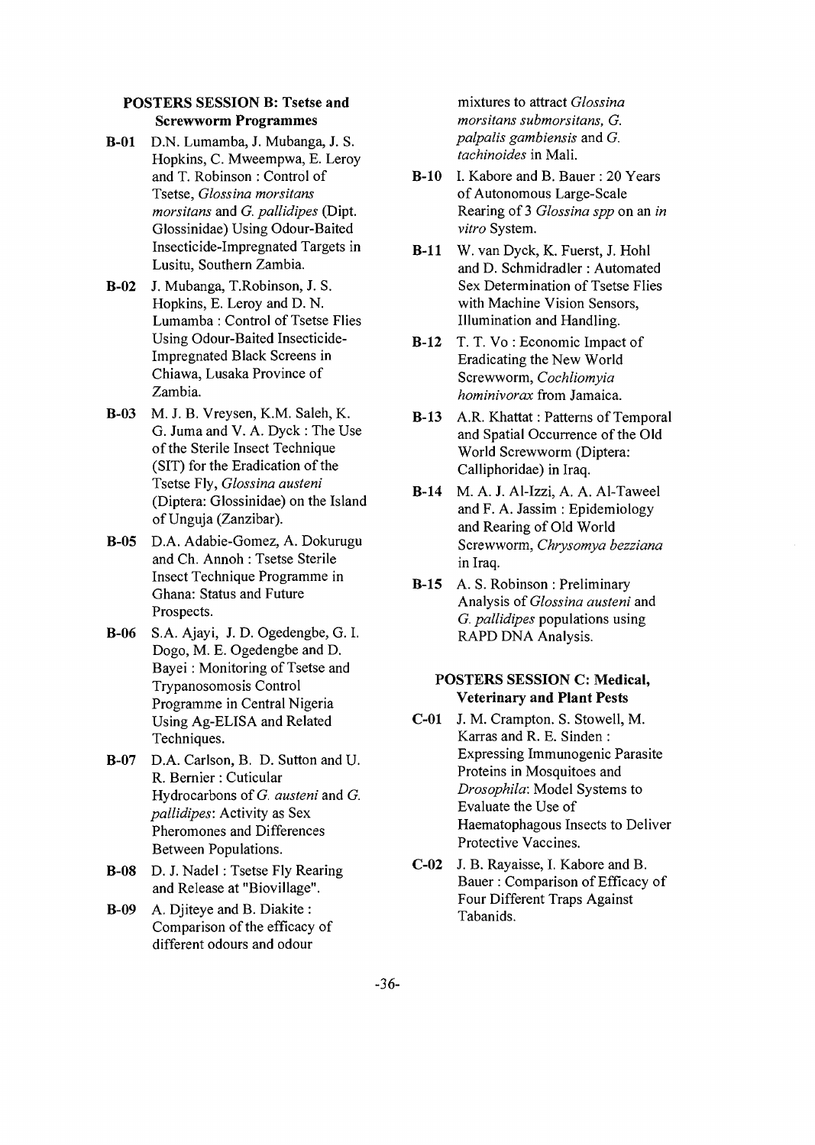#### **POSTERS SESSION B: Tsetse and Screwworm Programmes**

- **B-01** D.N. Lumamba, J. Mubanga, J. S. Hopkins, C. Mweempwa, E. Leroy and T. Robinson : Control of Tsetse, *Glossina morsitans morsitans* and *G. pallidipes* (Dipt. Glossinidae) Using Odour-Baited Insecticide-Impregnated Targets in Lusitu, Southern Zambia.
- **B-02** J. Mubanga, T.Robinson, J. S. Hopkins, E. Leroy and D. N. Lumamba : Control of Tsetse Flies Using Odour-Baited Insecticide-Impregnated Black Screens in Chiawa, Lusaka Province of Zambia.
- **B-03** M. J. B. Vreysen, K.M. Saleh, K. G. Juma and V. A. Dyck : The Use of the Sterile Insect Technique (SIT) for the Eradication of the Tsetse Fly, *Glossina austeni* (Diptera: Glossinidae) on the Island of Unguja (Zanzibar).
- **B-05** D.A. Adabie-Gomez, A. Dokurugu and Ch. Annoh : Tsetse Sterile Insect Technique Programme in Ghana: Status and Future Prospects.
- **B-06** S.A. Ajayi, J. D. Ogedengbe, G. I. Dogo, M. E. Ogedengbe and D. Bayei : Monitoring of Tsetse and Trypanosomosis Control Programme in Central Nigeria Using Ag-ELISA and Related Techniques.
- B-07 D.A. Carlson, B. D. Sutton and U. R. Bernier: Cuticular Hydrocarbons of *G. austeni* and *G. pallidipes:* Activity as Sex Pheromones and Differences Between Populations.
- B-08 D. J. Nadel: Tsetse Fly Rearing and Release at "Biovillage".
- B-09 A. Djiteye and B. Diakite : Comparison of the efficacy of different odours and odour

mixtures to attract *Glossina morsitans submorsitans, G. palpalis gambiensis* and *G. tachinoides* in Mali.

- B-10 I. Kabore and B. Bauer : 20 Years of Autonomous Large-Scale Rearing of 3 *Glossina spp* on an *in vitro* System.
- **B-l** 1 W. van Dyck, K. Fuerst, J. Hohl and D. Schmidradler : Automated Sex Determination of Tsetse Flies with Machine Vision Sensors, Illumination and Handling.
- **B-12** T. T. Vo : Economic Impact of Eradicating the New World Screwworm, *Cochliomyia hominivorax* from Jamaica.
- **B-13** A.R. Khattat: Patterns of Temporal and Spatial Occurrence of the Old World Screwworm (Diptera: Calliphoridae) in Iraq.
- **B-14** M. A. J. Al-Izzi, A. A. Al-Taweel and F. A. Jassim : Epidemiology and Rearing of Old World Screwworm, *Chrysomya bezziana* in Iraq.
- **B-15** A. S. Robinson : Preliminary Analysis of *Glossina austeni* and *G. pallidipes* populations using RAPD DNA Analysis.

## **POSTERS SESSION C: Medical, Veterinary and Plant Pests**

- **C-01** J. M. Crampton. S. Stowell, M. Karras and R. E. Sinden : Expressing Immunogenic Parasite Proteins in Mosquitoes and *Drosophila:* Model Systems to Evaluate the Use of Haematophagous Insects to Deliver Protective Vaccines.
- **C-02** J. B. Rayaisse, I. Kabore and B. Bauer : Comparison of Efficacy of Four Different Traps Against Tabanids.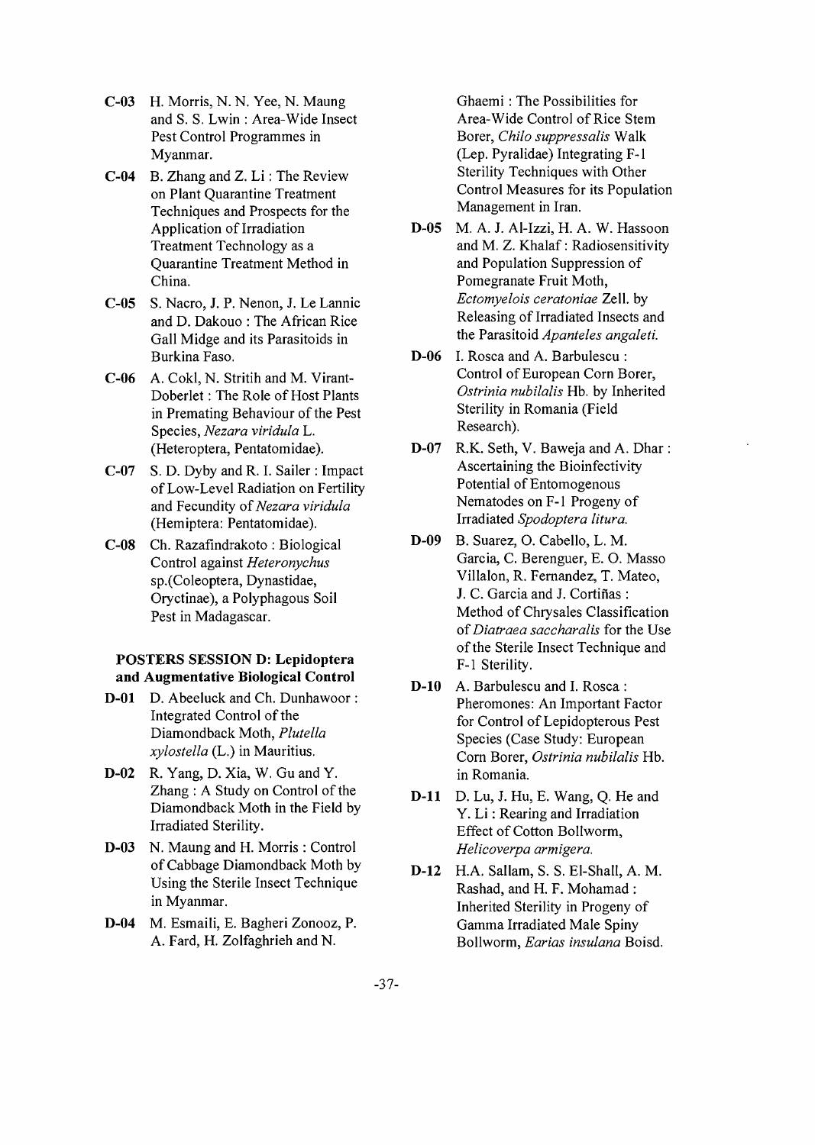- **C-03** H. Morris, N. N. Yee, N. Maung and S. S. Lwin : Area-Wide Insect Pest Control Programmes in Myanmar.
- **C-04** B. Zhang and Z. Li: The Review on Plant Quarantine Treatment Techniques and Prospects for the Application of Irradiation Treatment Technology as a Quarantine Treatment Method in China.
- **C-05** S. Nacro, J. P. Nenon, J. Le Lannic and D. Dakouo : The African Rice Gall Midge and its Parasitoids in Burkina Faso.
- **C-06** A. Cokl, N. Stritih and M. Virant-Doberlet: The Role of Host Plants in Premating Behaviour of the Pest Species, *Nezara viridula* L. (Heteroptera, Pentatomidae).
- C-07 S. D. Dyby and R. I. Sailer : Impact of Low-Level Radiation on Fertility and Fecundity *of Nezara viridula* (Hemiptera: Pentatomidae).
- **C-08** Ch. Razafindrakoto : Biological Control against *Heteronychus* sp.(Coleoptera, Dynastidae, Oryctinae), a Polyphagous Soil Pest in Madagascar.

## **POSTERS SESSION D: Lepidoptera and Augmentative Biological Control**

- **D-01** D. Abeeluck and Ch. Dunhawoor: Integrated Control of the Diamondback Moth, *Plutella xylostella* (L.) in Mauritius.
- **D-02** R. Yang, D. Xia, W. Gu and Y. Zhang : A Study on Control of the Diamondback Moth in the Field by Irradiated Sterility.
- **D-03** N. Maung and H. Morris : Control of Cabbage Diamondback Moth by Using the Sterile Insect Technique in Myanmar.
- **D-04** M. Esmaili, E. Bagheri Zonooz, P. A. Fard, H. Zolfaghrieh and N.

Ghaemi : The Possibilities for Area-Wide Control of Rice Stem Borer, *Chilo suppressalis* Walk (Lep. Pyralidae) Integrating F-l Sterility Techniques with Other Control Measures for its Population Management in Iran.

- **D-05** M. A. J. Al-Izzi, H. A. W. Hassoon and M. Z. Khalaf: Radiosensitivity and Population Suppression of Pomegranate Fruit Moth, *Ectomyelois ceratoniae* Zell. by Releasing of Irradiated Insects and the Parasitoid *Apanteles angaleti.*
- **D-06** I. Rosca and A. Barbulescu : Control of European Corn Borer, *Ostrinia nubilalis* Hb. by Inherited Sterility in Romania (Field Research).
- **D-07** R.K. Seth, V. Baweja and A. Dhar : Ascertaining the Bioinfectivity Potential of Entomogenous Nematodes on F-1 Progeny of Irradiated *Spodoptera litura.*
- **D-09** B. Suarez, O. Cabello, L. M. Garcia, C. Berenguer, E. O. Masso Villalon, R. Fernandez, T. Mateo, J. C. Garcia and J. Cortifias : Method of Chrysales Classification of *Diatraea saccharalis* for the Use of the Sterile Insect Technique and F-l Sterility.
- **D-10** A. Barbulescu and I. Rosca : Pheromones: An Important Factor for Control of Lepidopterous Pest Species (Case Study: European Corn Borer, *Ostrinia nubilalis* Hb. in Romania.
- **D-ll** D. Lu, J. Hu, E. Wang, Q. He and Y. Li: Rearing and Irradiation Effect of Cotton Bollworm, *Helicoverpa armigera.*
- **D-12** H.A. Sallam, S. S. El-Shall, A. M. Rashad, and H. F. Mohamad : Inherited Sterility in Progeny of Gamma Irradiated Male Spiny Bollworm, *Earias insulana* Boisd.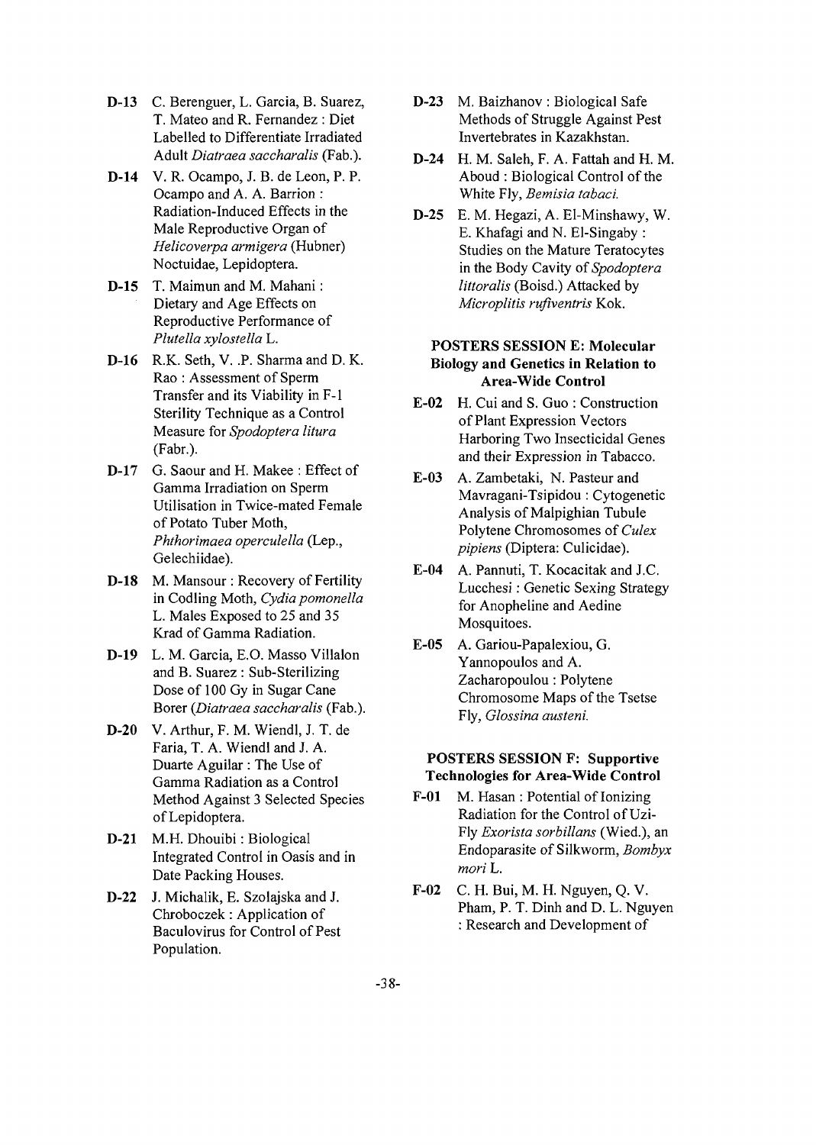- **D-13** C. Berenguer, L. Garcia, B. Suarez, T. Mateo and R. Fernandez : Diet Labelled to Differentiate Irradiated Adult *Diatraea saccharalis* (Fab.).
- **D-14** V. R. Ocampo, J. B. de Leon, P. P. Ocampo and A. A. Barrion : Radiation-Induced Effects in the Male Reproductive Organ of *Helicoverpa armigera* (Hubner) Noctuidae, Lepidoptera.
- **D-15** T. Maimun and M. Mahani: Dietary and Age Effects on Reproductive Performance of *Plutella xylostella* L.
- **D-16** R.K. Seth, V. .P. Sharma and D. K. Rao : Assessment of Sperm Transfer and its Viability in F-l Sterility Technique as a Control Measure for *Spodoptera litura* (Fabr.).
- D-17 G. Saour and H. Makee : Effect of Gamma Irradiation on Sperm Utilisation in Twice-mated Female of Potato Tuber Moth, *Phthorimaea operculella* (Lep., Gelechiidae).
- **D-18** M. Mansour : Recovery of Fertility in Codling Moth, *Cydia pomonella* L. Males Exposed to 25 and 35 Krad of Gamma Radiation.
- **D-19** L. M. Garcia, E.O. Masso Villalon and B. Suarez : Sub-Sterilizing Dose of 100 Gy in Sugar Cane Borer *{Diatraea saccharalis* (Fab.).
- **D-20** V. Arthur, F. M. Wiendl, J. T. de Faria, T. A. Wiendl and J. A. Duarte Aguilar : The Use of Gamma Radiation as a Control Method Against 3 Selected Species of Lepidoptera.
- **D-21** M.H. Dhouibi: Biological Integrated Control in Oasis and in Date Packing Houses.
- **D-22** J. Michalik, E. Szolajska and J. Chroboczek: Application of Baculovirus for Control of Pest Population.
- **D-23** M. Baizhanov : Biological Safe Methods of Struggle Against Pest Invertebrates in Kazakhstan.
- **D-24** H. M. Saleh, F. A. Fattah and H. M. Aboud : Biological Control of the White Fly, *Bemisia tabaci.*
- **D-25** E. M. Hegazi, A. El-Minshawy, W. E. Khafagi and N. El-Singaby : Studies on the Mature Teratocytes in the Body Cavity *of Spodoptera littoralis* (Boisd.) Attacked by *Microplitis rufiventris* Kok.

# **POSTERS SESSION E: Molecular Biology and Genetics in Relation to Area-Wide Control**

- **E-02** H. Cui and S. Guo : Construction of Plant Expression Vectors Harboring Two Insecticidal Genes and their Expression in Tabacco.
- E-03 A. Zambetaki, N. Pasteur and Mavragani-Tsipidou : Cytogenetic Analysis of Malpighian Tubule Polytene Chromosomes of *Culex pipiens* (Diptera: Culicidae).
- **E-04** A. Pannuti, T. Kocacitak and J.C. Lucchesi: Genetic Sexing Strategy for Anopheline and Aedine Mosquitoes.
- **E-05** A. Gariou-Papalexiou, G. Yannopoulos and A. Zacharopoulou: Polytene Chromosome Maps of the Tsetse Fly, *Glossina austeni.*

# **POSTERS SESSION F: Supportive Technologies for Area-Wide Control**

- **F-01** M. Hasan : Potential of Ionizing Radiation for the Control of Uzi-Fly *Exorista sorbillans* (Wied.), an Endoparasite of Silkworm, *Bombyx mori* L.
- **F-02** C. H. Bui, M. H. Nguyen, Q. V. Pham, P. T. Dinh and D. L. Nguyen : Research and Development of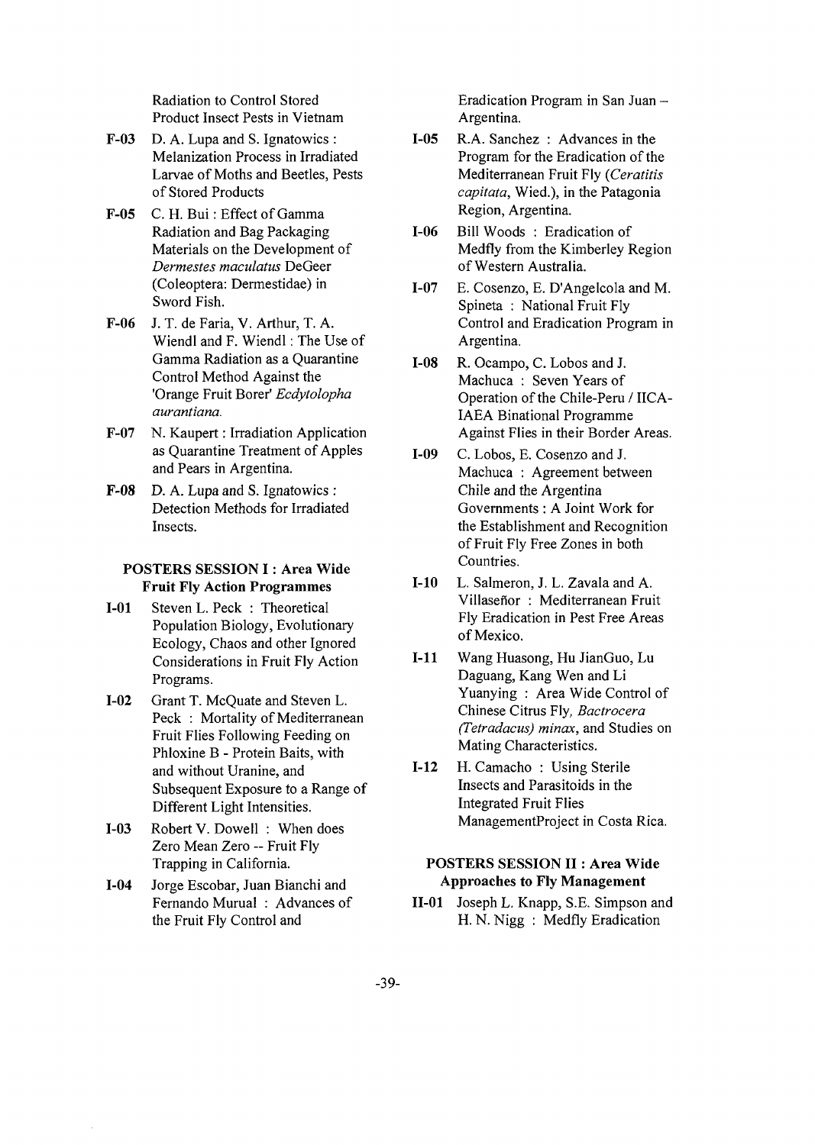Radiation to Control Stored Product Insect Pests in Vietnam

- **F-03** D. A. Lupa and S. Ignatowics : Melanization Process in Irradiated Larvae of Moths and Beetles, Pests of Stored Products
- **F-05** C. H. Bui: Effect of Gamma Radiation and Bag Packaging Materials on the Development of *Dermestes maculatus* DeGeer (Coleoptera: Dermestidae) in Sword Fish.
- F-06 J. T. de Faria, V. Arthur, T. A. Wiendl and F. Wiendl: The Use of Gamma Radiation as a Quarantine Control Method Against the 'Orange Fruit Borer' *Ecdytolopha aurantiana.*
- **F-07** N. Kaupert: Irradiation Application as Quarantine Treatment of Apples and Pears in Argentina.
- **F-08** D. A. Lupa and S. Ignatowics : Detection Methods for Irradiated Insects.

# **POSTERS SESSION I: Area Wide Fruit Fly Action Programmes**

- **1-01** Steven L. Peck : Theoretical Population Biology, Evolutionary Ecology, Chaos and other Ignored Considerations in Fruit Fly Action Programs.
- **1-02** Grant T. McQuate and Steven L. Peck : Mortality of Mediterranean Fruit Flies Following Feeding on Phloxine B - Protein Baits, with and without Uranine, and Subsequent Exposure to a Range of Different Light Intensities.
- **1-03** Robert V. Dowell : When does Zero Mean Zero -- Fruit Fly Trapping in California.
- **1-04** Jorge Escobar, Juan Bianchi and Fernando Murual : Advances of the Fruit Fly Control and

Eradication Program in San Juan - Argentina.

- **1-05** R.A. Sanchez : Advances in the Program for the Eradication of the Mediterranean Fruit Fly *{Ceratitis capitata,* Wied.), in the Patagonia Region, Argentina.
- **1-06** Bill Woods : Eradication of Medfly from the Kimberley Region of Western Australia.
- **1-07** E. Cosenzo, E. D'Angelcola and M. Spineta : National Fruit Fly Control and Eradication Program in Argentina.
- **1-08** R. Ocampo, C. Lobos and J. Machuca : Seven Years of Operation of the Chile-Peru / IICA-IAEA Binational Programme Against Flies in their Border Areas.
- **1-09** C. Lobos, E. Cosenzo and J. Machuca : Agreement between Chile and the Argentina Governments : A Joint Work for the Establishment and Recognition of Fruit Fly Free Zones in both Countries.
- **1-10** L. Salmeron, J. L. Zavala and A. Villaseñor : Mediterranean Fruit Fly Eradication in Pest Free Areas of Mexico.
- **1-11** Wang Huasong, Hu JianGuo, Lu Daguang, Kang Wen and Li Yuanying : Area Wide Control of Chinese Citrus Fly, *Bactrocera (Tetradacus) minax,* and Studies on Mating Characteristics.
- **1-12** H. Camacho : Using Sterile Insects and Parasitoids in the Integrated Fruit Flies ManagementProject in Costa Rica.

#### **POSTERS SESSION II: Area Wide Approaches to Fly Management**

**11-01** Joseph L. Knapp, S.E. Simpson and H. N. Nigg : Medfly Eradication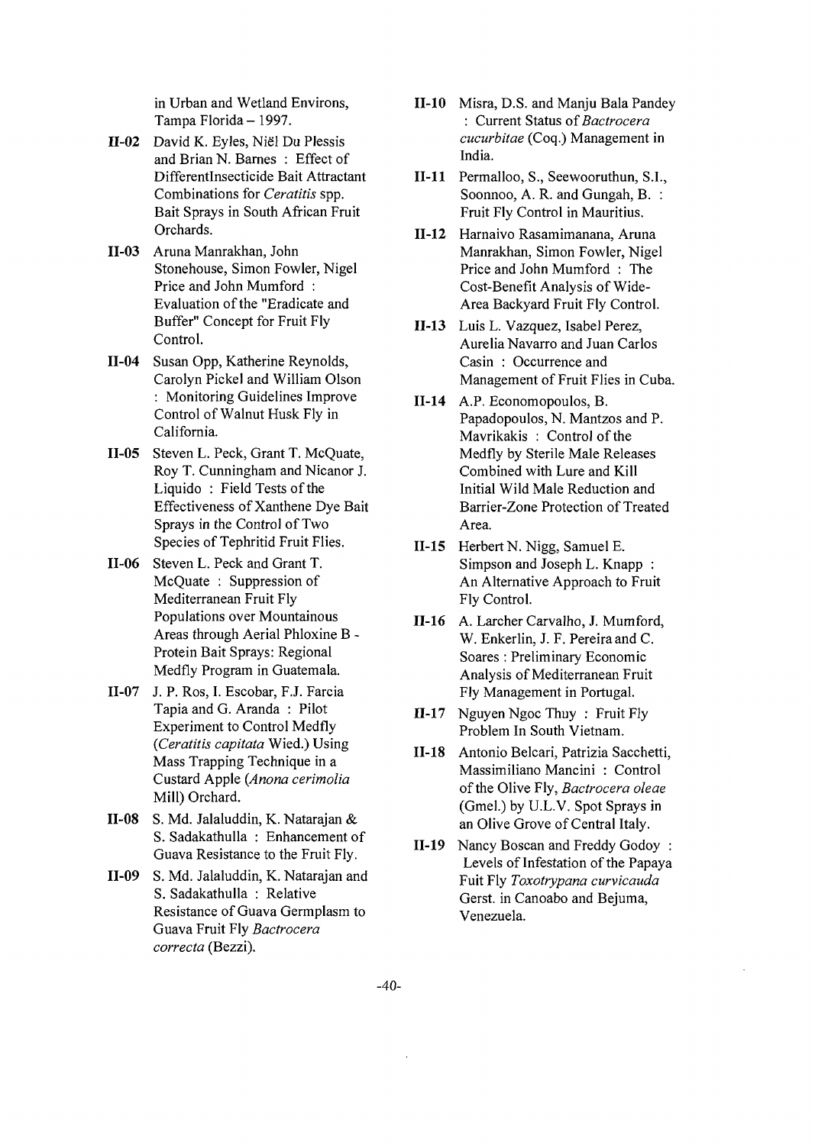in Urban and Wetland Environs, Tampa Florida-1997.

- H-02 David K. Eyles, Niel Du Plessis and Brian N. Barnes : Effect of Differentlnsecticide Bait Attractant Combinations for *Ceratitis* spp. Bait Sprays in South African Fruit Orchards.
- 11-03 Aruna Manrakhan, John Stonehouse, Simon Fowler, Nigel Price and John Mumford : Evaluation of the "Eradicate and Buffer" Concept for Fruit Fly Control.
- **11-04** Susan Opp, Katherine Reynolds, Carolyn Pickel and William Olson : Monitoring Guidelines Improve Control of Walnut Husk Fly in California.
- **II-05** Steven L. Peck, Grant T. McQuate, Roy T. Cunningham and Nicanor J. Liquido : Field Tests of the Effectiveness of Xanthene Dye Bait Sprays in the Control of Two Species of Tephritid Fruit Flies.
- 11-06 Steven L. Peck and Grant T. McQuate : Suppression of Mediterranean Fruit Fly Populations over Mountainous Areas through Aerial Phloxine B - Protein Bait Sprays: Regional Medfly Program in Guatemala.
- 11-07 J. P. Ros, I. Escobar, F.J. Farcia Tapia and G. Aranda : Pilot Experiment to Control Medfly *{Ceratitis capitata* Wied.) Using Mass Trapping Technique in a Custard Apple *{Anona cerimolia* Mill) Orchard.
- **11-08** S. Md. Jalaluddin, K. Natarajan & S. Sadakathulla : Enhancement of Guava Resistance to the Fruit Fly.
- 11-09 S. Md. Jalaluddin, K. Natarajan and S. Sadakathulla : Relative Resistance of Guava Germplasm to Guava Fruit Fly *Bactrocera correcta* (Bezzi).
- 11-10 Misra, D.S. and Manju Bala Pandey : Current Status *of Bactrocera cucurbitae* (Coq.) Management in India.
- **11-11** Permalloo, S., Seewooruthun, S.I., Soonnoo, A. R. and Gungah, B. : Fruit Fly Control in Mauritius.
- **11-12** Harnaivo Rasamimanana, Aruna Manrakhan, Simon Fowler, Nigel Price and John Mumford : The Cost-Benefit Analysis of Wide-Area Backyard Fruit Fly Control.
- **11-13** Luis L. Vazquez, Isabel Perez, Aurelia Navarro and Juan Carlos Casin : Occurrence and Management of Fruit Flies in Cuba.
- 11-14 A.P. Economopoulos, B. Papadopoulos, N. Mantzos and P. Mavrikakis : Control of the Medfly by Sterile Male Releases Combined with Lure and Kill Initial Wild Male Reduction and Barrier-Zone Protection of Treated Area.
- 11-15 Herbert N. Nigg, Samuel E. Simpson and Joseph L. Knapp : An Alternative Approach to Fruit Fly Control.
- **11-16** A. Larcher Carvalho, J. Mumford, W. Enkerlin, J. F. Pereiraand C. Soares : Preliminary Economic Analysis of Mediterranean Fruit Fly Management in Portugal.
- **11-17** Nguyen Ngoc Thuy : Fruit Fly Problem In South Vietnam.
- **11-18** Antonio Belcari, Patrizia Sacchetti, Massimiliano Mancini : Control of the Olive Fly, *Bactrocera oleae* (Gmel.) by U.L.V. Spot Sprays in an Olive Grove of Central Italy.
- **11-19** Nancy Boscan and Freddy Godoy : Levels of Infestation of the Papaya Fuit Fly *Toxotrypana curvicauda* Gerst. in Canoabo and Bejuma, Venezuela.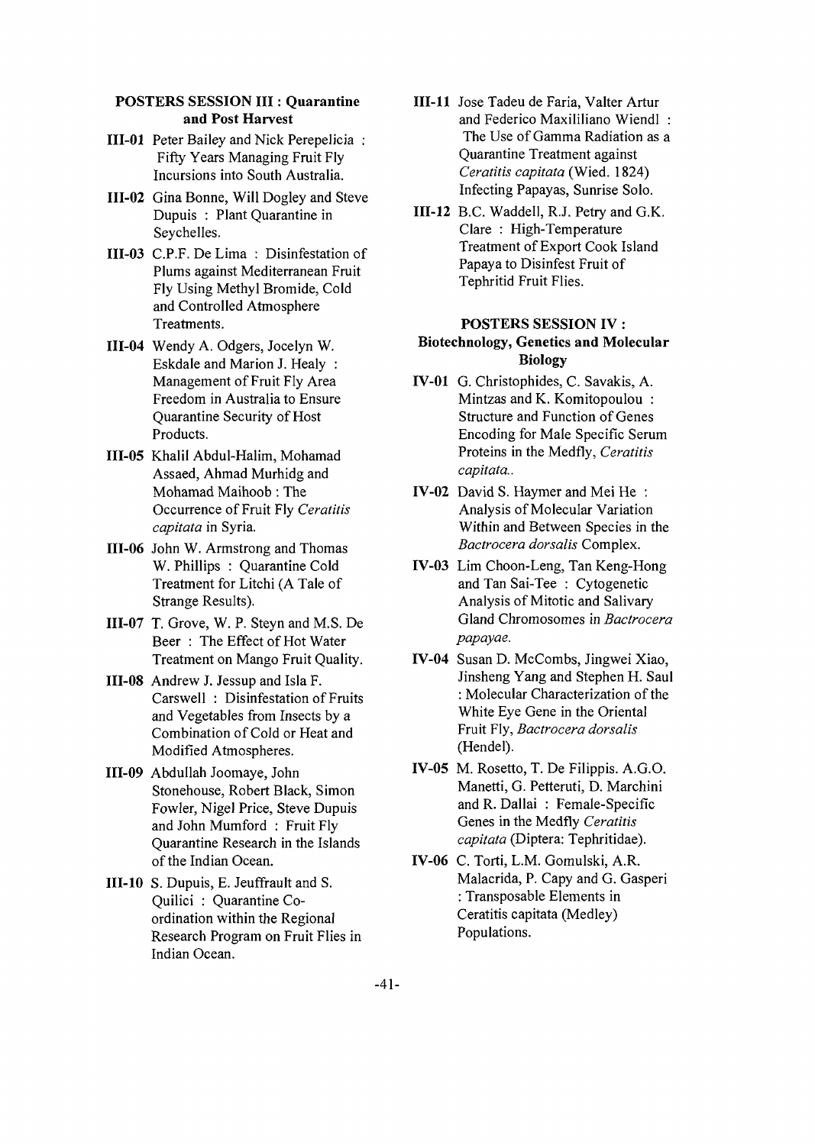#### **POSTERS SESSION III : Quarantine and Post Harvest**

- **111-01** Peter Bailey and Nick Perepelicia : Fifty Years Managing Fruit Fly Incursions into South Australia.
- **111-02** Gina Bonne, Will Dogley and Steve Dupuis : Plant Quarantine in Seychelles.
- **111-03** C.P.F. De Lima : Disinfestation of Plums against Mediterranean Fruit Fly Using Methyl Bromide, Cold and Controlled Atmosphere Treatments.
- **111-04** Wendy A. Odgers, Jocelyn W. Eskdale and Marion J. Healy : Management of Fruit Fly Area Freedom in Australia to Ensure Quarantine Security of Host Products.
- **111-05** Khalil Abdul-Halim, Mohamad Assaed, Ahmad Murhidg and Mohamad Maihoob : The Occurrence of Fruit Fly *Ceratitis capitata* in Syria.
- **111-06** John W. Armstrong and Thomas W.Phillips : Quarantine Cold Treatment for Litchi (A Tale of Strange Results).
- **111-07** T. Grove, W. P. Steyn and M.S. De Beer : The Effect of Hot Water Treatment on Mango Fruit Quality.
- **111-08** Andrew J. Jessup and Isla F. Carswell : Disinfestation of Fruits and Vegetables from Insects by a Combination of Cold or Heat and Modified Atmospheres.
- **111-09** Abdullah Joomaye, John Stonehouse, Robert Black, Simon Fowler, Nigel Price, Steve Dupuis and John Mumford : Fruit Fly Quarantine Research in the Islands of the Indian Ocean.
- **111-10** S. Dupuis, E. Jeuffrault and S. Quilici : Quarantine Coordination within the Regional Research Program on Fruit Flies in Indian Ocean.
- **Ill-11** Jose Tadeu de Faria, Valter Artur and Federico Maxililiano Wiendl : The Use of Gamma Radiation as a Quarantine Treatment against *Ceratitis capitata* (Wied. 1824) Infecting Papayas, Sunrise Solo.
- **111-12** B.C. Waddell, R.J. Petry and G.K. Clare : High-Temperature Treatment of Export Cook Island Papaya to Disinfest Fruit of Tephritid Fruit Flies.

#### **POSTERS SESSION IV:**

# **Biotechnology, Genetics and Molecular Biology**

- **IV-01** G. Christophides, C. Savakis, A. Mintzas and K. Komitopoulou : Structure and Function of Genes Encoding for Male Specific Serum Proteins in the Medfly, *Ceratitis capitata..*
- **IV-02** David S. Haymer and Mei He : Analysis of Molecular Variation Within and Between Species in the *Bactrocera dorsalis* Complex.
- **IV-03** Lim Choon-Leng, Tan Keng-Hong and Tan Sai-Tee : Cytogenetic Analysis of Mitotic and Salivary Gland Chromosomes in *Bactrocera papayae.*
- **IV-04** Susan D. McCombs, Jingwei Xiao, Jinsheng Yang and Stephen H. Saul : Molecular Characterization of the White Eye Gene in the Oriental Fruit Fly, *Bactrocera dorsalis* (Hendel).
- **IV-05** M. Rosetto, T. De Filippis. A.G.O. Manetti, G. Petteruti, D. Marchini and R. Dallai : Female-Specific Genes in the Medfly *Ceratitis capitata* (Diptera: Tephritidae).
- **IV-06** C. Torti, L.M. Gomulski, A.R. Malacrida, P. Capy and G. Gasperi : Transposable Elements in Ceratitis capitata (Medley) Populations.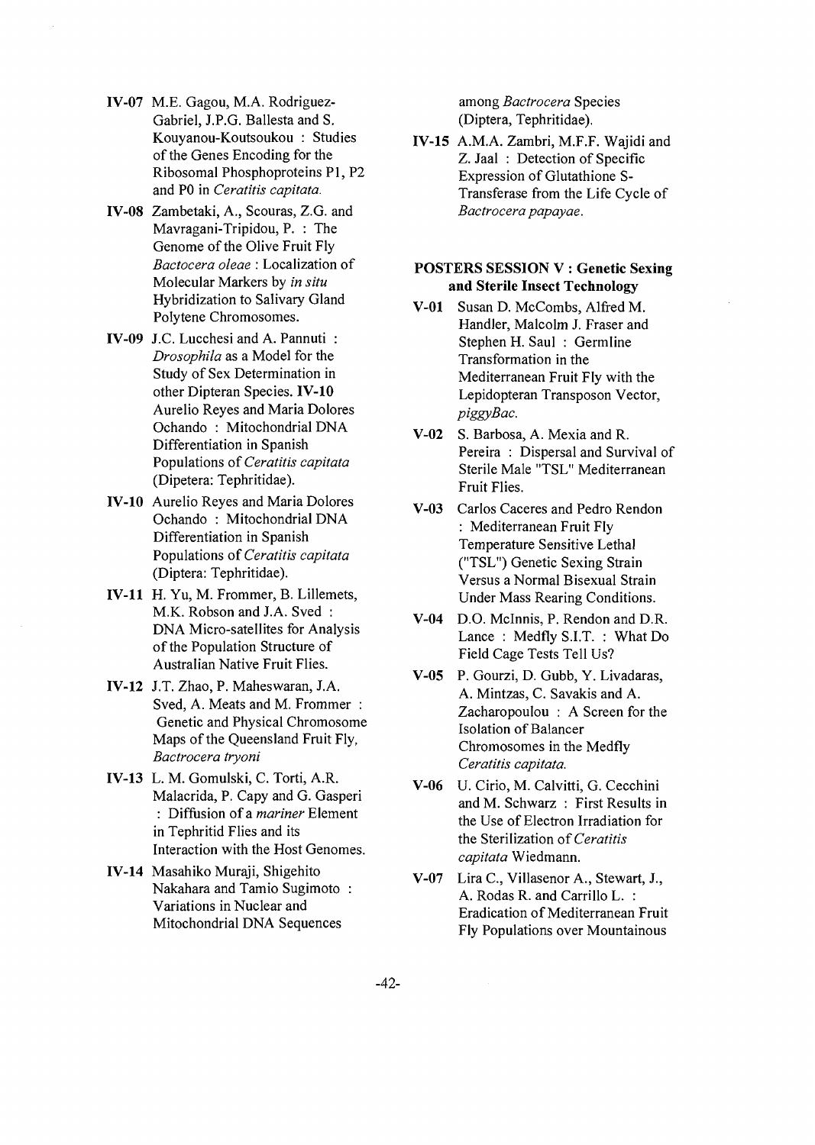- **IV-07** M.E. Gagou, M.A. Rodriguez-Gabriel, J.P.G. Ballesta and S. Kouyanou-Koutsoukou : Studies of the Genes Encoding for the Ribosomal Phosphoproteins PI, P2 and PO in *Ceratitis capitata.*
- **IV-08** Zambetaki, A., Scouras, Z.G. and Mavragani-Tripidou, P. : The Genome of the Olive Fruit Fly *Bactocera oleae* : Localization of Molecular Markers by *in situ* Hybridization to Salivary Gland Polytene Chromosomes.
- **IV-09** J.C. Lucchesi and A. Pannuti : *Drosophila* as a Model for the Study of Sex Determination in other Dipteran Species. **IV-10** Aurelio Reyes and Maria Dolores Ochando : Mitochondrial DNA Differentiation in Spanish Populations *of Ceratitis capitata* (Dipetera: Tephritidae).
- **IV-10** Aurelio Reyes and Maria Dolores Ochando : Mitochondrial DNA Differentiation in Spanish Populations of *Ceratitis capitata* (Diptera: Tephritidae).
- **IV-11** H. Yu, M. Frommer, B. Lillemets, M.K. Robson and J.A. Sved : DNA Micro-satellites for Analysis of the Population Structure of Australian Native Fruit Flies.
- **IV-12** J.T. Zhao, P. Maheswaran, J.A. Sved, A. Meats and M. Frommer : Genetic and Physical Chromosome Maps of the Queensland Fruit Fly, *Bactrocera tryoni*
- **IV-13** L. M. Gomulski, C. Torti, A.R. Malacrida, P. Capy and G. Gasperi : Diffusion of a *mariner* Element in Tephritid Flies and its Interaction with the Host Genomes.
- **IV-14** Masahiko Muraji, Shigehito Nakahara and Tamio Sugimoto : Variations in Nuclear and Mitochondrial DNA Sequences

among *Bactrocera* Species (Diptera, Tephritidae).

**IV-15** A.M.A. Zambri, M.F.F. Wajidi and Z. Jaal : Detection of Specific Expression of Glutathione S-Transferase from the Life Cycle of *Bactrocera papayae.*

#### **POSTERS SESSION V : Genetic Sexing and Sterile Insect Technology**

- **V-01** Susan D. McCombs, Alfred M. Handler, Malcolm J. Fraser and Stephen H. Saul : Germline Transformation in the Mediterranean Fruit Fly with the Lepidopteran Transposon Vector, *piggyBac.*
- **V-02** S. Barbosa, A. Mexia and R. Pereira : Dispersal and Survival of Sterile Male "TSL" Mediterranean Fruit Flies.
- **V-03** Carlos Caceres and Pedro Rendon : Mediterranean Fruit Fly Temperature Sensitive Lethal ("TSL") Genetic Sexing Strain Versus a Normal Bisexual Strain Under Mass Rearing Conditions.
- **V-04** D.O. Mclnnis, P. Rendon and D.R. Lance : Medfly S.I.T. : What Do Field Cage Tests Tell Us?
- **V-05** P. Gourzi, D. Gubb, Y. Livadaras, A. Mintzas, C. Savakis and A. Zacharopoulou : A Screen for the Isolation of Balancer Chromosomes in the Medfly *Ceratitis capitata.*
- **V-06** U. Cirio, M. Calvitti, G. Cecchini and M. Schwarz : First Results in the Use of Electron Irradiation for the Sterilization *of Ceratitis capitata* Wiedmann.
- V-07 Lira C, Villasenor A., Stewart, J., A. Rodas R. and Carrillo L. : Eradication of Mediterranean Fruit Fly Populations over Mountainous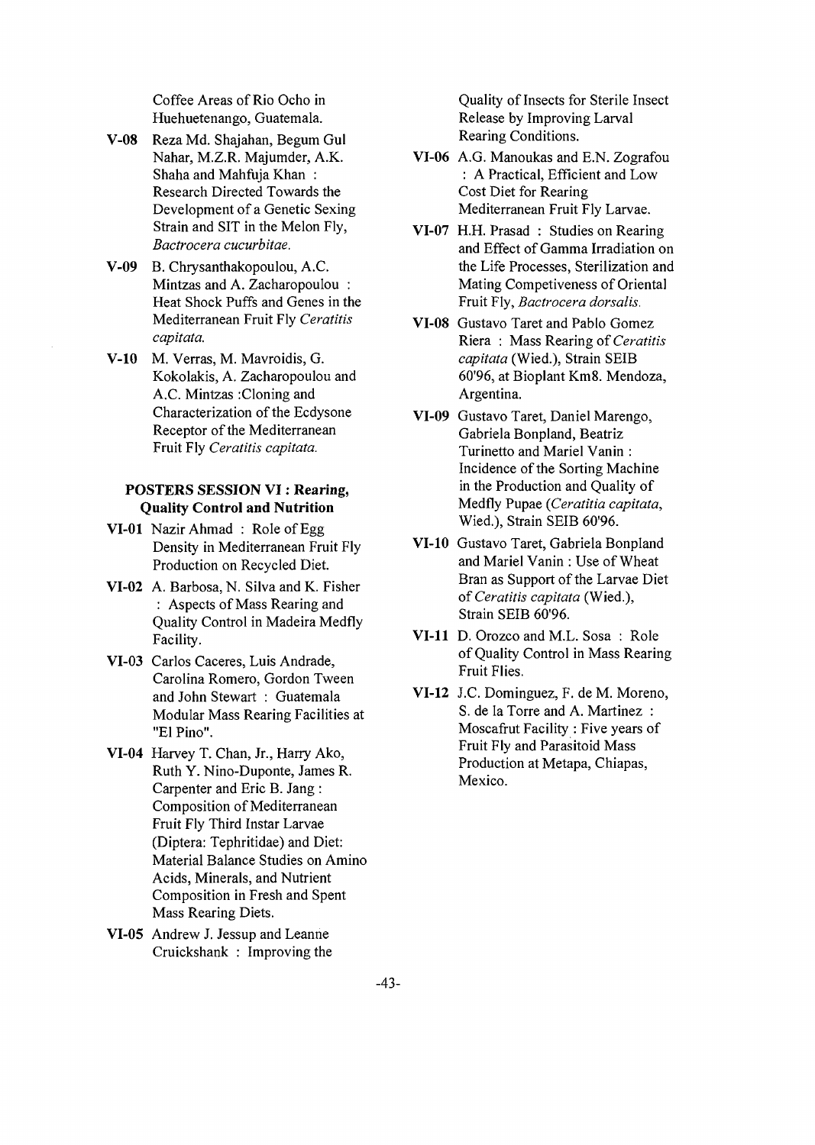Coffee Areas of Rio Ocho in Huehuetenango, Guatemala.

- **V-08** Reza Md. Shajahan, Begum Gul Nahar, M.Z.R. Majumder, A.K. Shaha and Mahfuja Khan : Research Directed Towards the Development of a Genetic Sexing Strain and SIT in the Melon Fly, *Bactrocera cucurbitae.*
- **V-09** B. Chrysanthakopoulou, A.C. Mintzas and A. Zacharopoulou : Heat Shock Puffs and Genes in the Mediterranean Fruit Fly *Ceratitis capitata.*
- **V-10** M. Verras, M. Mavroidis, G. Kokolakis, A. Zacharopoulou and A.C. Mintzas :Cloning and Characterization of the Ecdysone Receptor of the Mediterranean Fruit Fly *Ceratitis capitata.*

# **POSTERS SESSION VI: Rearing, Quality Control and Nutrition**

- **VI-01** Nazir Ahmad : Role of Egg Density in Mediterranean Fruit Fly Production on Recycled Diet.
- **VI-02** A. Barbosa, N. Silva and K. Fisher : Aspects of Mass Rearing and Quality Control in Madeira Medfly Facility.
- VI-03 Carlos Caceres, Luis Andrade, Carolina Romero, Gordon Tween and John Stewart : Guatemala Modular Mass Rearing Facilities at "El Pino".
- **VI-04** Harvey T. Chan, Jr., Harry Ako, Ruth Y. Nino-Duponte, James R. Carpenter and Eric B. Jang : Composition of Mediterranean Fruit Fly Third Instar Larvae (Diptera: Tephritidae) and Diet: Material Balance Studies on Amino Acids, Minerals, and Nutrient Composition in Fresh and Spent Mass Rearing Diets.
- **VI-05** Andrew J. Jessup and Leanne Cruickshank : Improving the

Quality of Insects for Sterile Insect Release by Improving Larval Rearing Conditions.

- VI-06 A.G. Manoukas and E.N. Zografou : A Practical, Efficient and Low Cost Diet for Rearing Mediterranean Fruit Fly Larvae.
- VI-07 H.H. Prasad : Studies on Rearing and Effect of Gamma Irradiation on the Life Processes, Sterilization and Mating Competiveness of Oriental Fruit Fly, *Bactrocera dorsalis.*
- VI-08 Gustavo Taret and Pablo Gomez Riera : Mass Rearing of *Ceratitis capitata* (Wied.), Strain SEIB 60'96, at Bioplant Km8. Mendoza, Argentina.
- **VI-09** Gustavo Taret, Daniel Marengo, Gabriela Bonpland, Beatriz Turinetto and Mariel Vanin : Incidence of the Sorting Machine in the Production and Quality of Medfly Pupae *(Ceratitia capitata,* Wied.), Strain SEIB 60'96.
- **VI-10** Gustavo Taret, Gabriela Bonpland and Mariel Vanin : Use of Wheat Bran as Support of the Larvae Diet *of Ceratitis capitata* (Wied.), Strain SEIB 60'96.
- **VI-11** D. Orozco and M.L. Sosa : Role of Quality Control in Mass Rearing Fruit Flies.
- **VI-12** J.C. Dominguez, F. de M. Moreno, S. de la Torre and A. Martinez : Moscafrut Facility : Five years of Fruit Fly and Parasitoid Mass Production at Metapa, Chiapas, Mexico.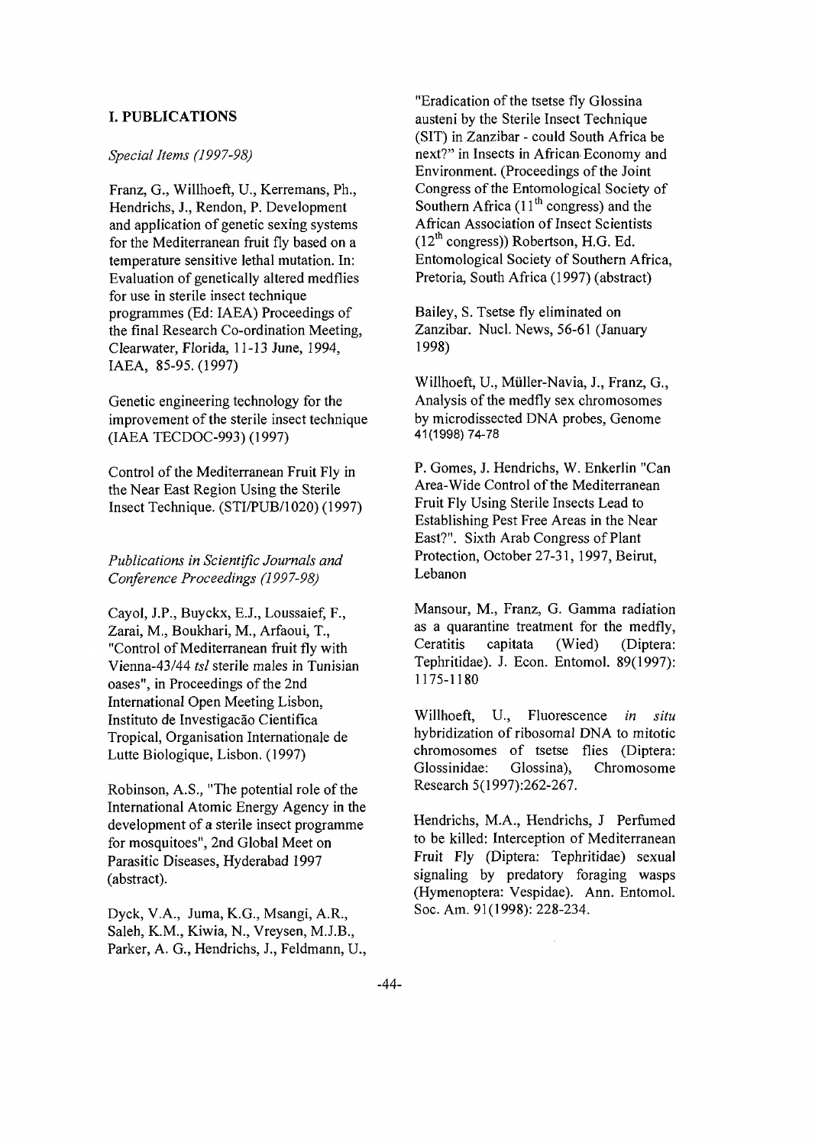# **I. PUBLICATIONS**

#### *Special Items (1997-98)*

Franz, G., Willhoeft, U., Kerremans, Ph., Hendrichs, J., Rendon, P. Development and application of genetic sexing systems for the Mediterranean fruit fly based on a temperature sensitive lethal mutation. In: Evaluation of genetically altered medflies for use in sterile insect technique programmes (Ed: IAEA) Proceedings of the final Research Co-ordination Meeting, Clearwater, Florida, 11-13 June, 1994, IAEA, 85-95.(1997)

Genetic engineering technology for the improvement of the sterile insect technique (IAEA TECDOC-993) (1997)

Control of the Mediterranean Fruit Fly in the Near East Region Using the Sterile Insect Technique. (STI/PUB/1020) (1997)

*Publications in Scientific Journals and Conference Proceedings (1997-98)*

Cayol, J.P., Buyckx, E.J., Loussaief, F., Zarai, M., Boukhari, M., Arfaoui, T., "Control of Mediterranean fruit fly with Vienna-43/44 *tsl* sterile males in Tunisian oases", in Proceedings of the 2nd International Open Meeting Lisbon, Instituto de Investigação Cientifica Tropical, Organisation Internationale de Lutte Biologique, Lisbon. (1997)

Robinson, A.S., "The potential role of the International Atomic Energy Agency in the development of a sterile insect programme for mosquitoes", 2nd **Global** Meet on Parasitic Diseases, Hyderabad 1997 (abstract).

Dyck, V.A., Juma, K.G., Msangi, A.R., Saleh, K.M., Kiwia, N., Vreysen, M.J.B., Parker, A. G., Hendrichs, J., Feldmann, U.,

"Eradication of the tsetse fly Glossina austeni by the Sterile Insect Technique (SIT) in Zanzibar - could South Africa be next?" in Insects in African Economy and Environment. (Proceedings of the Joint Congress of the Entomological Society of Southern Africa  $(11<sup>th</sup>$  congress) and the African Association of Insect Scientists  $(12<sup>th</sup>$  congress)) Robertson, H.G. Ed. Entomological Society of Southern Africa, Pretoria, South Africa (1997) (abstract)

Bailey, S. Tsetse fly eliminated on Zanzibar. Nucl. News, 56-61 (January 1998)

Willhoeft, U., Miiller-Navia, J., Franz, G., Analysis of the medfly sex chromosomes by microdissected DNA probes, Genome 41(1998)74-78

P. Gomes, J. Hendrichs, W. Enkerlin "Can Area-Wide Control of the Mediterranean Fruit Fly Using Sterile Insects Lead to Establishing Pest Free Areas in the Near East?". Sixth Arab Congress of Plant Protection, October 27-31, 1997, Beirut, Lebanon

Mansour, M., Franz, G. Gamma radiation as a quarantine treatment for the medfly, Ceratitis capitata (Wied) (Diptera: Tephritidae). J. Econ. Entomol. 89(1997): 1175-1180

Willhoeft, U., Fluorescence *in situ* hybridization of ribosomal DNA to mitotic chromosomes of tsetse flies (Diptera: Glossinidae: Glossina), Chromosome Research 5(1997):262-267.

Hendrichs, M.A., Hendrichs, J Perfumed to be killed: Interception of Mediterranean Fruit Fly (Diptera: Tephritidae) sexual signaling by predatory foraging wasps (Hymenoptera: Vespidae). Ann. Entomol. Soc. Am. 91(1998): 228-234.